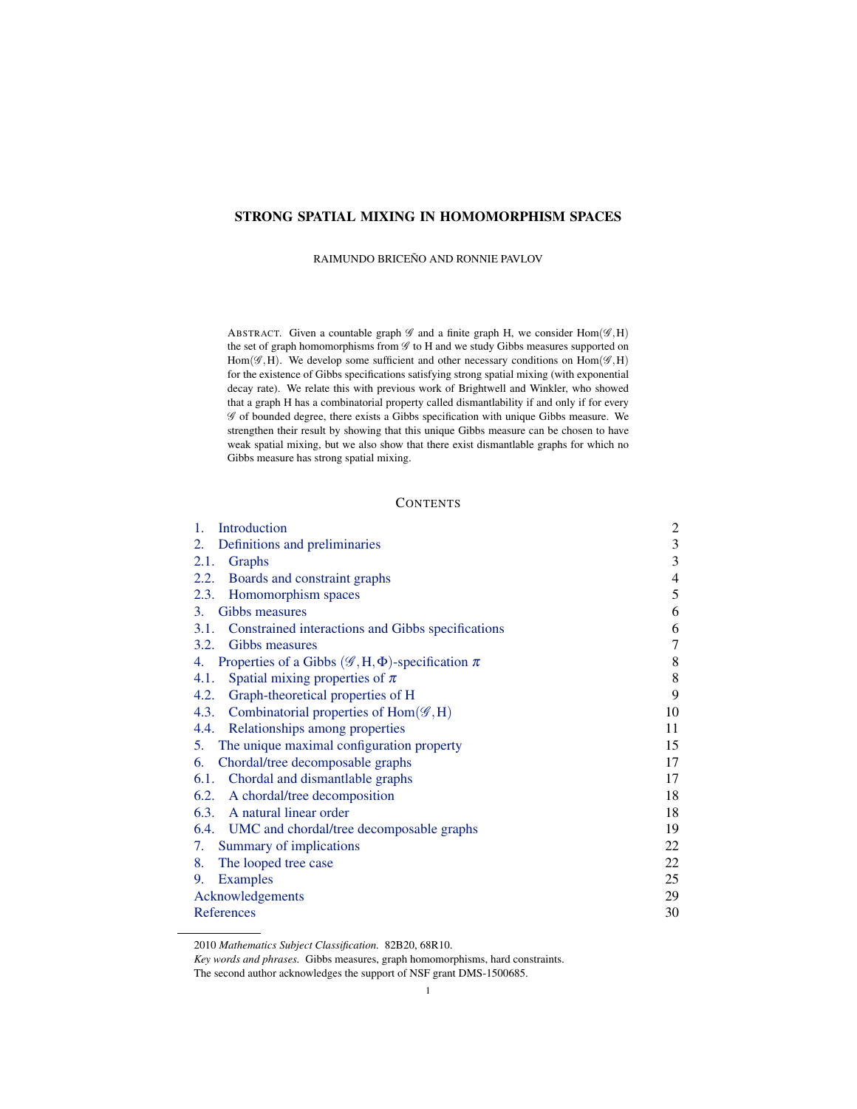# STRONG SPATIAL MIXING IN HOMOMORPHISM SPACES

RAIMUNDO BRICEÑO AND RONNIE PAVLOV

ABSTRACT. Given a countable graph  $\mathscr G$  and a finite graph H, we consider Hom( $\mathscr G$ ,H) the set of graph homomorphisms from  $\mathscr G$  to H and we study Gibbs measures supported on Hom( $\mathscr{G}, H$ ). We develop some sufficient and other necessary conditions on  $Hom(\mathscr{G}, H)$ for the existence of Gibbs specifications satisfying strong spatial mixing (with exponential decay rate). We relate this with previous work of Brightwell and Winkler, who showed that a graph H has a combinatorial property called dismantlability if and only if for every  $\mathscr G$  of bounded degree, there exists a Gibbs specification with unique Gibbs measure. We strengthen their result by showing that this unique Gibbs measure can be chosen to have weak spatial mixing, but we also show that there exist dismantlable graphs for which no Gibbs measure has strong spatial mixing.

## **CONTENTS**

| 1.<br>Introduction                                                         | $\overline{\mathbf{c}}$ |
|----------------------------------------------------------------------------|-------------------------|
| Definitions and preliminaries<br>2.                                        | $\mathfrak{Z}$          |
| 2.1. Graphs                                                                | 3                       |
| 2.2. Boards and constraint graphs                                          | $\overline{4}$          |
| 2.3. Homomorphism spaces                                                   | 5                       |
| 3. Gibbs measures                                                          | 6                       |
| 3.1. Constrained interactions and Gibbs specifications                     | 6                       |
| 3.2. Gibbs measures                                                        | 7                       |
| Properties of a Gibbs ( $\mathscr{G}, H, \Phi$ )-specification $\pi$<br>4. | 8                       |
| Spatial mixing properties of $\pi$<br>4.1.                                 | 8                       |
| 4.2. Graph-theoretical properties of H                                     | 9                       |
| 4.3. Combinatorial properties of $Hom(\mathscr{G},H)$                      | 10                      |
| 4.4. Relationships among properties                                        | 11                      |
| 5. The unique maximal configuration property                               | 15                      |
| 6. Chordal/tree decomposable graphs                                        | 17                      |
| 6.1. Chordal and dismantlable graphs                                       | 17                      |
| 6.2. A chordal/tree decomposition                                          | 18                      |
| 6.3. A natural linear order                                                | 18                      |
| 6.4. UMC and chordal/tree decomposable graphs                              | 19                      |
| 7. Summary of implications                                                 | 22                      |
| The looped tree case<br>8.                                                 | 22                      |
| <b>Examples</b><br>9.                                                      | 25                      |
| Acknowledgements                                                           | 29                      |
| References                                                                 | 30                      |

<sup>2010</sup> *Mathematics Subject Classification.* 82B20, 68R10.

*Key words and phrases.* Gibbs measures, graph homomorphisms, hard constraints.

The second author acknowledges the support of NSF grant DMS-1500685.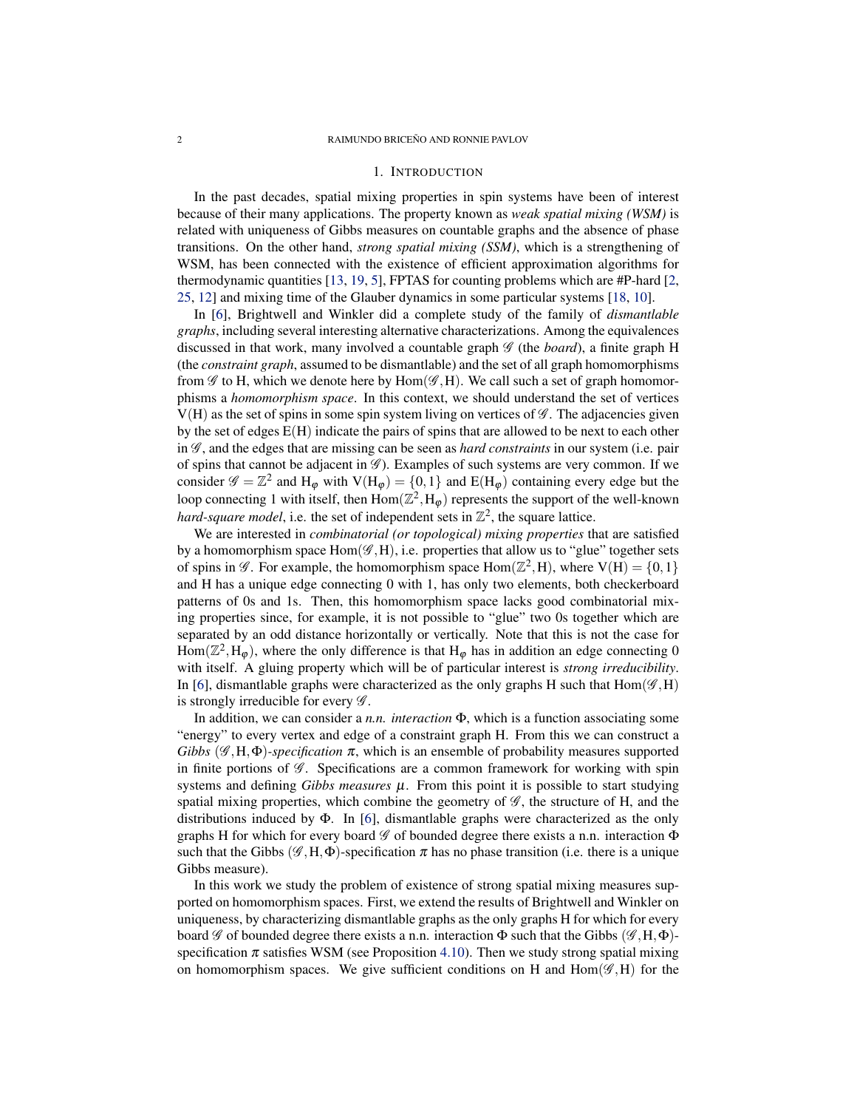### 1. INTRODUCTION

<span id="page-1-1"></span><span id="page-1-0"></span>In the past decades, spatial mixing properties in spin systems have been of interest because of their many applications. The property known as *weak spatial mixing (WSM)* is related with uniqueness of Gibbs measures on countable graphs and the absence of phase transitions. On the other hand, *strong spatial mixing (SSM)*, which is a strengthening of WSM, has been connected with the existence of efficient approximation algorithms for thermodynamic quantities [\[13,](#page-29-1) [19,](#page-30-0) [5\]](#page-29-2), FPTAS for counting problems which are #P-hard [\[2,](#page-29-3) [25,](#page-30-1) [12\]](#page-29-4) and mixing time of the Glauber dynamics in some particular systems [\[18,](#page-29-5) [10\]](#page-29-6).

In [\[6\]](#page-29-7), Brightwell and Winkler did a complete study of the family of *dismantlable graphs*, including several interesting alternative characterizations. Among the equivalences discussed in that work, many involved a countable graph  $\mathcal G$  (the *board*), a finite graph H (the *constraint graph*, assumed to be dismantlable) and the set of all graph homomorphisms from  $\mathscr G$  to H, which we denote here by Hom $(\mathscr G, H)$ . We call such a set of graph homomorphisms a *homomorphism space*. In this context, we should understand the set of vertices  $V(H)$  as the set of spins in some spin system living on vertices of  $\mathscr G$ . The adjacencies given by the set of edges  $E(H)$  indicate the pairs of spins that are allowed to be next to each other in G , and the edges that are missing can be seen as *hard constraints* in our system (i.e. pair of spins that cannot be adjacent in  $\mathscr{G}$ ). Examples of such systems are very common. If we consider  $\mathscr{G} = \mathbb{Z}^2$  and  $H_{\varphi}$  with  $V(H_{\varphi}) = \{0, 1\}$  and  $E(H_{\varphi})$  containing every edge but the loop connecting 1 with itself, then  $\text{Hom}(\mathbb{Z}^2, H_{\varphi})$  represents the support of the well-known *hard-square model*, i.e. the set of independent sets in  $\mathbb{Z}^2$ , the square lattice.

We are interested in *combinatorial (or topological) mixing properties* that are satisfied by a homomorphism space  $Hom(\mathcal{G},H)$ , i.e. properties that allow us to "glue" together sets of spins in  $\mathscr{G}$ . For example, the homomorphism space Hom( $\mathbb{Z}^2$ ,H), where  $V(H) = \{0, 1\}$ and H has a unique edge connecting 0 with 1, has only two elements, both checkerboard patterns of 0s and 1s. Then, this homomorphism space lacks good combinatorial mixing properties since, for example, it is not possible to "glue" two 0s together which are separated by an odd distance horizontally or vertically. Note that this is not the case for  $\text{Hom}(\mathbb{Z}^2, \text{H}_{\varphi})$ , where the only difference is that  $\text{H}_{\varphi}$  has in addition an edge connecting 0 with itself. A gluing property which will be of particular interest is *strong irreducibility*. In [\[6\]](#page-29-7), dismantlable graphs were characterized as the only graphs H such that  $Hom(\mathscr{G},H)$ is strongly irreducible for every  $\mathscr G$ .

In addition, we can consider a *n.n. interaction* Φ, which is a function associating some "energy" to every vertex and edge of a constraint graph H. From this we can construct a *Gibbs* ( $\mathscr{G}, H, \Phi$ *)-specification*  $\pi$ , which is an ensemble of probability measures supported in finite portions of  $\mathscr G$ . Specifications are a common framework for working with spin systems and defining *Gibbs measures*  $\mu$ . From this point it is possible to start studying spatial mixing properties, which combine the geometry of  $\mathscr{G}$ , the structure of H, and the distributions induced by  $\Phi$ . In [\[6\]](#page-29-7), dismantlable graphs were characterized as the only graphs H for which for every board  $\mathscr G$  of bounded degree there exists a n.n. interaction  $\Phi$ such that the Gibbs ( $\mathscr{G}, H, \Phi$ )-specification  $\pi$  has no phase transition (i.e. there is a unique Gibbs measure).

In this work we study the problem of existence of strong spatial mixing measures supported on homomorphism spaces. First, we extend the results of Brightwell and Winkler on uniqueness, by characterizing dismantlable graphs as the only graphs H for which for every board G of bounded degree there exists a n.n. interaction  $\Phi$  such that the Gibbs  $(\mathscr{G}, H, \Phi)$ specification  $\pi$  satisfies WSM (see Proposition [4.10\)](#page-12-0). Then we study strong spatial mixing on homomorphism spaces. We give sufficient conditions on H and  $Hom(\mathscr{G},H)$  for the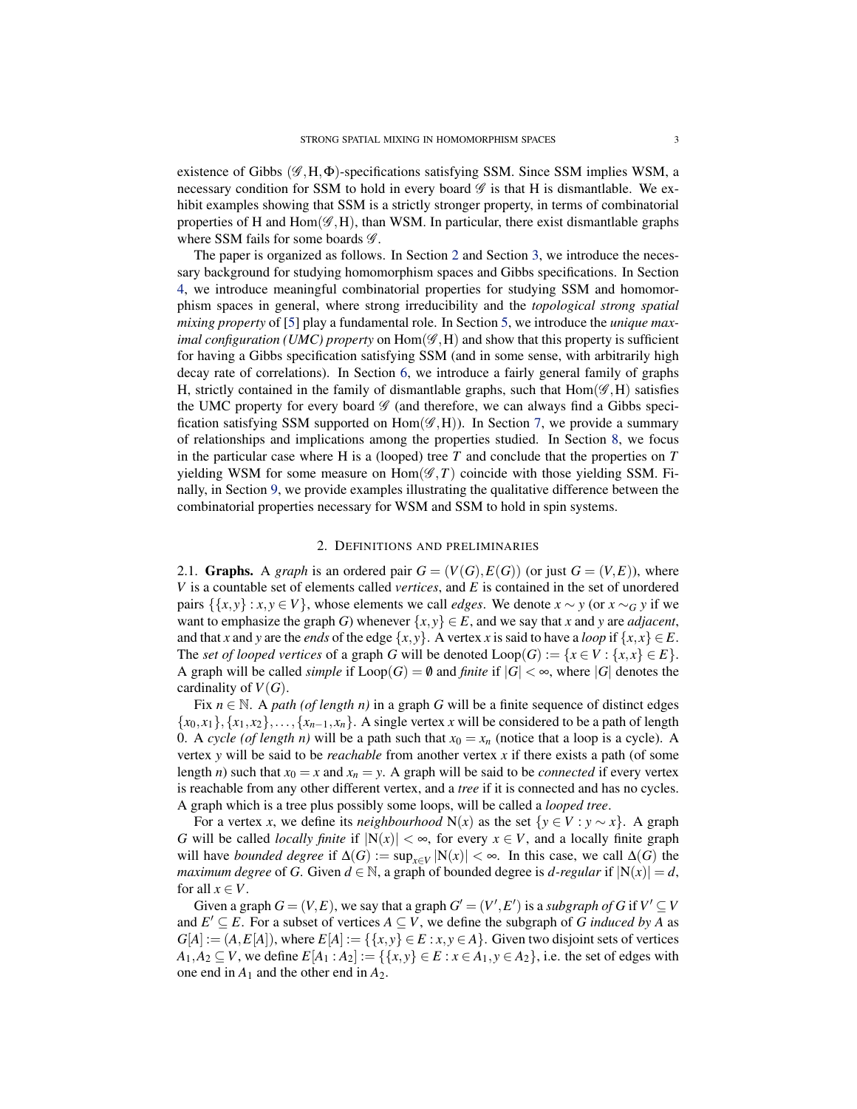<span id="page-2-2"></span>existence of Gibbs  $(\mathscr{G}, H, \Phi)$ -specifications satisfying SSM. Since SSM implies WSM, a necessary condition for SSM to hold in every board  $\mathscr G$  is that H is dismantlable. We exhibit examples showing that SSM is a strictly stronger property, in terms of combinatorial properties of H and  $Hom(\mathscr{G},H)$ , than WSM. In particular, there exist dismantlable graphs where SSM fails for some boards  $\mathscr{G}$ .

The paper is organized as follows. In Section [2](#page-2-0) and Section [3,](#page-5-0) we introduce the necessary background for studying homomorphism spaces and Gibbs specifications. In Section [4,](#page-7-0) we introduce meaningful combinatorial properties for studying SSM and homomorphism spaces in general, where strong irreducibility and the *topological strong spatial mixing property* of [\[5\]](#page-29-2) play a fundamental role. In Section [5,](#page-14-0) we introduce the *unique maximal configuration (UMC) property* on  $Hom(\mathscr{G},H)$  and show that this property is sufficient for having a Gibbs specification satisfying SSM (and in some sense, with arbitrarily high decay rate of correlations). In Section [6,](#page-16-0) we introduce a fairly general family of graphs H, strictly contained in the family of dismantlable graphs, such that  $Hom(\mathscr{G},H)$  satisfies the UMC property for every board  $\mathscr G$  (and therefore, we can always find a Gibbs specification satisfying SSM supported on  $Hom(\mathscr{G},H)$ ). In Section [7,](#page-21-0) we provide a summary of relationships and implications among the properties studied. In Section [8,](#page-21-1) we focus in the particular case where H is a (looped) tree *T* and conclude that the properties on *T* yielding WSM for some measure on  $Hom(\mathscr{G},T)$  coincide with those yielding SSM. Finally, in Section [9,](#page-24-0) we provide examples illustrating the qualitative difference between the combinatorial properties necessary for WSM and SSM to hold in spin systems.

## 2. DEFINITIONS AND PRELIMINARIES

<span id="page-2-1"></span><span id="page-2-0"></span>2.1. Graphs. A *graph* is an ordered pair  $G = (V(G), E(G))$  (or just  $G = (V, E)$ ), where *V* is a countable set of elements called *vertices*, and *E* is contained in the set of unordered pairs  $\{\{x, y\} : x, y \in V\}$ , whose elements we call *edges*. We denote  $x \sim y$  (or  $x \sim_G y$  if we want to emphasize the graph *G*) whenever  $\{x, y\} \in E$ , and we say that *x* and *y* are *adjacent*, and that *x* and *y* are the *ends* of the edge  $\{x, y\}$ . A vertex *x* is said to have a *loop* if  $\{x, x\} \in E$ . The *set of looped vertices* of a graph *G* will be denoted  $\text{Loop}(G) := \{x \in V : \{x, x\} \in E\}.$ A graph will be called *simple* if  $\text{Loop}(G) = \emptyset$  and *finite* if  $|G| < \infty$ , where  $|G|$  denotes the cardinality of  $V(G)$ .

Fix  $n \in \mathbb{N}$ . A *path (of length n)* in a graph *G* will be a finite sequence of distinct edges  ${x_0, x_1}, {x_1, x_2}, \ldots, {x_{n-1}, x_n}$ . A single vertex *x* will be considered to be a path of length 0. A *cycle (of length n)* will be a path such that  $x_0 = x_n$  (notice that a loop is a cycle). A vertex *y* will be said to be *reachable* from another vertex *x* if there exists a path (of some length *n*) such that  $x_0 = x$  and  $x_n = y$ . A graph will be said to be *connected* if every vertex is reachable from any other different vertex, and a *tree* if it is connected and has no cycles. A graph which is a tree plus possibly some loops, will be called a *looped tree*.

For a vertex *x*, we define its *neighbourhood* N(*x*) as the set  $\{y \in V : y \sim x\}$ . A graph *G* will be called *locally finite* if  $|N(x)| < ∞$ , for every *x* ∈ *V*, and a locally finite graph will have *bounded degree* if  $\Delta(G) := \sup_{x \in V} |N(x)| < \infty$ . In this case, we call  $\Delta(G)$  the *maximum degree* of *G*. Given  $d \in \mathbb{N}$ , a graph of bounded degree is *d*-regular if  $|N(x)| = d$ , for all  $x \in V$ .

Given a graph  $G = (V, E)$ , we say that a graph  $G' = (V', E')$  is a *subgraph of G* if  $V' \subseteq V$ and  $E' \subseteq E$ . For a subset of vertices  $A \subseteq V$ , we define the subgraph of *G* induced by *A* as  $G[A] := (A, E[A])$ , where  $E[A] := \{\{x, y\} \in E : x, y \in A\}$ . Given two disjoint sets of vertices *A*<sub>1</sub>*,A*<sub>2</sub> ⊆ *V*, we define  $E[A_1 : A_2] := \{ \{x, y\} \in E : x \in A_1, y \in A_2 \}$ , i.e. the set of edges with one end in  $A_1$  and the other end in  $A_2$ .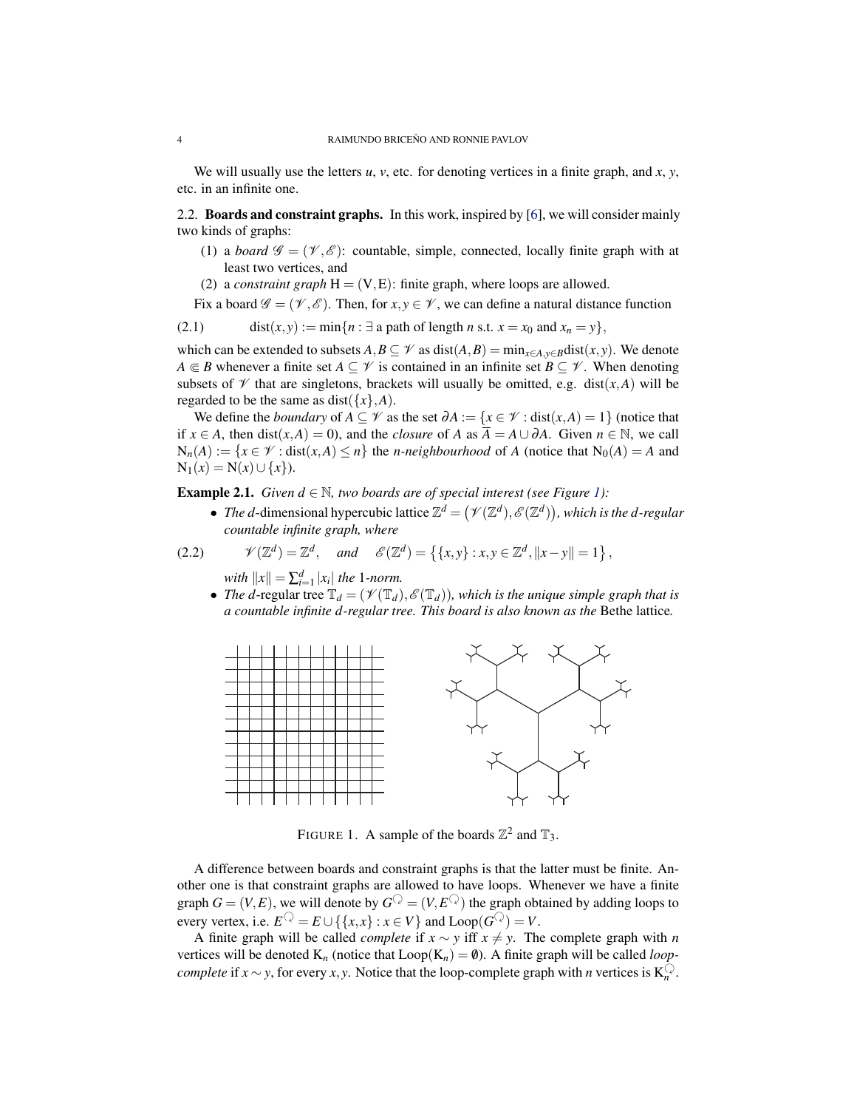<span id="page-3-2"></span>We will usually use the letters *u*, *v*, etc. for denoting vertices in a finite graph, and *x*, *y*, etc. in an infinite one.

<span id="page-3-0"></span>2.2. **Boards and constraint graphs.** In this work, inspired by [\[6\]](#page-29-7), we will consider mainly two kinds of graphs:

- (1) a *board*  $\mathscr{G} = (\mathscr{V}, \mathscr{E})$ : countable, simple, connected, locally finite graph with at least two vertices, and
- (2) a *constraint graph*  $H = (V, E)$ : finite graph, where loops are allowed.

Fix a board  $\mathscr{G} = (\mathscr{V}, \mathscr{E})$ . Then, for  $x, y \in \mathscr{V}$ , we can define a natural distance function

(2.1) dist $(x, y) := \min\{n : \exists \text{ a path of length } n \text{ s.t. } x = x_0 \text{ and } x_n = y\},$ 

which can be extended to subsets  $A, B \subseteq \mathcal{V}$  as  $dist(A, B) = min_{x \in A, y \in B}dist(x, y)$ . We denote *A*  $\in$  *B* whenever a finite set *A* ⊆  $\mathcal V$  is contained in an infinite set *B* ⊆  $\mathcal V$ . When denoting subsets of  $\mathcal V$  that are singletons, brackets will usually be omitted, e.g. dist(*x*,*A*) will be regarded to be the same as dist( $\{x\}$ *,A*).

We define the *boundary* of *A* ⊆  $\mathcal V$  as the set  $\partial A := \{x \in \mathcal V : dist(x, A) = 1\}$  (notice that if *x* ∈ *A*, then dist(*x*,*A*) = 0), and the *closure* of *A* as  $\overline{A} = A \cup \partial A$ . Given  $n \in \mathbb{N}$ , we call  $N_n(A) := \{x \in \mathcal{V} : \text{dist}(x, A) \leq n\}$  the *n-neighbourhood* of *A* (notice that  $N_0(A) = A$  and  $N_1(x) = N(x) ∪ {x}.$ 

**Example 2.1.** *Given*  $d \in \mathbb{N}$ *, two boards are of special interest (see Figure [1\)](#page-3-1):* 

• *The d*-dimensional hypercubic lattice  $\mathbb{Z}^d = (\mathcal{V}(\mathbb{Z}^d), \mathcal{E}(\mathbb{Z}^d))$ , which is the *d*-regular *countable infinite graph, where*

$$
(2.2) \quad \mathscr{V}(\mathbb{Z}^d) = \mathbb{Z}^d, \quad \text{and} \quad \mathscr{E}(\mathbb{Z}^d) = \left\{ \{x, y\} : x, y \in \mathbb{Z}^d, \|x - y\| = 1 \right\},
$$

- $with \|x\| = \sum_{i=1}^{d} |x_i|$  *the* 1*-norm.*
- *The d*-regular tree  $\mathbb{T}_d = (\mathcal{V}(\mathbb{T}_d), \mathcal{E}(\mathbb{T}_d))$ , which is the unique simple graph that is *a countable infinite d-regular tree. This board is also known as the* Bethe lattice*.*



<span id="page-3-1"></span>FIGURE 1. A sample of the boards  $\mathbb{Z}^2$  and  $\mathbb{T}_3$ .

A difference between boards and constraint graphs is that the latter must be finite. Another one is that constraint graphs are allowed to have loops. Whenever we have a finite graph  $G = (V, E)$ , we will denote by  $G^{\mathbb{Q}} = (V, E^{\mathbb{Q}})$  the graph obtained by adding loops to every vertex, i.e.  $E^{\mathbb{Q}} = E \cup \{ \{x, x\} : x \in V \}$  and  $\text{Loop}(G^{\mathbb{Q}}) = V$ .

A finite graph will be called *complete* if  $x \sim y$  iff  $x \neq y$ . The complete graph with *n* vertices will be denoted  $K_n$  (notice that  $Loop(K_n) = \emptyset$ ). A finite graph will be called *loopcomplete* if *x* ∼ *y*, for every *x*, *y*. Notice that the loop-complete graph with *n* vertices is  $K_n^Q$ .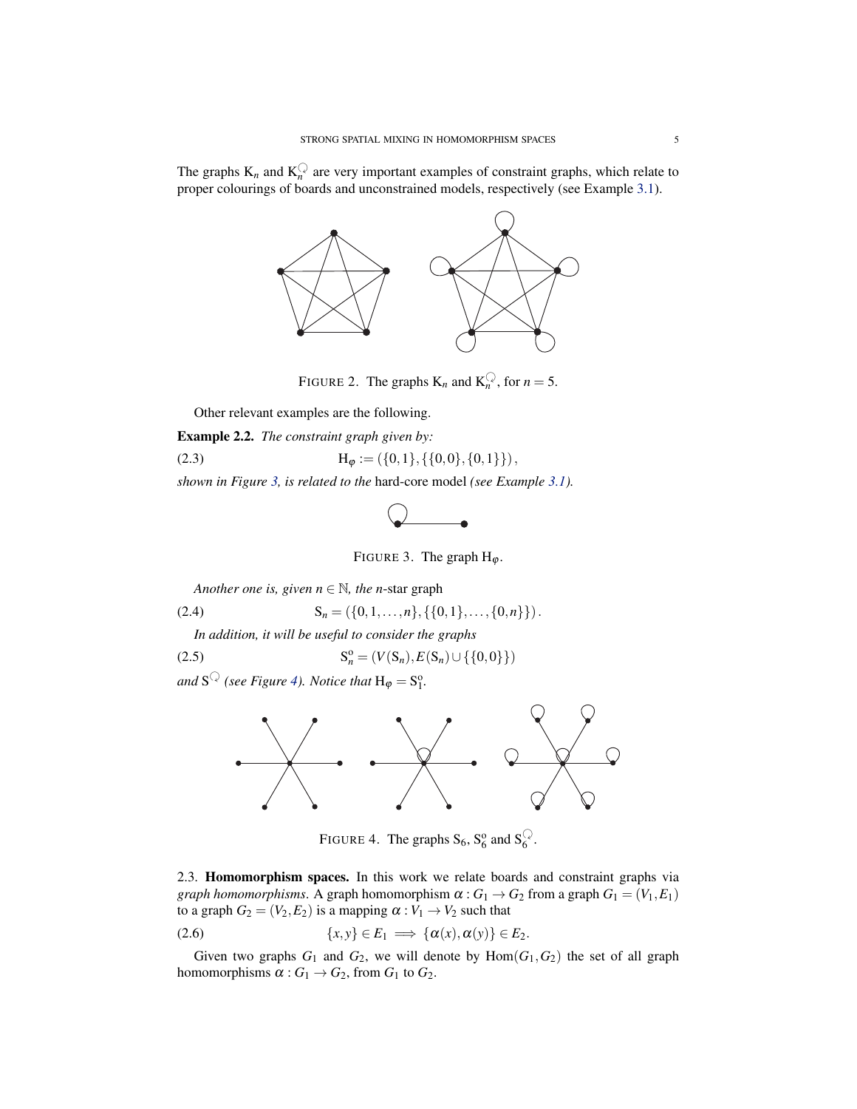The graphs  $K_n$  and  $K_n^{\mathbb{Q}}$  are very important examples of constraint graphs, which relate to proper colourings of boards and unconstrained models, respectively (see Example [3.1\)](#page-5-2).



FIGURE 2. The graphs  $K_n$  and  $K_n^Q$ , for  $n = 5$ .

Other relevant examples are the following.

Example 2.2. *The constraint graph given by:*

(2.3) 
$$
H_{\varphi} := (\{0,1\}, \{\{0,0\}, \{0,1\}\}),
$$

*shown in Figure [3,](#page-4-1) is related to the* hard-core model *(see Example [3.1\)](#page-5-2).*

<span id="page-4-1"></span>

FIGURE 3. The graph  $H_{\varphi}$ .

*Another one is, given*  $n \in \mathbb{N}$ *, the n*-star graph

$$
(2.4) \tSn = (\{0,1,...,n\}, \{\{0,1\},..., \{0,n\}\}).
$$

*In addition, it will be useful to consider the graphs*

(2.5) 
$$
S_n^o = (V(S_n), E(S_n) \cup \{\{0,0\}\})
$$

and  $S^{\mathbb{Q}}$  (see Figure [4\)](#page-4-2). Notice that  $H_{\varphi} = S_1^{\circ}$ .



<span id="page-4-2"></span>FIGURE 4. The graphs  $S_6$ ,  $S_6^0$  and  $S_6^Q$ .

<span id="page-4-0"></span>2.3. Homomorphism spaces. In this work we relate boards and constraint graphs via *graph homomorphisms*. A graph homomorphism  $\alpha$  :  $G_1 \rightarrow G_2$  from a graph  $G_1 = (V_1, E_1)$ to a graph  $G_2 = (V_2, E_2)$  is a mapping  $\alpha : V_1 \rightarrow V_2$  such that

$$
(2.6) \qquad \{x,y\} \in E_1 \implies \{\alpha(x),\alpha(y)\} \in E_2.
$$

Given two graphs  $G_1$  and  $G_2$ , we will denote by  $Hom(G_1, G_2)$  the set of all graph homomorphisms  $\alpha$  :  $G_1 \rightarrow G_2$ , from  $G_1$  to  $G_2$ .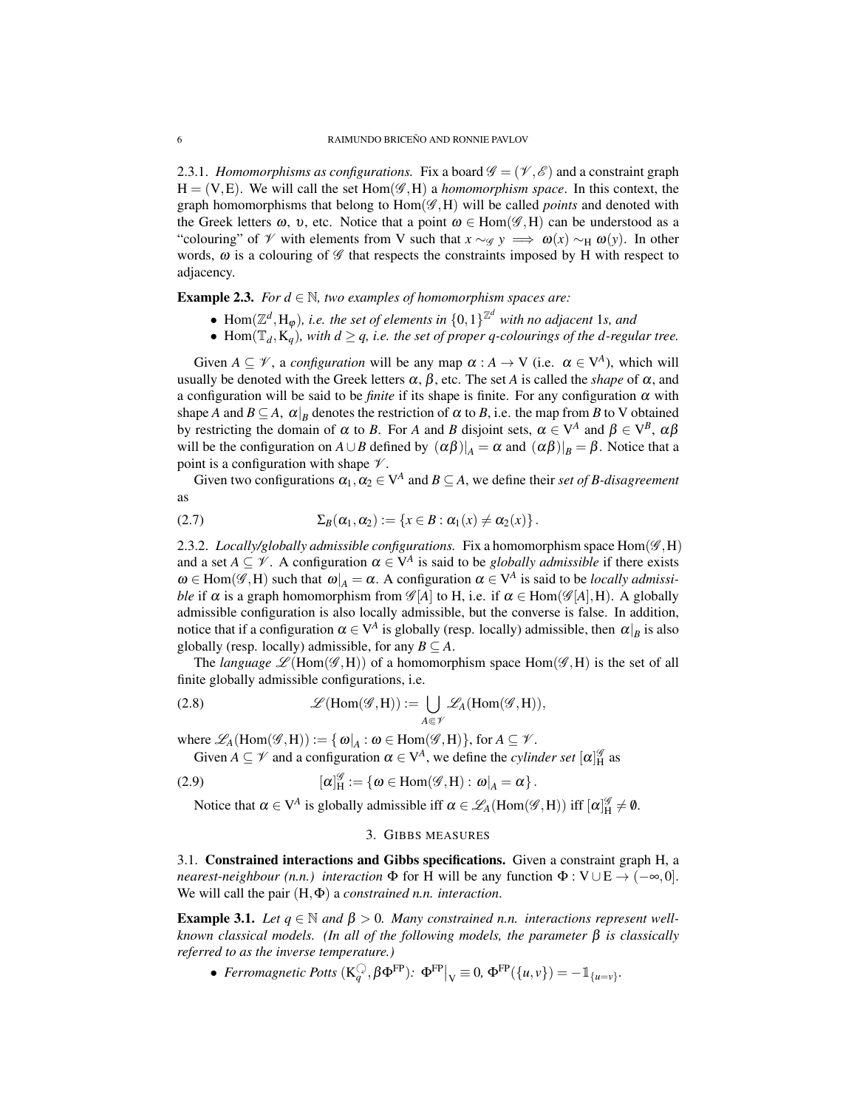2.3.1. *Homomorphisms as configurations.* Fix a board  $\mathscr{G} = (\mathscr{V}, \mathscr{E})$  and a constraint graph  $H = (V, E)$ . We will call the set Hom( $\mathscr{G}, H$ ) a *homomorphism space*. In this context, the graph homomorphisms that belong to  $Hom(\mathscr{G},H)$  will be called *points* and denoted with the Greek letters  $\omega$ , v, etc. Notice that a point  $\omega \in \text{Hom}(\mathscr{G},H)$  can be understood as a "colouring" of  $\mathscr V$  with elements from V such that  $x \sim_{\mathscr G} y \implies \omega(x) \sim_H \omega(y)$ . In other words,  $\omega$  is a colouring of  $\mathscr G$  that respects the constraints imposed by H with respect to adjacency.

**Example 2.3.** *For*  $d \in \mathbb{N}$ *, two examples of homomorphism spaces are:* 

- Hom $(\mathbb{Z}^d, H_\varphi)$ , *i.e. the set of elements in*  $\{0,1\}^{\mathbb{Z}^d}$  with no adjacent 1*s*, and
- Hom $(\mathbb{T}_d, \mathbf{K}_q)$ *, with*  $d \geq q$ *, i.e. the set of proper q-colourings of the d-regular tree.*

Given  $A \subseteq V$ , a *configuration* will be any map  $\alpha : A \to V$  (i.e.  $\alpha \in V^A$ ), which will usually be denoted with the Greek letters  $\alpha$ ,  $\beta$ , etc. The set *A* is called the *shape* of  $\alpha$ , and a configuration will be said to be *finite* if its shape is finite. For any configuration α with shape *A* and  $B \subseteq A$ ,  $\alpha|_B$  denotes the restriction of  $\alpha$  to *B*, i.e. the map from *B* to V obtained by restricting the domain of  $\alpha$  to *B*. For *A* and *B* disjoint sets,  $\alpha \in V^A$  and  $\beta \in V^B$ ,  $\alpha\beta$ will be the configuration on  $A \cup B$  defined by  $(\alpha \beta)|_A = \alpha$  and  $(\alpha \beta)|_B = \beta$ . Notice that a point is a configuration with shape  $\mathcal V$ .

Given two configurations  $\alpha_1, \alpha_2 \in V^A$  and  $B \subseteq A$ , we define their *set of B-disagreement* as

(2.7) 
$$
\Sigma_B(\alpha_1,\alpha_2):=\{x\in B:\alpha_1(x)\neq \alpha_2(x)\}.
$$

2.3.2. *Locally/globally admissible configurations.* Fix a homomorphism space  $Hom(\mathscr{G},H)$ and a set  $A \subseteq V$ . A configuration  $\alpha \in V^A$  is said to be *globally admissible* if there exists  $\omega \in \text{Hom}(\mathscr{G},H)$  such that  $\omega|_A = \alpha$ . A configuration  $\alpha \in V^A$  is said to be *locally admissible* if  $\alpha$  is a graph homomorphism from  $\mathscr{G}[A]$  to H, i.e. if  $\alpha \in Hom(\mathscr{G}[A], H)$ . A globally admissible configuration is also locally admissible, but the converse is false. In addition, notice that if a configuration  $\alpha \in V^A$  is globally (resp. locally) admissible, then  $\alpha|_B$  is also globally (resp. locally) admissible, for any  $B \subseteq A$ .

The *language*  $\mathscr{L}(\text{Hom}(\mathscr{G},H))$  of a homomorphism space  $\text{Hom}(\mathscr{G},H)$  is the set of all finite globally admissible configurations, i.e.

(2.8) 
$$
\mathscr{L}(\text{Hom}(\mathscr{G},H)) := \bigcup_{A \in \mathscr{V}} \mathscr{L}_A(\text{Hom}(\mathscr{G},H)),
$$

where  $\mathscr{L}_A(\text{Hom}(\mathscr{G},H)) := \{ \omega|_A : \omega \in \text{Hom}(\mathscr{G},H) \}$ , for  $A \subseteq \mathscr{V}$ .

Given  $A \subseteq \mathcal{V}$  and a configuration  $\alpha \in V^A$ , we define the *cylinder set*  $[\alpha]_H^{\mathcal{G}}$  as

(2.9) 
$$
[\alpha]_H^{\mathscr{G}} := {\boldsymbol{\omega} \in Hom(\mathscr{G}, H) : \boldsymbol{\omega}|_A = \alpha}.
$$

Notice that  $\alpha \in V^A$  is globally admissible iff  $\alpha \in \mathscr{L}_A(\text{Hom}(\mathscr{G},H))$  iff  $[\alpha]_H^{\mathscr{G}} \neq \emptyset$ .

### 3. GIBBS MEASURES

<span id="page-5-1"></span><span id="page-5-0"></span>3.1. Constrained interactions and Gibbs specifications. Given a constraint graph H, a *nearest-neighbour (n.n.) interaction*  $\Phi$  for H will be any function  $\Phi : V \cup E \rightarrow (-\infty, 0]$ . We will call the pair (H,Φ) a *constrained n.n. interaction*.

<span id="page-5-2"></span>**Example 3.1.** Let  $q \in \mathbb{N}$  and  $\beta > 0$ . Many constrained n.n. interactions represent well*known classical models. (In all of the following models, the parameter* β *is classically referred to as the inverse temperature.)*

• *Ferromagnetic Potts*  $(K_q^{\mathbb{Q}}, \beta \Phi^{\text{FP}}): \Phi^{\text{FP}}|_{V} \equiv 0, \Phi^{\text{FP}}(\{u, v\}) = -1_{\{u=v\}}.$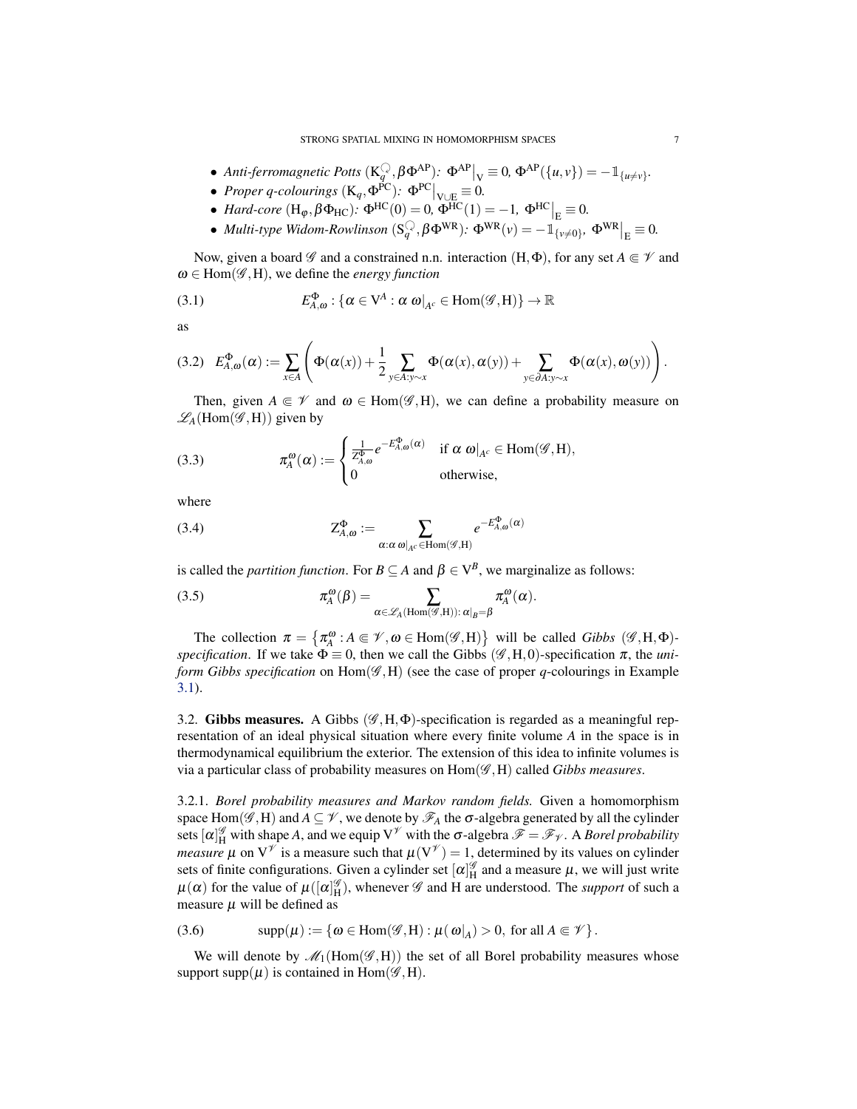- Anti-ferromagnetic Potts  $(K_q^Q, \beta \Phi^{AP})$ :  $\Phi^{AP}|_V \equiv 0$ ,  $\Phi^{AP}(\{u, v\}) = -1_{\{u \neq v\}}$ .
- *Proper q-colourings*  $(K_q, \Phi^{PC})$ :  $\Phi^{PC}|_{V \cup E} \equiv 0$ .
- *Hard-core*  $(H_{\varphi}, \beta \Phi_{HC})$ :  $\Phi^{HC}(0) = 0$ ,  $\Phi^{HC}(1) = -1$ ,  $\Phi^{HC}|_{E} \equiv 0$ .
- *Multi-type Widom-Rowlinson*  $(S_q^{\mathbb{Q}}, \beta \Phi^{WR})$ :  $\Phi^{WR}(\nu) = -\mathbb{1}_{\{\nu \neq 0\}}$ ,  $\Phi^{WR}|_E \equiv 0$ .

Now, given a board  $\mathscr G$  and a constrained n.n. interaction  $(H, \Phi)$ , for any set  $A \in \mathscr V$  and  $\omega \in$  Hom( $\mathscr{G},$ H), we define the *energy function* 

(3.1) 
$$
E_{A,\omega}^{\Phi} : \{\alpha \in V^A : \alpha \omega|_{A^c} \in \text{Hom}(\mathscr{G},H)\} \to \mathbb{R}
$$

as

$$
(3.2) \quad E_{A,\omega}^{\Phi}(\alpha) := \sum_{x \in A} \left( \Phi(\alpha(x)) + \frac{1}{2} \sum_{y \in A: y \sim x} \Phi(\alpha(x), \alpha(y)) + \sum_{y \in \partial A: y \sim x} \Phi(\alpha(x), \omega(y)) \right).
$$

Then, given  $A \in \mathcal{V}$  and  $\omega \in \text{Hom}(\mathcal{G},H)$ , we can define a probability measure on  $\mathscr{L}_A$ (Hom( $\mathscr{G},$ H)) given by

(3.3) 
$$
\pi_A^{\omega}(\alpha) := \begin{cases} \frac{1}{Z_{A,\omega}^{\Phi}} e^{-E_{A,\omega}^{\Phi}(\alpha)} & \text{if } \alpha \text{ } \omega|_{A^c} \in \text{Hom}(\mathscr{G},H), \\ 0 & \text{otherwise,} \end{cases}
$$

where

(3.4) 
$$
Z_{A,\omega}^{\Phi} := \sum_{\alpha:\alpha \text{ } \omega|_{A^c} \in \text{Hom}(\mathscr{G},H)} e^{-E_{A,\omega}^{\Phi}(\alpha)}
$$

is called the *partition function*. For  $B \subseteq A$  and  $\beta \in V^B$ , we marginalize as follows:

(3.5) 
$$
\pi_A^{\omega}(\beta) = \sum_{\alpha \in \mathscr{L}_A(\text{Hom}(\mathscr{G},H)) : \alpha|_{B}=\beta} \pi_A^{\omega}(\alpha).
$$

The collection  $\pi = {\pi_A^{\omega}: A \in \mathcal{V}, \omega \in Hom(\mathcal{G}, H)}$  will be called *Gibbs*  $(\mathcal{G}, H, \Phi)$ *specification*. If we take  $\Phi \equiv 0$ , then we call the Gibbs ( $\mathscr{G}, H, 0$ )-specification  $\pi$ , the *uniform Gibbs specification* on  $Hom(\mathcal{G},H)$  (see the case of proper *q*-colourings in Example [3.1\)](#page-5-2).

<span id="page-6-0"></span>3.2. Gibbs measures. A Gibbs ( $\mathscr{G}, H, \Phi$ )-specification is regarded as a meaningful representation of an ideal physical situation where every finite volume *A* in the space is in thermodynamical equilibrium the exterior. The extension of this idea to infinite volumes is via a particular class of probability measures on Hom(G ,H) called *Gibbs measures*.

3.2.1. *Borel probability measures and Markov random fields.* Given a homomorphism space Hom( $\mathscr{G}, H$ ) and  $A \subseteq \mathscr{V}$ , we denote by  $\mathscr{F}_A$  the  $\sigma$ -algebra generated by all the cylinder sets  $[\alpha]_H^{\mathscr{G}}$  with shape A, and we equip  $V^{\mathscr{V}}$  with the  $\sigma$ -algebra  $\mathscr{F} = \mathscr{F}_{\mathscr{V}}$ . A *Borel probability measure*  $\mu$  on  $V^{\psi}$  is a measure such that  $\mu(V^{\psi}) = 1$ , determined by its values on cylinder sets of finite configurations. Given a cylinder set  $[\alpha]_H^{\mathscr{G}}$  and a measure  $\mu$ , we will just write  $\mu(\alpha)$  for the value of  $\mu([\alpha]_H^{\mathscr{G}})$ , whenever  $\mathscr{G}$  and H are understood. The *support* of such a measure  $\mu$  will be defined as

(3.6) 
$$
\text{supp}(\mu) := \{ \omega \in \text{Hom}(\mathscr{G},H) : \mu(\omega|_A) > 0, \text{ for all } A \subseteq \mathscr{V} \}.
$$

We will denote by  $\mathcal{M}_1(\text{Hom}(\mathcal{G},H))$  the set of all Borel probability measures whose support supp $(\mu)$  is contained in Hom $(\mathscr{G},H)$ .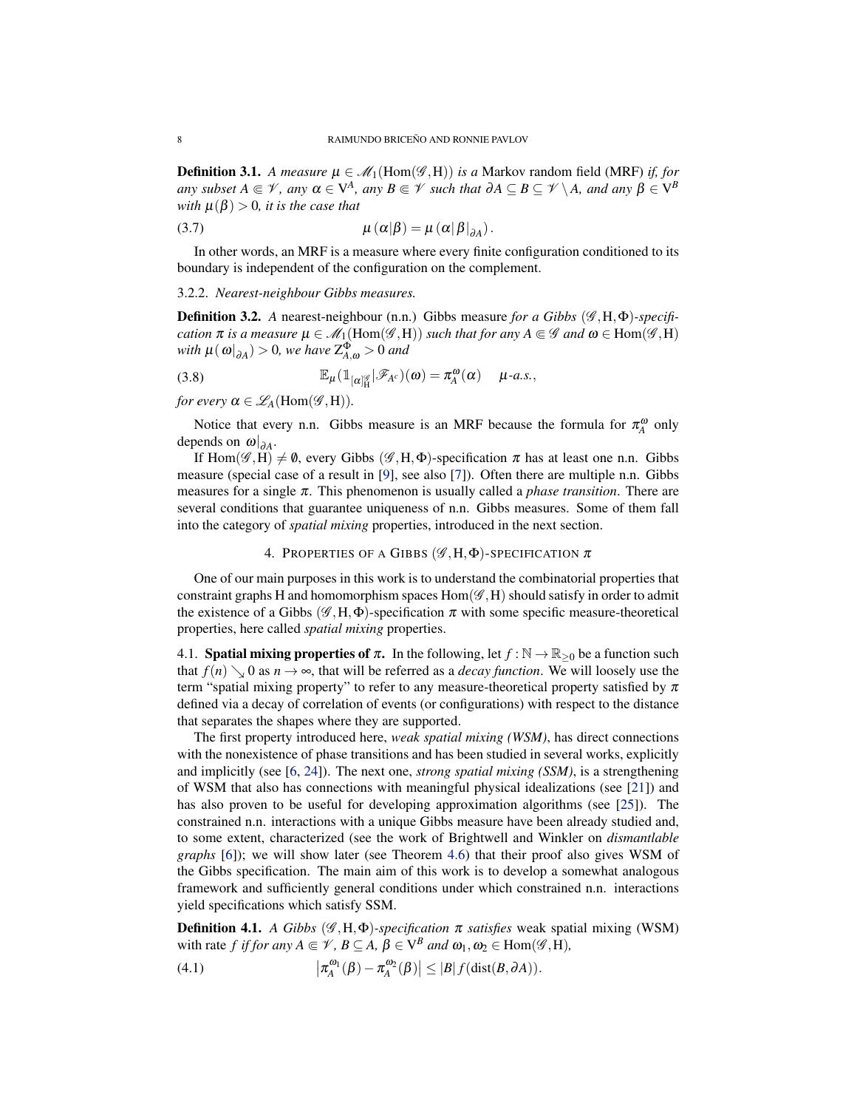<span id="page-7-2"></span>**Definition 3.1.** *A measure*  $\mu \in \mathcal{M}_1(\text{Hom}(\mathcal{G},H))$  *is a* Markov random field (MRF) *if, for any* subset  $A \in \mathcal{V}$ , any  $\alpha \in V^A$ , any  $B \in \mathcal{V}$  such that  $\partial A \subseteq B \subseteq \mathcal{V} \setminus A$ , and any  $\beta \in V^B$ *with*  $\mu(\beta) > 0$ *, it is the case that* 

$$
\mu(\alpha|\beta) = \mu(\alpha|\beta|_{\partial A}).
$$

In other words, an MRF is a measure where every finite configuration conditioned to its boundary is independent of the configuration on the complement.

## 3.2.2. *Nearest-neighbour Gibbs measures.*

**Definition 3.2.** *A* nearest-neighbour (n.n.) Gibbs measure *for a Gibbs* ( $\mathcal{G}, H, \Phi$ )-specifi*cation*  $\pi$  *is a measure*  $\mu \in \mathcal{M}_1(\text{Hom}(\mathcal{G},H))$  *such that for any*  $A \in \mathcal{G}$  *and*  $\omega \in \text{Hom}(\mathcal{G},H)$  $with \mu(\omega|_{\partial A}) > 0$ , we have  $Z_{A,\omega}^{\Phi} > 0$  and

(3.8) 
$$
\mathbb{E}_{\mu}(\mathbb{1}_{[\alpha]_H^{\mathscr{G}}}] \mathscr{F}_{A^c})(\omega) = \pi_A^{\omega}(\alpha) \quad \mu\text{-}a.s.,
$$

*for every*  $\alpha \in \mathscr{L}_A(\text{Hom}(\mathscr{G},H)).$ 

Notice that every n.n. Gibbs measure is an MRF because the formula for  $\pi_A^{\omega}$  only depends on  $\omega|_{\partial A}$ .

If Hom( $\mathscr{G}, H$ )  $\neq \emptyset$ , every Gibbs ( $\mathscr{G}, H$ , $\Phi$ )-specification  $\pi$  has at least one n.n. Gibbs measure (special case of a result in [\[9\]](#page-29-8), see also [\[7\]](#page-29-9)). Often there are multiple n.n. Gibbs measures for a single π. This phenomenon is usually called a *phase transition*. There are several conditions that guarantee uniqueness of n.n. Gibbs measures. Some of them fall into the category of *spatial mixing* properties, introduced in the next section.

## 4. PROPERTIES OF A GIBBS ( $\mathscr{G}, H, \Phi$ )-SPECIFICATION  $\pi$

<span id="page-7-0"></span>One of our main purposes in this work is to understand the combinatorial properties that constraint graphs H and homomorphism spaces  $Hom(\mathscr{G},H)$  should satisfy in order to admit the existence of a Gibbs ( $\mathscr{G}, H, \Phi$ )-specification  $\pi$  with some specific measure-theoretical properties, here called *spatial mixing* properties.

<span id="page-7-1"></span>4.1. **Spatial mixing properties of**  $\pi$ **.** In the following, let  $f : \mathbb{N} \to \mathbb{R}_{\geq 0}$  be a function such that  $f(n) \searrow 0$  as  $n \to \infty$ , that will be referred as a *decay function*. We will loosely use the term "spatial mixing property" to refer to any measure-theoretical property satisfied by  $\pi$ defined via a decay of correlation of events (or configurations) with respect to the distance that separates the shapes where they are supported.

The first property introduced here, *weak spatial mixing (WSM)*, has direct connections with the nonexistence of phase transitions and has been studied in several works, explicitly and implicitly (see [\[6,](#page-29-7) [24\]](#page-30-2)). The next one, *strong spatial mixing (SSM)*, is a strengthening of WSM that also has connections with meaningful physical idealizations (see [\[21\]](#page-30-3)) and has also proven to be useful for developing approximation algorithms (see [\[25\]](#page-30-1)). The constrained n.n. interactions with a unique Gibbs measure have been already studied and, to some extent, characterized (see the work of Brightwell and Winkler on *dismantlable graphs* [\[6\]](#page-29-7)); we will show later (see Theorem [4.6\)](#page-10-1) that their proof also gives WSM of the Gibbs specification. The main aim of this work is to develop a somewhat analogous framework and sufficiently general conditions under which constrained n.n. interactions yield specifications which satisfy SSM.

**Definition 4.1.** *A Gibbs* ( $\mathscr{G}, H, \Phi$ )-specification  $\pi$  satisfies weak spatial mixing (WSM) with rate *f* if for any  $A \in \mathcal{V}$ ,  $B \subseteq A$ ,  $\hat{\beta} \in V^B$  and  $\omega_1, \omega_2 \in \text{Hom}(\mathscr{G}, \tilde{H})$ ,

(4.1) 
$$
\left|\pi_A^{\omega_1}(\beta)-\pi_A^{\omega_2}(\beta)\right|\leq |B|f(\mathrm{dist}(B,\partial A)).
$$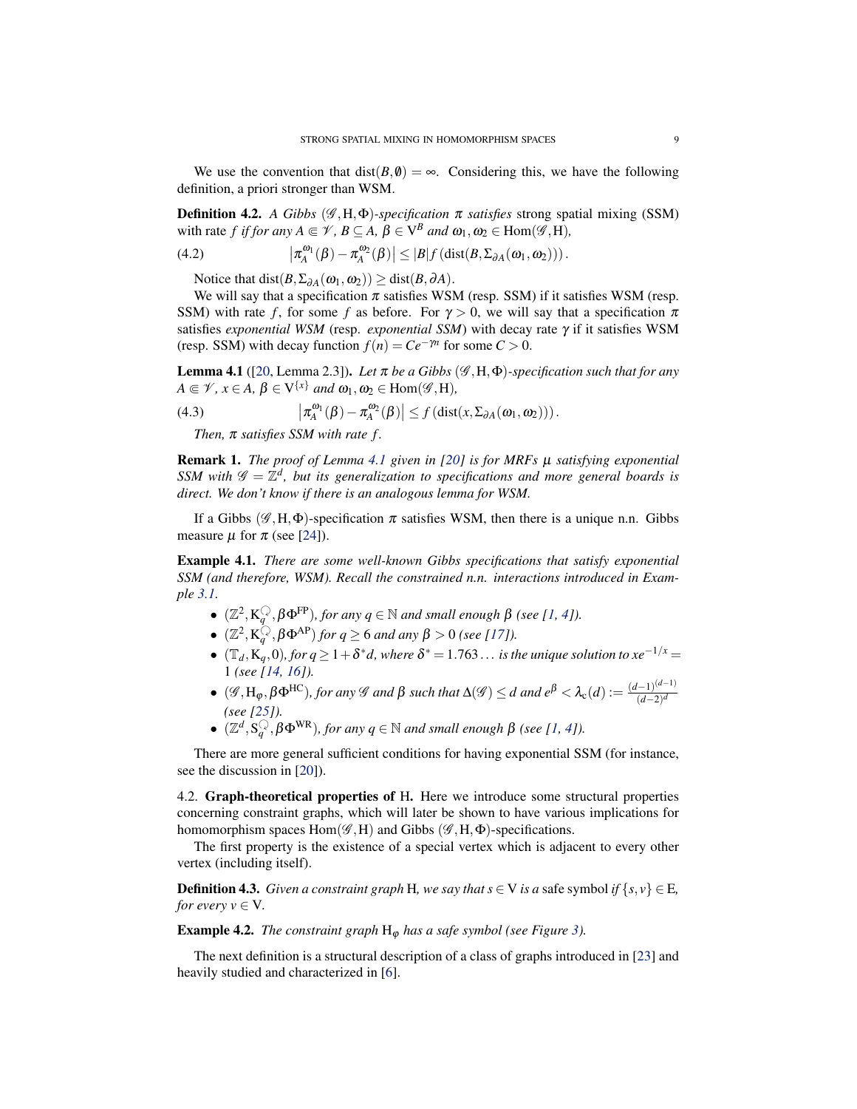<span id="page-8-2"></span>We use the convention that dist( $B, \emptyset$ ) =  $\infty$ . Considering this, we have the following definition, a priori stronger than WSM.

**Definition 4.2.** *A Gibbs* ( $\mathscr{G}, H, \Phi$ )*-specification*  $\pi$  *satisfies* strong spatial mixing (SSM) with rate *f* if for any  $A \in \mathcal{V}$ ,  $B \subseteq A$ ,  $\beta \in V^B$  and  $\omega_1, \omega_2 \in \text{Hom}(\mathcal{G}, H)$ ,

(4.2) 
$$
\left|\pi_A^{\omega_1}(\beta)-\pi_A^{\omega_2}(\beta)\right|\leq |B|f\left(\text{dist}(B,\Sigma_{\partial A}(\omega_1,\omega_2))\right).
$$

Notice that dist $(B, \Sigma_{\partial A}(\omega_1, \omega_2)) \geq \text{dist}(B, \partial A)$ .

We will say that a specification  $\pi$  satisfies WSM (resp. SSM) if it satisfies WSM (resp. SSM) with rate *f*, for some *f* as before. For  $\gamma > 0$ , we will say that a specification  $\pi$ satisfies *exponential WSM* (resp. *exponential SSM*) with decay rate γ if it satisfies WSM (resp. SSM) with decay function  $f(n) = Ce^{-\gamma n}$  for some  $C > 0$ .

<span id="page-8-1"></span>**Lemma 4.1** ([\[20,](#page-30-4) Lemma 2.3]). *Let*  $\pi$  *be a Gibbs* ( $\mathscr{G}, H, \Phi$ )-specification such that for any  $A \in \mathcal{V}, x \in A, \beta \in V^{\{x\}}$  and  $\omega_1, \omega_2 \in \text{Hom}(\mathscr{G},H)$ ,

(4.3) 
$$
\left|\pi_A^{\omega_1}(\beta)-\pi_A^{\omega_2}(\beta)\right|\leq f\left(\text{dist}(x,\Sigma_{\partial A}(\omega_1,\omega_2))\right).
$$

*Then,*  $\pi$  *satisfies SSM with rate f.* 

Remark 1. *The proof of Lemma [4.1](#page-8-1) given in [\[20\]](#page-30-4) is for MRFs* µ *satisfying exponential SSM with*  $\mathscr{G} = \mathbb{Z}^d$ , but its generalization to specifications and more general boards is *direct. We don't know if there is an analogous lemma for WSM.*

If a Gibbs ( $\mathscr{G}, H, \Phi$ )-specification  $\pi$  satisfies WSM, then there is a unique n.n. Gibbs measure  $\mu$  for  $\pi$  (see [\[24\]](#page-30-2)).

Example 4.1. *There are some well-known Gibbs specifications that satisfy exponential SSM (and therefore, WSM). Recall the constrained n.n. interactions introduced in Example [3.1.](#page-5-2)*

- $(\mathbb{Z}^2, K_q^{\mathbb{Q}}, \beta \Phi^{\text{FP}})$ *, for any*  $q \in \mathbb{N}$  *and small enough*  $\beta$  *(see [\[1,](#page-29-10) [4\]](#page-29-11)).*
- $(\mathbb{Z}^2, K_q^{\mathbb{Q}}, \beta \Phi^{AP})$  *for*  $q \ge 6$  *and any*  $\beta > 0$  *(see [\[17\]](#page-29-12)).*
- $\bullet$  ( $\mathbb{T}_d$ , K<sub>q</sub>, 0), for  $q \geq 1+\delta^*d$ , where  $\delta^* = 1.763\ldots$  is the unique solution to xe<sup>-1/x</sup> = 1 *(see [\[14,](#page-29-13) [16\]](#page-29-14)).*
- $\bullet$  (*G*, H<sub>φ</sub>, β $\Phi$ <sup>HC</sup>)*, for any G and* β *such that*  $\Delta$ (*G*)  $\leq$  *d and*  $e^{\beta} < \lambda_c(d) := \frac{(d-1)^{(d-1)}}{(d-2)^d}$ (*d*−2) *d (see [\[25\]](#page-30-1)).*
- $(\mathbb{Z}^d, \mathsf{S}_q^{\mathbb{Q}}, \beta \Phi^{\text{WR}})$ , for any  $q \in \mathbb{N}$  and small enough  $\beta$  (see [\[1,](#page-29-10) [4\]](#page-29-11)).

There are more general sufficient conditions for having exponential SSM (for instance, see the discussion in [\[20\]](#page-30-4)).

<span id="page-8-0"></span>4.2. Graph-theoretical properties of H. Here we introduce some structural properties concerning constraint graphs, which will later be shown to have various implications for homomorphism spaces Hom( $\mathscr{G}, H$ ) and Gibbs ( $\mathscr{G}, H$ , $\Phi$ )-specifications.

The first property is the existence of a special vertex which is adjacent to every other vertex (including itself).

**Definition 4.3.** *Given a constraint graph* H, we say that  $s \in V$  *is a* safe symbol *if*  $\{s, v\} \in E$ *, for every*  $v \in V$ .

**Example 4.2.** *The constraint graph*  $H_{\phi}$  *has a safe symbol (see Figure [3\)](#page-4-1).* 

The next definition is a structural description of a class of graphs introduced in [\[23\]](#page-30-5) and heavily studied and characterized in [\[6\]](#page-29-7).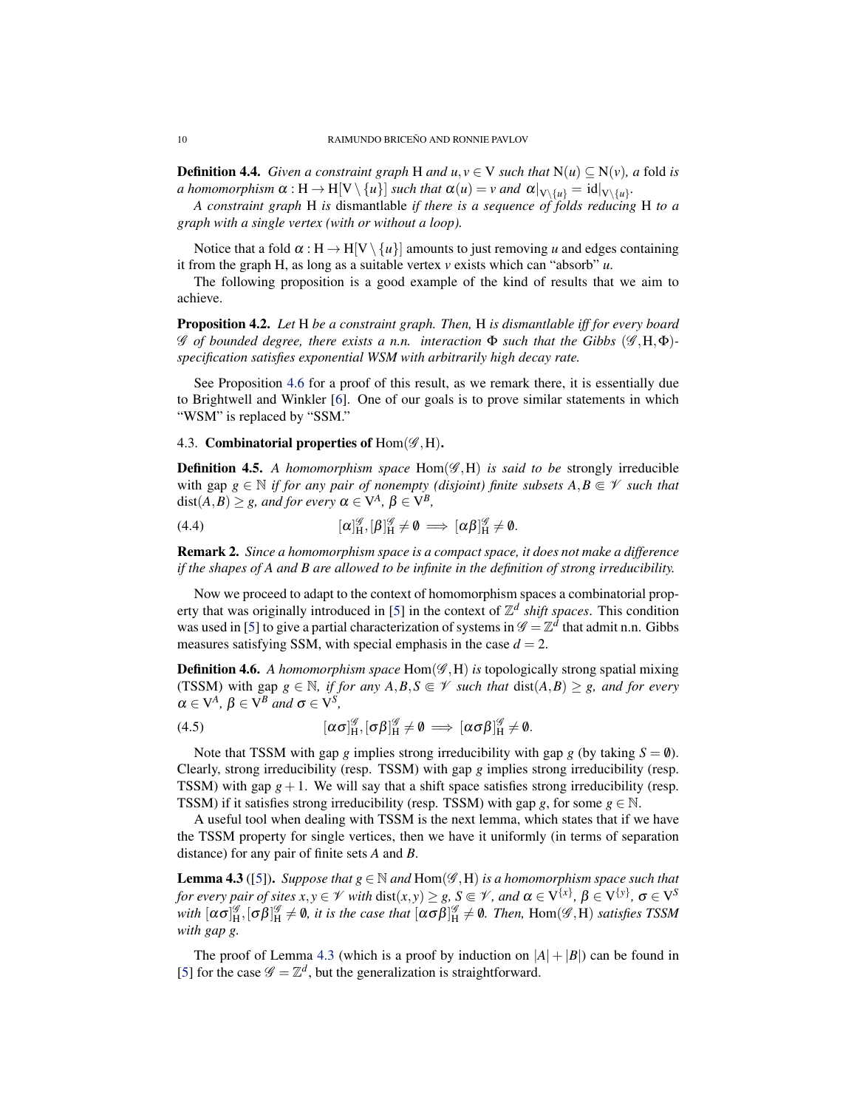<span id="page-9-2"></span>**Definition 4.4.** *Given a constraint graph* H *and*  $u, v \in V$  *such that*  $N(u) \subseteq N(v)$ *, a fold is a homomorphism*  $\alpha$  :  $H \to H[V \setminus \{u\}]$  *such that*  $\alpha(u) = v$  *and*  $\alpha|_{V \setminus \{u\}} = id|_{V \setminus \{u\}}$ .

*A constraint graph* H *is* dismantlable *if there is a sequence of folds reducing* H *to a graph with a single vertex (with or without a loop).*

Notice that a fold  $\alpha : H \to H[V \setminus \{u\}]$  amounts to just removing *u* and edges containing it from the graph H, as long as a suitable vertex *v* exists which can "absorb" *u*.

The following proposition is a good example of the kind of results that we aim to achieve.

Proposition 4.2. *Let* H *be a constraint graph. Then,* H *is dismantlable iff for every board* G *of bounded degree, there exists a n.n. interaction* Φ *such that the Gibbs* (G ,H,Φ) *specification satisfies exponential WSM with arbitrarily high decay rate.*

See Proposition [4.6](#page-10-1) for a proof of this result, as we remark there, it is essentially due to Brightwell and Winkler [\[6\]](#page-29-7). One of our goals is to prove similar statements in which "WSM" is replaced by "SSM."

### <span id="page-9-0"></span>4.3. Combinatorial properties of  $Hom(\mathscr{G},H)$ .

**Definition 4.5.** A homomorphism space  $Hom(\mathscr{G},H)$  is said to be strongly irreducible with gap  $g \in \mathbb{N}$  *if for any pair of nonempty (disjoint) finite subsets*  $A, B \subseteq \mathcal{V}$  *such that*  $dist(A, B) \geq g$ *, and for every*  $\alpha \in V^A$ ,  $\beta \in V^B$ *,* 

(4.4) 
$$
[\alpha]_H^{\mathscr{G}},[\beta]_H^{\mathscr{G}} \neq \emptyset \implies [\alpha \beta]_H^{\mathscr{G}} \neq \emptyset.
$$

Remark 2. *Since a homomorphism space is a compact space, it does not make a difference if the shapes of A and B are allowed to be infinite in the definition of strong irreducibility.*

Now we proceed to adapt to the context of homomorphism spaces a combinatorial prop-erty that was originally introduced in [\[5\]](#page-29-2) in the context of  $\mathbb{Z}^d$  *shift spaces*. This condition was used in [\[5\]](#page-29-2) to give a partial characterization of systems in  $\mathscr{G} = \mathbb{Z}^d$  that admit n.n. Gibbs measures satisfying SSM, with special emphasis in the case  $d = 2$ .

Definition 4.6. A homomorphism space Hom( $\mathscr{G}, H$ ) is topologically strong spatial mixing (TSSM) with gap  $g \in \mathbb{N}$ , if for any  $A, B, S \in \mathcal{V}$  such that  $dist(A, B) \ge g$ , and for every  $\alpha \in V^A$ ,  $\beta \in V^B$  and  $\sigma \in V^S$ ,

$$
(4.5) \t\t\t [\alpha \sigma]_H^{\mathscr{G}}, [\sigma \beta]_H^{\mathscr{G}} \neq \emptyset \implies [\alpha \sigma \beta]_H^{\mathscr{G}} \neq \emptyset.
$$

Note that TSSM with gap *g* implies strong irreducibility with gap *g* (by taking  $S = \emptyset$ ). Clearly, strong irreducibility (resp. TSSM) with gap *g* implies strong irreducibility (resp. TSSM) with gap  $g+1$ . We will say that a shift space satisfies strong irreducibility (resp. TSSM) if it satisfies strong irreducibility (resp. TSSM) with gap *g*, for some  $g \in \mathbb{N}$ .

A useful tool when dealing with TSSM is the next lemma, which states that if we have the TSSM property for single vertices, then we have it uniformly (in terms of separation distance) for any pair of finite sets *A* and *B*.

<span id="page-9-1"></span>**Lemma 4.3** ([\[5\]](#page-29-2)). *Suppose that*  $g \in \mathbb{N}$  *and*  $\text{Hom}(\mathscr{G},H)$  *is a homomorphism space such that for every pair of sites*  $x, y \in V$  *with*  $dist(x, y) \geq g$ *,*  $S \Subset V$ *, and*  $\alpha \in V^{\{x\}}$ *,*  $\beta \in V^{\{y\}}$ *,*  $\sigma \in V^S$ with  $[\alpha \sigma]_H^{\mathscr{G}},[\sigma \beta]_H^{\mathscr{G}} \neq \emptyset$ , it is the case that  $[\alpha \sigma \beta]_H^{\mathscr{G}} \neq \emptyset$ . Then, Hom $(\mathscr{G},H)$  satisfies TSSM *with gap g.*

The proof of Lemma [4.3](#page-9-1) (which is a proof by induction on  $|A| + |B|$ ) can be found in [\[5\]](#page-29-2) for the case  $\mathscr{G} = \mathbb{Z}^d$ , but the generalization is straightforward.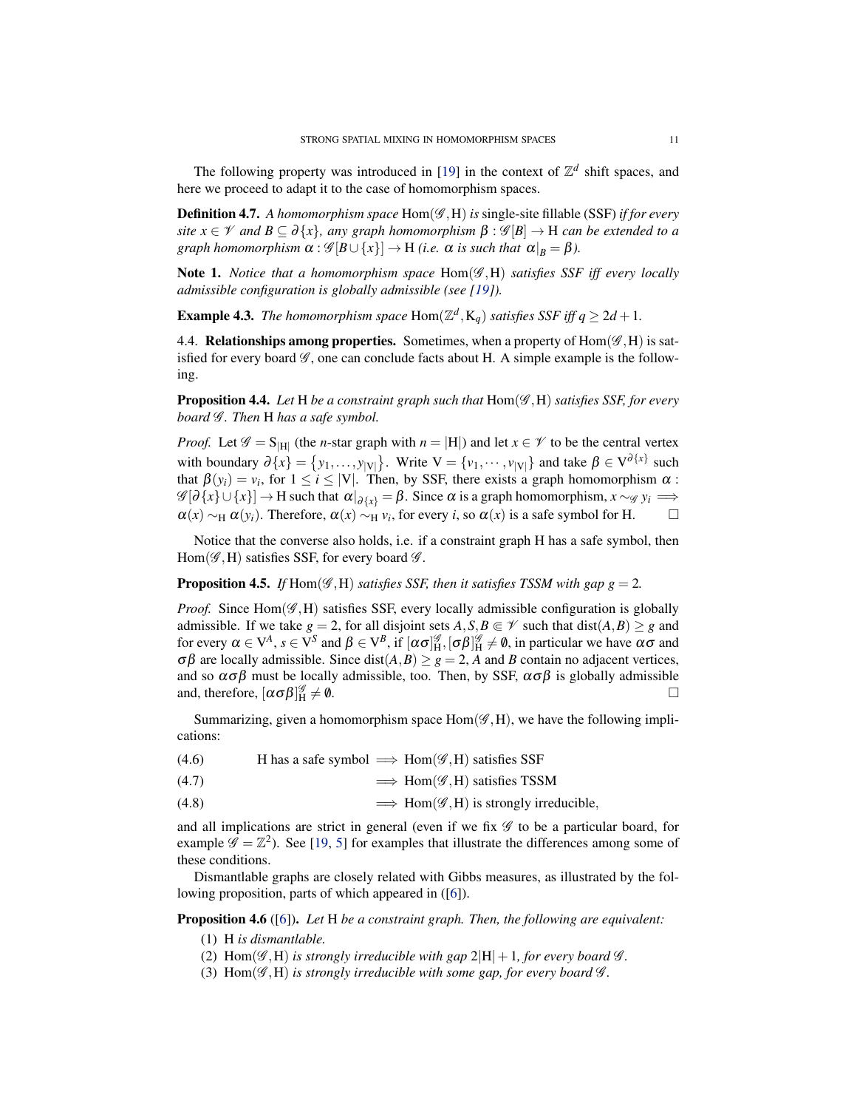<span id="page-10-5"></span>The following property was introduced in [\[19\]](#page-30-0) in the context of  $\mathbb{Z}^d$  shift spaces, and here we proceed to adapt it to the case of homomorphism spaces.

**Definition 4.7.** A homomorphism space Hom( $\mathscr{G}, H$ ) is single-site fillable (SSF) *if for every site*  $x \in \mathcal{V}$  *and*  $B \subseteq \partial \{x\}$ *, any graph homomorphism*  $\beta : \mathcal{G}[B] \to H$  *can be extended to a graph homomorphism*  $\alpha : \mathscr{G}[B \cup \{x\}] \rightarrow H$  *(i.e.*  $\alpha$  *is such that*  $\alpha|_B = \beta$ ).

Note 1. *Notice that a homomorphism space* Hom(G ,H) *satisfies SSF iff every locally admissible configuration is globally admissible (see [\[19\]](#page-30-0)).*

**Example 4.3.** The homomorphism space Hom $(\mathbb{Z}^d, K_q)$  satisfies SSF iff  $q \geq 2d + 1$ .

<span id="page-10-0"></span>4.4. Relationships among properties. Sometimes, when a property of  $Hom(\mathscr{G},H)$  is satisfied for every board  $\mathscr G$ , one can conclude facts about H. A simple example is the following.

<span id="page-10-2"></span>Proposition 4.4. Let H be a constraint graph such that  $Hom(\mathscr{G},H)$  satisfies SSF, for every *board*  $G$ *. Then* H *has a safe symbol.* 

*Proof.* Let  $\mathscr{G} = S_{H}$  (the *n*-star graph with  $n = |H|$ ) and let  $x \in \mathscr{V}$  to be the central vertex with boundary  $\partial \{x\} = \{y_1, \ldots, y_{|V|}\}\$ . Write  $V = \{v_1, \cdots, v_{|V|}\}\$  and take  $\beta \in V^{\partial \{x\}}\$  such that  $\beta(y_i) = v_i$ , for  $1 \le i \le |V|$ . Then, by SSF, there exists a graph homomorphism  $\alpha$ :  $\mathscr{G}[\partial \{x\} \cup \{x\}] \to H$  such that  $\alpha|_{\partial \{x\}} = \beta$ . Since  $\alpha$  is a graph homomorphism,  $x \sim_{\mathscr{G}} y_i \implies$  $\alpha(x) \sim_H \alpha(y_i)$ . Therefore,  $\alpha(x) \sim_H v_i$ , for every *i*, so  $\alpha(x)$  is a safe symbol for H.

Notice that the converse also holds, i.e. if a constraint graph H has a safe symbol, then Hom( $\mathscr{G}, H$ ) satisfies SSF, for every board  $\mathscr{G}$ .

## <span id="page-10-4"></span>**Proposition 4.5.** *If* Hom( $\mathscr G$ , H) *satisfies SSF, then it satisfies TSSM with gap*  $g = 2$ *.*

*Proof.* Since  $Hom(\mathscr{G},H)$  satisfies SSF, every locally admissible configuration is globally admissible. If we take  $g = 2$ , for all disjoint sets  $A, S, B \in \mathcal{V}$  such that dist $(A, B) \ge g$  and for every  $\alpha \in V^A$ ,  $s \in V^S$  and  $\beta \in V^B$ , if  $[\alpha \sigma]_H^{\mathscr{G}}, [\sigma \beta]_H^{\mathscr{G}} \neq \emptyset$ , in particular we have  $\alpha \sigma$  and σβ are locally admissible. Since dist(*A*,*B*) ≥ *g* = 2, *A* and *B* contain no adjacent vertices, and so  $\alpha \sigma \beta$  must be locally admissible, too. Then, by SSF,  $\alpha \sigma \beta$  is globally admissible and, therefore,  $[\alpha \sigma \beta]_H^{\mathscr{G}}$  $\neq 0$ .

Summarizing, given a homomorphism space  $Hom(\mathscr{G},H)$ , we have the following implications:

- $(4.6)$  H has a safe symbol  $\implies$  Hom $(\mathscr{G}, H)$  satisfies SSF
- $(4.7)$   $\implies$  Hom( $\mathscr{G},$ H) satisfies TSSM
- <span id="page-10-3"></span>(4.8)  $\implies$  Hom( $\mathscr{G},$ H) is strongly irreducible,

and all implications are strict in general (even if we fix  $\mathscr G$  to be a particular board, for example  $\mathscr{G} = \mathbb{Z}^2$ ). See [\[19,](#page-30-0) [5\]](#page-29-2) for examples that illustrate the differences among some of these conditions.

Dismantlable graphs are closely related with Gibbs measures, as illustrated by the following proposition, parts of which appeared in ([\[6\]](#page-29-7)).

<span id="page-10-1"></span>Proposition 4.6 ([\[6\]](#page-29-7)). *Let* H *be a constraint graph. Then, the following are equivalent:*

- (1) H *is dismantlable.*
- (2) Hom( $\mathscr{G}, H$ ) *is strongly irreducible with gap*  $2|H|+1$ *, for every board*  $\mathscr{G}$ *.*
- (3)  $Hom(\mathscr{G},H)$  *is strongly irreducible with some gap, for every board*  $\mathscr{G}$ *.*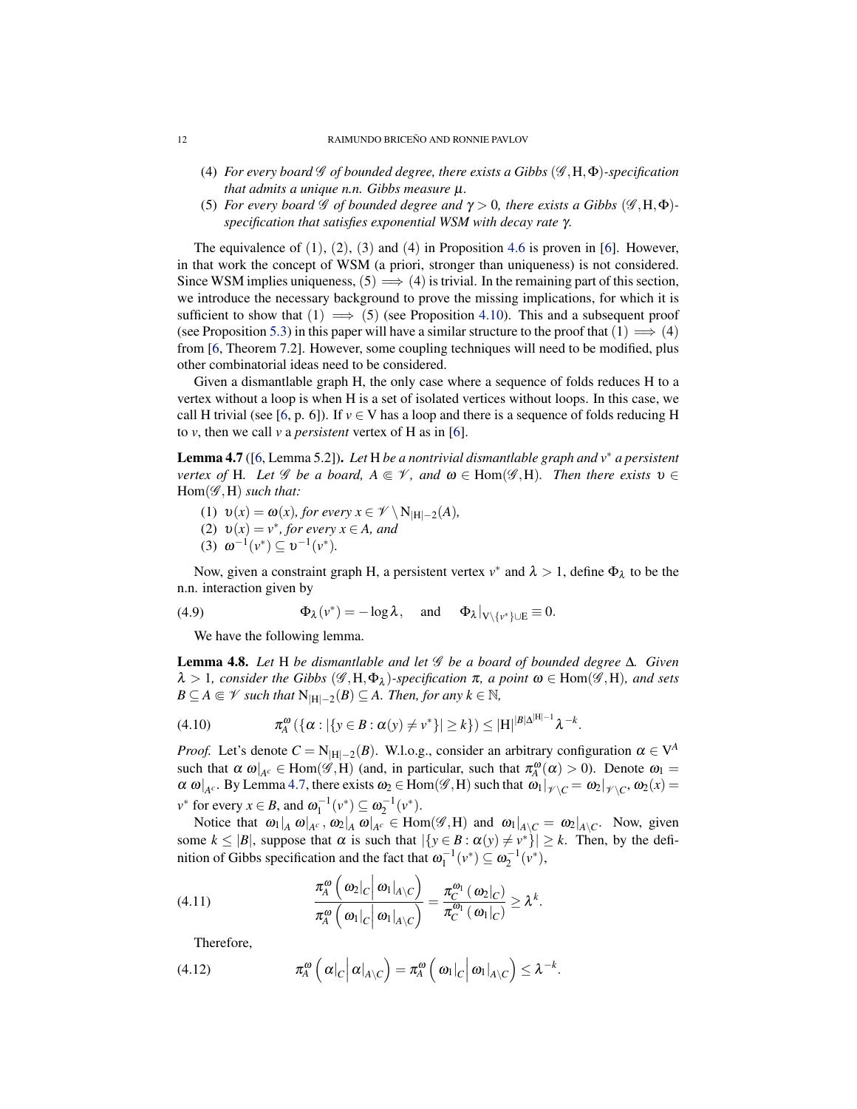- (4) *For every board* G *of bounded degree, there exists a Gibbs* (G ,H,Φ)*-specification that admits a unique n.n. Gibbs measure* µ*.*
- (5) *For every board*  $\mathscr G$  *of bounded degree and*  $\gamma > 0$ *, there exists a Gibbs*  $(\mathscr G, H, \Phi)$ *specification that satisfies exponential WSM with decay rate* γ*.*

The equivalence of  $(1)$ ,  $(2)$ ,  $(3)$  and  $(4)$  in Proposition [4.6](#page-10-1) is proven in [\[6\]](#page-29-7). However, in that work the concept of WSM (a priori, stronger than uniqueness) is not considered. Since WSM implies uniqueness,  $(5) \implies (4)$  is trivial. In the remaining part of this section, we introduce the necessary background to prove the missing implications, for which it is sufficient to show that  $(1) \implies (5)$  (see Proposition [4.10\)](#page-12-0). This and a subsequent proof (see Proposition [5.3\)](#page-16-2) in this paper will have a similar structure to the proof that  $(1) \implies (4)$ from [\[6,](#page-29-7) Theorem 7.2]. However, some coupling techniques will need to be modified, plus other combinatorial ideas need to be considered.

Given a dismantlable graph H, the only case where a sequence of folds reduces H to a vertex without a loop is when H is a set of isolated vertices without loops. In this case, we call H trivial (see [\[6,](#page-29-7) p. 6]). If  $v \in V$  has a loop and there is a sequence of folds reducing H to *v*, then we call *v* a *persistent* vertex of H as in [\[6\]](#page-29-7).

<span id="page-11-0"></span>Lemma 4.7 ([\[6,](#page-29-7) Lemma 5.2]). *Let* H *be a nontrivial dismantlable graph and v*<sup>∗</sup> *a persistent vertex of* H*. Let* G *be a board,*  $A \subseteq V$ *, and*  $\omega \in Hom(\mathscr{G},H)$ *. Then there exists*  $v \in$ Hom(G ,H) *such that:*

- (1)  $v(x) = \omega(x)$ , for every  $x \in \mathcal{V} \setminus N_{|H|-2}(A)$ ,
- (2)  $v(x) = v^*$ , for every  $x \in A$ , and
- (3)  $\omega^{-1}(v^*) \subseteq v^{-1}(v^*).$

Now, given a constraint graph H, a persistent vertex  $v^*$  and  $\lambda > 1$ , define  $\Phi_{\lambda}$  to be the n.n. interaction given by

(4.9) 
$$
\Phi_{\lambda}(v^*) = -\log \lambda, \text{ and } \Phi_{\lambda}|_{V \setminus \{v^*\} \cup E} \equiv 0.
$$

We have the following lemma.

<span id="page-11-1"></span>Lemma 4.8. *Let* H *be dismantlable and let* G *be a board of bounded degree* ∆*. Given*  $\lambda > 1$ , consider the Gibbs  $(\mathscr{G}, H, \Phi_{\lambda})$ -specification  $\pi$ , a point  $\omega \in$  Hom $(\mathscr{G}, H)$ , and sets  $B \subseteq A \Subset \mathscr{V}$  *such that*  $N_{|H|-2}(B) \subseteq A$ *. Then, for any*  $k \in \mathbb{N}$ *,* 

(4.10) 
$$
\pi_A^{\omega}(\{\alpha : |\{y \in B : \alpha(y) \neq v^*\}| \ge k\}) \le |H|^{|B|\Delta^{|H|-1}} \lambda^{-k}.
$$

*Proof.* Let's denote  $C = N_{|H|-2}(B)$ . W.l.o.g., consider an arbitrary configuration  $\alpha \in V^A$ such that  $\alpha \omega|_{A^c} \in \text{Hom}(\mathscr{G},H)$  (and, in particular, such that  $\pi_A^{\omega}(\alpha) > 0$ ). Denote  $\omega_1 =$  $\alpha \omega|_{A^c}$ . By Lemma [4.7,](#page-11-0) there exists  $\omega_2 \in \text{Hom}(\mathscr{G},H)$  such that  $\omega_1|_{\mathscr{V} \setminus C} = \omega_2|_{\mathscr{V} \setminus C}$ ,  $\omega_2(x) =$  $v^*$  for every  $x \in B$ , and  $\omega_1^{-1}(v^*) \subseteq \omega_2^{-1}(v^*)$ .

Notice that  $\omega_1|_A \omega|_{A^c}$ ,  $\omega_2|_A \omega|_{A^c} \in \text{Hom}(\mathscr{G},H)$  and  $\omega_1|_{A \setminus C} = \omega_2|_{A \setminus C}$ . Now, given some  $k \leq |B|$ , suppose that  $\alpha$  is such that  $|\{y \in B : \alpha(y) \neq v^*\}| \geq k$ . Then, by the definition of Gibbs specification and the fact that  $\omega_1^{-1}(v^*) \subseteq \omega_2^{-1}(v^*),$ 

(4.11) 
$$
\frac{\pi_A^{\omega}\left(\omega_2|_C\right|\omega_1|_{A\setminus C}}{\pi_A^{\omega}\left(\omega_1|_C\right|\omega_1|_{A\setminus C}\right)} = \frac{\pi_C^{\omega_1}\left(\omega_2|_C\right)}{\pi_C^{\omega_1}\left(\omega_1|_C\right)} \ge \lambda^k.
$$

 $\overline{ }$ 

Therefore,

(4.12) 
$$
\pi_A^{\omega}\left(\left.\alpha\right|_C\right|\left.\alpha\right|_{A\setminus C}\right)=\pi_A^{\omega}\left(\left.\omega_1\right|_C\right|\left.\omega_1\right|_{A\setminus C}\right)\leq\lambda^{-k}.
$$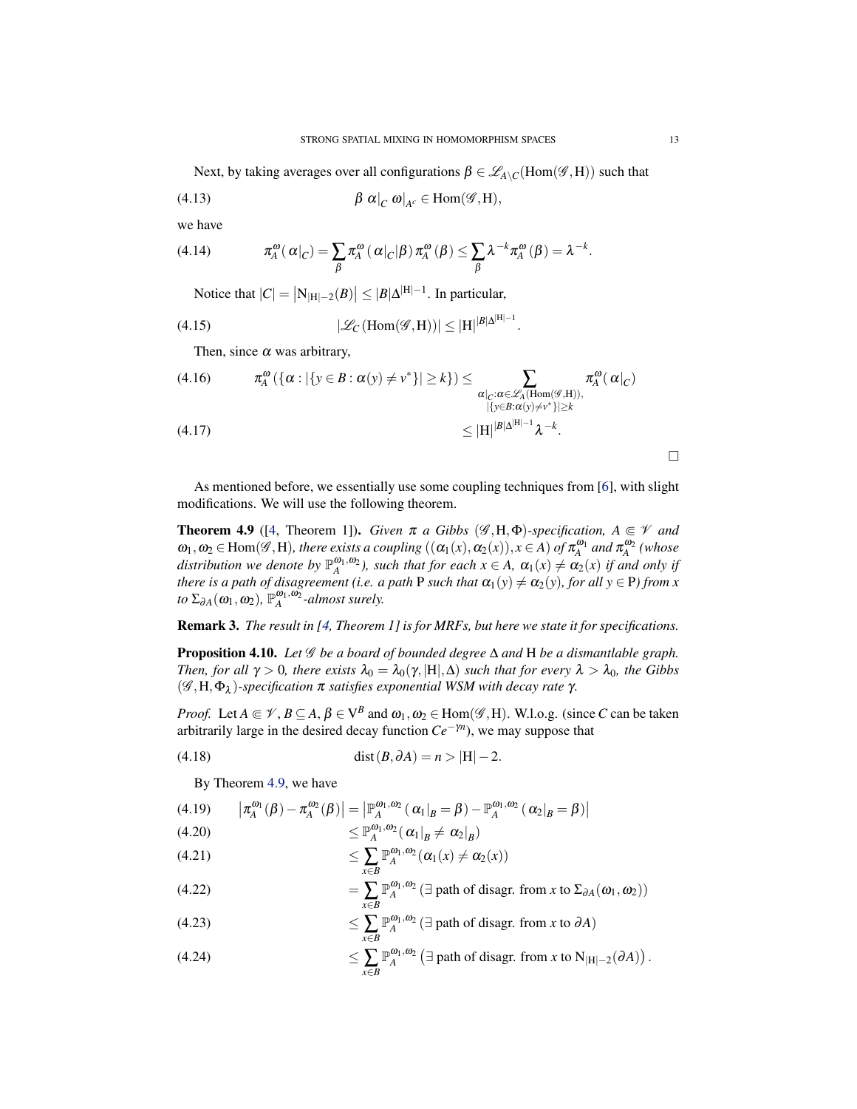<span id="page-12-2"></span>Next, by taking averages over all configurations  $\beta \in \mathscr{L}_{A\setminus C}(\text{Hom}(\mathscr{G},H))$  such that

(4.13) 
$$
\beta \alpha|_{C} \omega|_{A^{c}} \in \text{Hom}(\mathscr{G},H),
$$

we have

(4.14) 
$$
\pi_A^{\omega}(\alpha|_C) = \sum_{\beta} \pi_A^{\omega}(\alpha|_C|\beta) \pi_A^{\omega}(\beta) \leq \sum_{\beta} \lambda^{-k} \pi_A^{\omega}(\beta) = \lambda^{-k}.
$$

Notice that  $|C| = |N_{|H|-2}(B)| \le |B|\Delta^{|H|-1}$ . In particular,

(4.15) 
$$
|\mathscr{L}_C(\text{Hom}(\mathscr{G},H))| \leq |H|^{|B|\Delta^{|H|-1}}
$$

Then, since  $\alpha$  was arbitrary,

$$
(4.16) \qquad \pi_A^{\omega}(\{\alpha : |\{y \in B : \alpha(y) \neq v^*\}| \ge k\}) \le \sum_{\substack{\alpha|_{C}:\alpha \in \mathscr{L}_{A}(\text{Hom}(\mathscr{G},H)),\\ |\{y \in B:\alpha(y) \neq v^*\}| \ge k}} \pi_A^{\omega}(\alpha|_{C})
$$
\n
$$
(4.17) \qquad \le |\mathbf{H}|^{|B|\Delta^{|H|-1}} \lambda^{-k}.
$$

 $\Box$ 

As mentioned before, we essentially use some coupling techniques from [\[6\]](#page-29-7), with slight modifications. We will use the following theorem.

.

<span id="page-12-1"></span>**Theorem 4.9** ([\[4,](#page-29-11) Theorem 1]). *Given*  $\pi$  *a Gibbs* ( $\mathscr{G}, H, \Phi$ )*-specification,*  $A \subseteq \mathscr{V}$  *and*  $\omega_1, \omega_2 \in \text{Hom}(\mathscr{G}, H)$ , there exists a coupling  $((\alpha_1(x), \alpha_2(x)), x \in A)$  of  $\pi_A^{\omega_1}$  and  $\pi_A^{\omega_2}$  (whose *distribution we denote by*  $\mathbb{P}_{A}^{\omega_1,\omega_2}$ , such that for each  $x \in A$ ,  $\alpha_1(x) \neq \alpha_2(x)$  if and only if *there is a path of disagreement (i.e. a path* P *such that*  $\alpha_1(y) \neq \alpha_2(y)$ *, for all*  $y \in P$ *) from x*  $\int$ *to*  $\Sigma_{\partial A}(\omega_1, \omega_2)$ ,  $\mathbb{P}_A^{\omega_1, \omega_2}$ -almost surely.

Remark 3. *The result in [\[4,](#page-29-11) Theorem 1] is for MRFs, but here we state it for specifications.*

<span id="page-12-0"></span>Proposition 4.10. *Let* G *be a board of bounded degree* ∆ *and* H *be a dismantlable graph. Then, for all*  $\gamma > 0$ *, there exists*  $\lambda_0 = \lambda_0(\gamma, |H|, \Delta)$  *such that for every*  $\lambda > \lambda_0$ *, the Gibbs* (G ,H,Φ<sup>λ</sup> )*-specification* π *satisfies exponential WSM with decay rate* γ*.*

*Proof.* Let  $A \in \mathcal{V}$ ,  $B \subseteq A$ ,  $\beta \in V^B$  and  $\omega_1, \omega_2 \in \text{Hom}(\mathcal{G}, H)$ . W.l.o.g. (since *C* can be taken arbitrarily large in the desired decay function  $Ce^{-\gamma n}$ ), we may suppose that

(4.18) 
$$
\text{dist}(B, \partial A) = n > |H| - 2.
$$

By Theorem [4.9,](#page-12-1) we have

(4.19) 
$$
\left| \pi_A^{\omega_1}(\beta) - \pi_A^{\omega_2}(\beta) \right| = \left| \mathbb{P}_A^{\omega_1, \omega_2}(\alpha_1|_{B} = \beta) - \mathbb{P}_A^{\omega_1, \omega_2}(\alpha_2|_{B} = \beta) \right|
$$
  
(4.20) 
$$
\left| \pi_A^{\omega_1}(\beta) - \pi_A^{\omega_2}(\beta) \right| \leq \mathbb{P}^{\omega_1, \omega_2}(\alpha_1|_{B} = \beta) - \mathbb{P}_A^{\omega_1, \omega_2}(\alpha_2|_{B} = \beta)
$$

$$
(4.20) \qquad \qquad \leq \mathbb{P}_{A}^{\omega_1,\omega_2}(\left.\alpha_1\right|_B \neq \left.\alpha_2\right|_B)
$$

$$
(4.21) \qquad \qquad \leq \sum_{x \in B} \mathbb{P}_A^{\omega_1, \omega_2}(\alpha_1(x) \neq \alpha_2(x))
$$

(4.22) 
$$
= \sum_{x \in B} \mathbb{P}_A^{\omega_1, \omega_2} (\exists \text{ path of diagram from } x \text{ to } \Sigma_{\partial A}(\omega_1, \omega_2))
$$

(4.23) 
$$
\leq \sum_{x \in B} \mathbb{P}_A^{\omega_1, \omega_2} (\exists \text{ path of diagram from } x \text{ to } \partial A)
$$

(4.24) 
$$
\leq \sum_{x \in B} \mathbb{P}_A^{\omega_1, \omega_2} \left( \exists \text{ path of diagram from } x \text{ to } N_{|H|-2}(\partial A) \right).
$$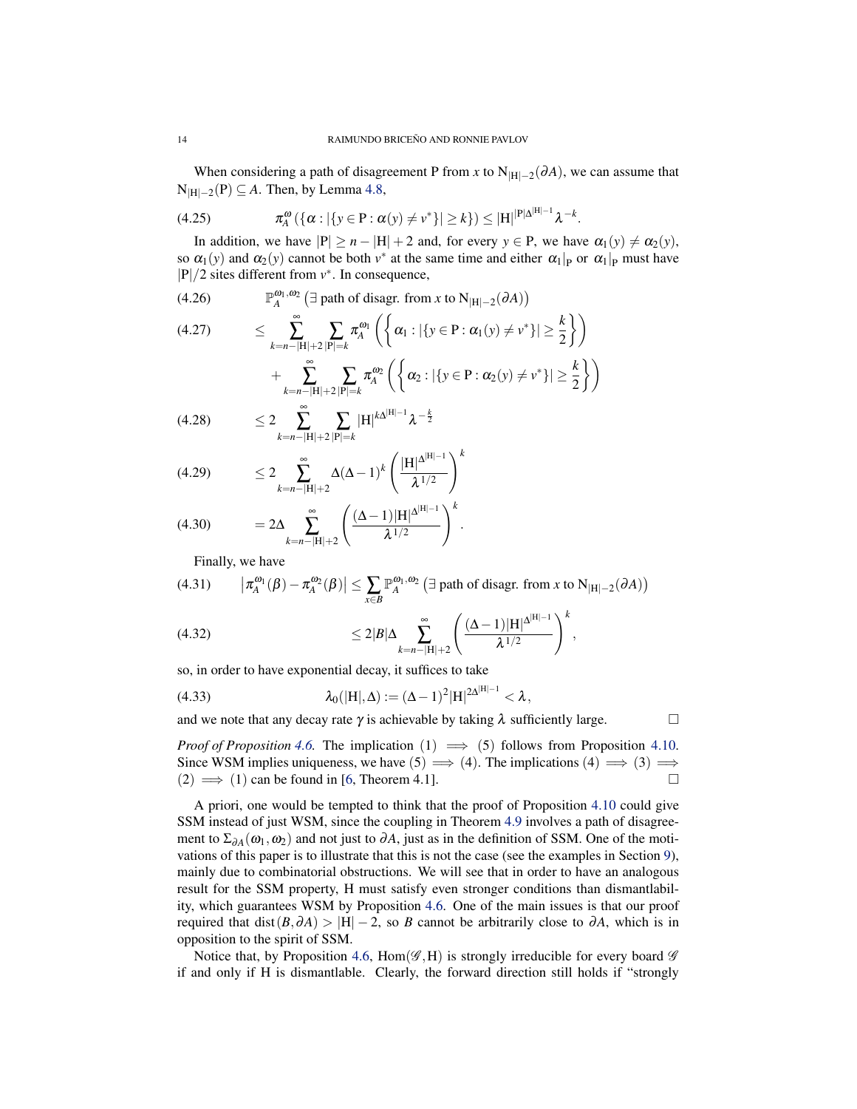<span id="page-13-0"></span>When considering a path of disagreement P from *x* to  $N_{|H|-2}(\partial A)$ , we can assume that N|H|−<sup>2</sup> (P) ⊆ *A*. Then, by Lemma [4.8,](#page-11-1)

(4.25) 
$$
\pi_A^{\omega}(\{\alpha : |\{y \in P : \alpha(y) \neq v^*\}| \ge k\}) \le |H|^{|P|\Delta^{|H|-1}} \lambda^{-k}.
$$

In addition, we have  $|P| \ge n - |H| + 2$  and, for every  $y \in P$ , we have  $\alpha_1(y) \ne \alpha_2(y)$ , so  $\alpha_1(y)$  and  $\alpha_2(y)$  cannot be both  $v^*$  at the same time and either  $\alpha_1|_P$  or  $\alpha_1|_P$  must have |P|/2 sites different from *v* ∗ . In consequence,

(4.26) 
$$
\mathbb{P}_A^{\omega_1, \omega_2} \left( \exists \text{ path of diagram from } x \text{ to } N_{|H|-2}(\partial A) \right)
$$

$$
(4.27) \leq \sum_{k=n-|H|+2}^{\infty} \sum_{|\mathbf{P}|=k} \pi_A^{\omega_1} \left( \left\{ \alpha_1 : |\{ \mathbf{y} \in \mathbf{P} : \alpha_1(\mathbf{y}) \neq \mathbf{v}^* \}| \geq \frac{k}{2} \right\} \right) + \sum_{k=n-|H|+2}^{\infty} \sum_{|\mathbf{P}|=k} \pi_A^{\omega_2} \left( \left\{ \alpha_2 : |\{ \mathbf{y} \in \mathbf{P} : \alpha_2(\mathbf{y}) \neq \mathbf{v}^* \}| \geq \frac{k}{2} \right\} \right)
$$

$$
(4.28) \qquad \leq 2 \sum_{k=n-|\mathbf{H}|+2}^{\infty} \sum_{|\mathbf{P}|=k} |\mathbf{H}|^{k\Delta^{|\mathbf{H}|-1}} \lambda^{-\frac{k}{2}}
$$

(4.29) 
$$
\leq 2 \sum_{k=n-|H|+2}^{\infty} \Delta(\Delta-1)^k \left( \frac{|H|^{\Delta^{|H|-1}}}{\lambda^{1/2}} \right)^k
$$

(4.30) 
$$
=2\Delta \sum_{k=n-|H|+2}^{\infty} \left(\frac{(\Delta-1)|H|^{\Delta^{|H|-1}}}{\lambda^{1/2}}\right)^k.
$$

Finally, we have

(4.31) 
$$
\left|\pi_A^{\omega_1}(\beta)-\pi_A^{\omega_2}(\beta)\right|\leq \sum_{x\in B}\mathbb{P}_A^{\omega_1,\omega_2}\left(\exists \text{ path of diagram from } x \text{ to } N_{|H|-2}(\partial A)\right)
$$

(4.32) 
$$
\leq 2|B|\Delta \sum_{k=n-|H|+2}^{\infty} \left(\frac{(\Delta-1)|H|^{\Delta^{|H|-1}}}{\lambda^{1/2}}\right)^k,
$$

so, in order to have exponential decay, it suffices to take

(4.33) 
$$
\lambda_0(|H|,\Delta) := (\Delta - 1)^2 |H|^{2\Delta^{|H|-1}} < \lambda,
$$

and we note that any decay rate  $\gamma$  is achievable by taking  $\lambda$  sufficiently large.

*Proof of Proposition* [4.6.](#page-10-1) The implication  $(1) \implies (5)$  follows from Proposition [4.10.](#page-12-0) Since WSM implies uniqueness, we have  $(5) \implies (4)$ . The implications  $(4) \implies (3) \implies$  $(2) \implies (1)$  can be found in [\[6,](#page-29-7) Theorem 4.1].

A priori, one would be tempted to think that the proof of Proposition [4.10](#page-12-0) could give SSM instead of just WSM, since the coupling in Theorem [4.9](#page-12-1) involves a path of disagreement to  $\Sigma_{\partial A}(\omega_1, \omega_2)$  and not just to  $\partial A$ , just as in the definition of SSM. One of the motivations of this paper is to illustrate that this is not the case (see the examples in Section [9\)](#page-24-0), mainly due to combinatorial obstructions. We will see that in order to have an analogous result for the SSM property, H must satisfy even stronger conditions than dismantlability, which guarantees WSM by Proposition [4.6.](#page-10-1) One of the main issues is that our proof required that dist( $B, \partial A$ ) > |H| − 2, so *B* cannot be arbitrarily close to  $\partial A$ , which is in opposition to the spirit of SSM.

Notice that, by Proposition [4.6,](#page-10-1)  $Hom(\mathscr{G},H)$  is strongly irreducible for every board  $\mathscr{G}$ if and only if H is dismantlable. Clearly, the forward direction still holds if "strongly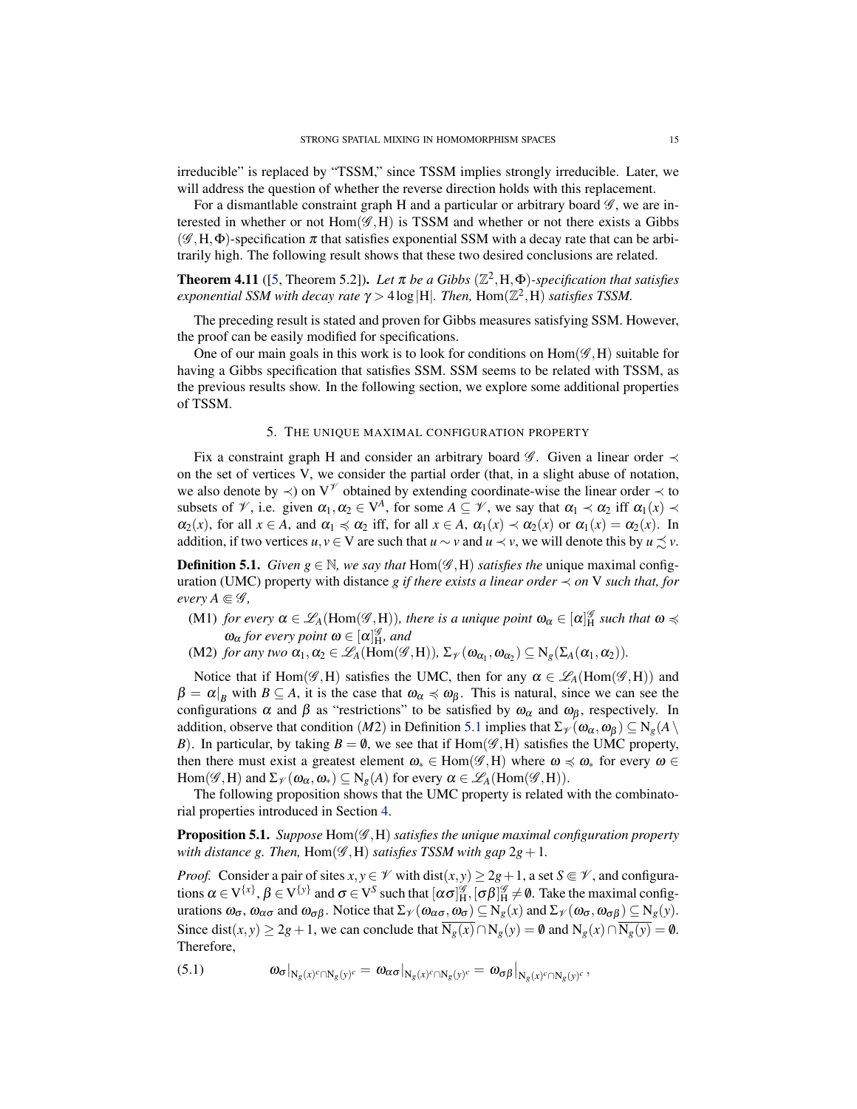<span id="page-14-4"></span>irreducible" is replaced by "TSSM," since TSSM implies strongly irreducible. Later, we will address the question of whether the reverse direction holds with this replacement.

For a dismantlable constraint graph H and a particular or arbitrary board  $\mathscr{G}$ , we are interested in whether or not  $Hom(\mathcal{G},H)$  is TSSM and whether or not there exists a Gibbs  $(\mathscr{G}, H, \Phi)$ -specification  $\pi$  that satisfies exponential SSM with a decay rate that can be arbitrarily high. The following result shows that these two desired conclusions are related.

<span id="page-14-3"></span>**Theorem 4.11** ([\[5,](#page-29-2) Theorem 5.2]). Let  $\pi$  be a Gibbs ( $\mathbb{Z}^2$ , H,  $\Phi$ )-specification that satisfies *exponential SSM with decay rate*  $\gamma$  > 4log |H|. Then,  $Hom(\mathbb{Z}^2,H)$  *satisfies TSSM.* 

The preceding result is stated and proven for Gibbs measures satisfying SSM. However, the proof can be easily modified for specifications.

One of our main goals in this work is to look for conditions on  $Hom(\mathscr{G},H)$  suitable for having a Gibbs specification that satisfies SSM. SSM seems to be related with TSSM, as the previous results show. In the following section, we explore some additional properties of TSSM.

### 5. THE UNIQUE MAXIMAL CONFIGURATION PROPERTY

<span id="page-14-0"></span>Fix a constraint graph H and consider an arbitrary board  $\mathscr G$ . Given a linear order  $\prec$ on the set of vertices V, we consider the partial order (that, in a slight abuse of notation, we also denote by  $\prec$ ) on V<sup> $\mathcal V$ </sup> obtained by extending coordinate-wise the linear order  $\prec$  to subsets of  $\mathscr{V}$ , i.e. given  $\alpha_1, \alpha_2 \in V^A$ , for some  $A \subseteq \mathscr{V}$ , we say that  $\alpha_1 \prec \alpha_2$  iff  $\alpha_1(x) \prec$  $\alpha_2(x)$ , for all  $x \in A$ , and  $\alpha_1 \preccurlyeq \alpha_2$  iff, for all  $x \in A$ ,  $\alpha_1(x) \prec \alpha_2(x)$  or  $\alpha_1(x) = \alpha_2(x)$ . In addition, if two vertices  $u, v \in V$  are such that  $u \sim v$  and  $u \prec v$ , we will denote this by  $u \preceq v$ .

<span id="page-14-1"></span>**Definition 5.1.** *Given*  $g \in \mathbb{N}$ *, we say that*  $Hom(\mathscr{G}, H)$  *satisfies the* unique maximal configuration (UMC) property with distance *g* if there exists a linear order  $\prec$  on V such that, for *every A*  $\in \mathscr{G}$ ,

- (M1) *for every*  $\alpha \in \mathscr{L}_A(\text{Hom}(\mathscr{G},H))$ *, there is a unique point*  $\omega_\alpha \in [\alpha]_H^{\mathscr{G}}$  such that  $\omega \preccurlyeq$  $\omega_{\alpha}$  for every point  $\omega \in [\alpha]_H^{\mathscr{G}}$ , and
- (M2) *for any two*  $\alpha_1, \alpha_2 \in \mathcal{L}_A(\text{Hom}(\mathcal{G},H)), \Sigma_{\mathcal{V}}(\omega_{\alpha_1}, \omega_{\alpha_2}) \subseteq N_g(\Sigma_A(\alpha_1, \alpha_2)).$

Notice that if Hom( $\mathscr{G}, H$ ) satisfies the UMC, then for any  $\alpha \in \mathscr{L}_A$ (Hom( $\mathscr{G}, H$ )) and  $\beta = \alpha|_B$  with  $B \subseteq A$ , it is the case that  $\omega_\alpha \preccurlyeq \omega_\beta$ . This is natural, since we can see the configurations  $\alpha$  and  $\beta$  as "restrictions" to be satisfied by  $\omega_{\alpha}$  and  $\omega_{\beta}$ , respectively. In addition, observe that condition (*M*2) in Definition [5.1](#page-14-1) implies that  $\Sigma_{\mathcal{V}}(\omega_{\alpha}, \omega_{\beta}) \subseteq N_{g}(A \setminus$ *B*). In particular, by taking  $B = \emptyset$ , we see that if Hom( $\mathscr{G}, H$ ) satisfies the UMC property, then there must exist a greatest element  $\omega_* \in \text{Hom}(\mathscr{G},H)$  where  $\omega \preccurlyeq \omega_*$  for every  $\omega \in$ Hom( $\mathscr{G}, H$ ) and  $\Sigma_{\mathscr{V}}(\omega_{\alpha}, \omega_{*}) \subseteq N_{g}(A)$  for every  $\alpha \in \mathscr{L}_{A}(\text{Hom}(\mathscr{G}, H)).$ 

The following proposition shows that the UMC property is related with the combinatorial properties introduced in Section [4.](#page-7-0)

<span id="page-14-2"></span>Proposition 5.1. *Suppose* Hom(G ,H) *satisfies the unique maximal configuration property with distance g. Then,*  $Hom(\mathscr{G},H)$  *satisfies TSSM with gap*  $2g+1$ *.* 

*Proof.* Consider a pair of sites  $x, y \in \mathcal{V}$  with  $dist(x, y) \ge 2g + 1$ , a set  $S \in \mathcal{V}$ , and configurations  $\alpha \in V^{\{x\}}, \beta \in V^{\{y\}}$  and  $\sigma \in V^S$  such that  $[\alpha \sigma]_H^{\mathscr{G}}, [\sigma \beta]_H^{\mathscr{G}} \neq \emptyset$ . Take the maximal configurations  $\omega_{\sigma}$ ,  $\omega_{\alpha\sigma}$  and  $\omega_{\sigma\beta}$ . Notice that  $\Sigma_{\mathcal{V}}(\omega_{\alpha\sigma}, \omega_{\sigma}) \subseteq N_g(x)$  and  $\Sigma_{\mathcal{V}}(\omega_{\sigma}, \omega_{\sigma\beta}) \subseteq N_g(y)$ . Since dist(*x*, *y*) ≥ 2*g* + 1, we can conclude that  $\overline{N_g(x)} \cap N_g(y) = \emptyset$  and  $N_g(x) \cap \overline{N_g(y)} = \emptyset$ . Therefore,

$$
(5.1) \t\t \t\t \omega_{\sigma|_{N_g(x)^c \cap N_g(y)^c}} = \omega_{\alpha\sigma|_{N_g(x)^c \cap N_g(y)^c}} = \omega_{\sigma\beta|_{N_g(x)^c \cap N_g(y)^c}},
$$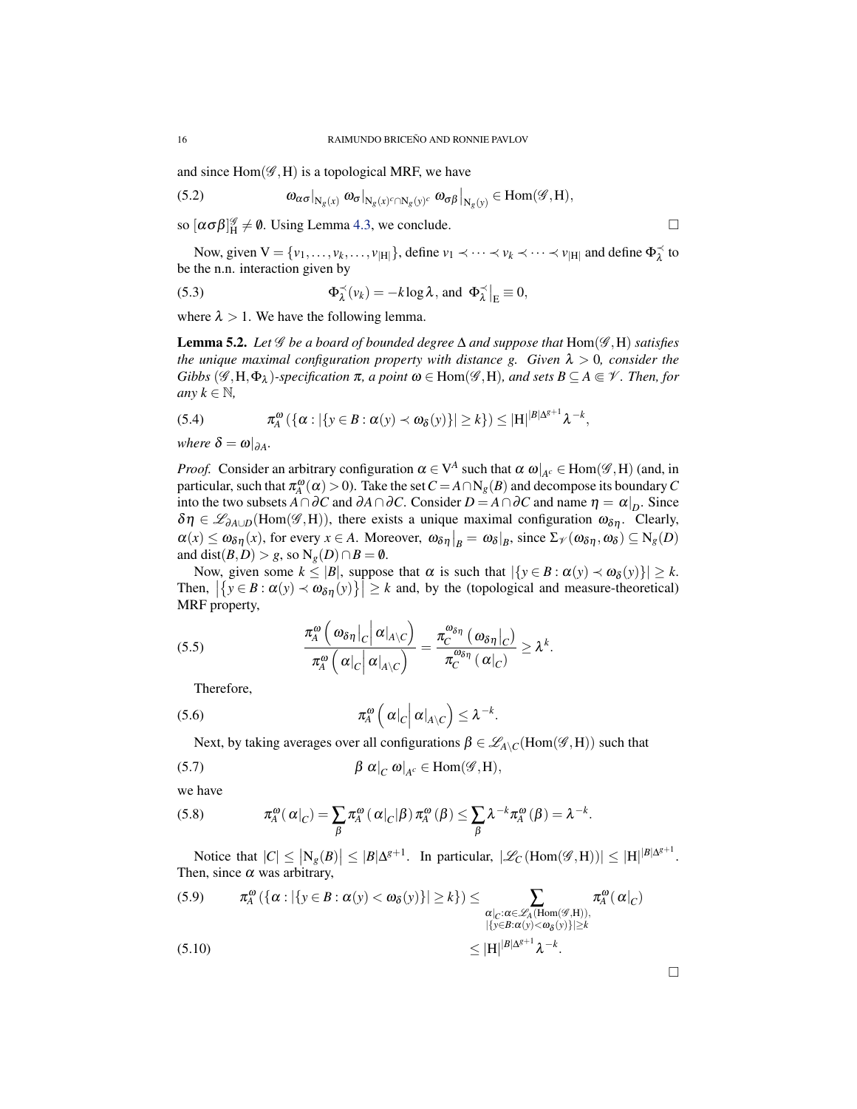and since  $Hom(\mathscr{G},H)$  is a topological MRF, we have

(5.2) 
$$
\omega_{\alpha\sigma}|_{N_g(x)} \omega_{\sigma}|_{N_g(x)^c \cap N_g(y)^c} \omega_{\sigma\beta}|_{N_g(y)} \in \text{Hom}(\mathscr{G},H),
$$

so  $[\alpha \sigma \beta]_H^{\mathscr{G}} \neq \emptyset$ . Using Lemma [4.3,](#page-9-1) we conclude.

Now, given  $V = \{v_1, \ldots, v_k, \ldots, v_{|H|}\}\$ , define  $v_1 \prec \cdots \prec v_k \prec \cdots \prec v_{|H|}$  and define  $\Phi_{\lambda}^{\prec}$  to be the n.n. interaction given by

(5.3) 
$$
\Phi_{\lambda}^{\prec}(v_k) = -k \log \lambda, \text{ and } \Phi_{\lambda}^{\prec}|_{E} \equiv 0,
$$

where  $\lambda > 1$ . We have the following lemma.

<span id="page-15-0"></span>**Lemma 5.2.** Let  $\mathscr G$  be a board of bounded degree  $\Delta$  and suppose that  $Hom(\mathscr G, H)$  satisfies *the unique maximal configuration property with distance g. Given*  $\lambda > 0$ *, consider the Gibbs*  $(\mathscr{G}, H, \Phi_\lambda)$ -specification  $\pi$ , a point  $\omega \in Hom(\mathscr{G}, H)$ , and sets  $B \subseteq A \subseteq \mathscr{V}$ . Then, for *any*  $k \in \mathbb{N}$ *,* 

(5.4) 
$$
\pi_A^{\omega}(\{\alpha : |\{y \in B : \alpha(y) \prec \omega_{\delta}(y)\}| \geq k\}) \leq |H|^{|\mathcal{B}|\Delta^{g+1}} \lambda^{-k},
$$

*where*  $\delta = \omega|_{\partial A}$ *.* 

*Proof.* Consider an arbitrary configuration  $\alpha \in V^A$  such that  $\alpha \omega|_{A^c} \in \text{Hom}(\mathscr{G},H)$  (and, in particular, such that  $\pi_A^{\omega}(\alpha) > 0$ ). Take the set  $C = A \cap N_g(B)$  and decompose its boundary *C* into the two subsets  $A \cap \partial C$  and  $\partial A \cap \partial C$ . Consider  $D = A \cap \partial C$  and name  $\eta = \alpha|_{D}$ . Since  $\delta \eta \in \mathscr{L}_{\partial A \cup D}(\text{Hom}(\mathscr{G},H))$ , there exists a unique maximal configuration  $\omega_{\delta \eta}$ . Clearly,  $\alpha(x) \leq \omega_{\delta\eta}(x)$ , for every  $x \in A$ . Moreover,  $\omega_{\delta\eta}|_B = \omega_{\delta}|_B$ , since  $\Sigma_{\mathcal{V}}(\omega_{\delta\eta}, \omega_{\delta}) \subseteq N_{g}(D)$ and dist $(B, D) > g$ , so  $N_g(D) \cap B = \emptyset$ .

Now, given some  $k \leq |B|$ , suppose that  $\alpha$  is such that  $|\{y \in B : \alpha(y) \prec \omega_{\delta}(y)\}| \geq k$ . Then,  $|\{y \in B : \alpha(y) \prec \omega_{\delta\eta}(y)\}| \ge k$  and, by the (topological and measure-theoretical) MRF property,

(5.5) 
$$
\frac{\pi_A^{\omega}\left(\omega_{\delta\eta}\left|_C\right|\alpha\left|_{A\setminus C}\right.\right)}{\pi_A^{\omega}\left(\alpha\left|_C\right|\alpha\left|_{A\setminus C}\right.\right)}=\frac{\pi_C^{\omega_{\delta\eta}}\left(\omega_{\delta\eta}\left|_C\right.\right)}{\pi_C^{\omega_{\delta\eta}}\left(\alpha\left|_C\right.\right)}\geq\lambda^k.
$$

Therefore,

$$
(5.6) \t\t \pi_A^{\omega} \left( \left. \alpha \right|_C \right| \left. \alpha \right|_{A \setminus C} \right) \leq \lambda^{-k}
$$

Next, by taking averages over all configurations  $\beta \in \mathscr{L}_{A \setminus C}(\text{Hom}(\mathscr{G},H))$  such that

.

(5.7) 
$$
\beta \alpha|_{C} \omega|_{A^{c}} \in \text{Hom}(\mathscr{G},H),
$$

we have

(5.8) 
$$
\pi_A^{\omega}(\alpha|_C) = \sum_{\beta} \pi_A^{\omega}(\alpha|_C|\beta) \pi_A^{\omega}(\beta) \leq \sum_{\beta} \lambda^{-k} \pi_A^{\omega}(\beta) = \lambda^{-k}.
$$

Notice that  $|C| \leq |N_g(B)| \leq |B|\Delta^{g+1}$ . In particular,  $|\mathscr{L}_C(\text{Hom}(\mathscr{G},H))| \leq |H|^{|B|\Delta^{g+1}}$ . Then, since  $\alpha$  was arbitrary,

(5.9) 
$$
\pi_A^{\omega}(\{\alpha : |\{y \in B : \alpha(y) < \omega_{\delta}(y)\}| \ge k\}) \le \sum_{\substack{\alpha|_{C}:\alpha \in \mathscr{L}_{A}(\text{Hom}(\mathscr{G},H)),\\ |\{y \in B:\alpha(y) < \omega_{\delta}(y)\}| \ge k}} \pi_A^{\omega}(\alpha|_{C})
$$
\n
$$
\le |H|^{|B|\Delta^{s+1}} \lambda^{-k}.
$$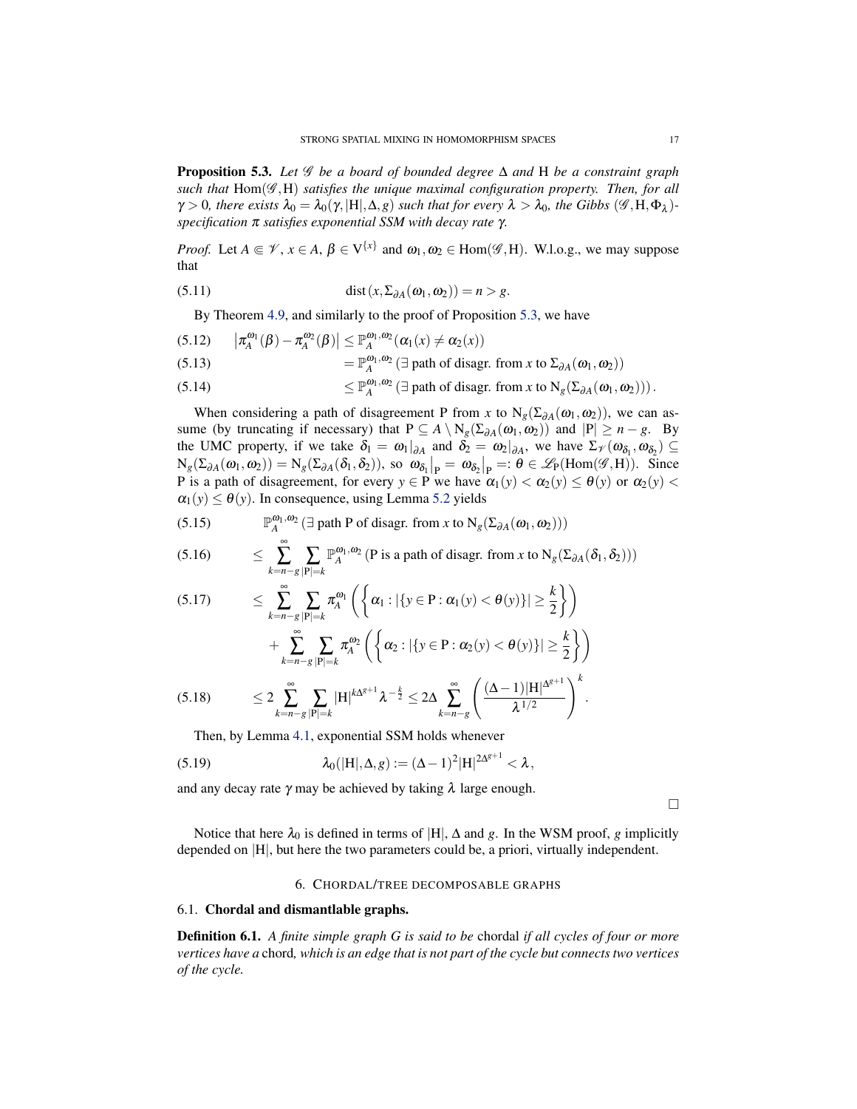<span id="page-16-2"></span>Proposition 5.3. *Let* G *be a board of bounded degree* ∆ *and* H *be a constraint graph* such that  $Hom(\mathcal{G},H)$  *satisfies the unique maximal configuration property. Then, for all*  $\gamma > 0$ , there exists  $\lambda_0 = \lambda_0(\gamma, |H|, \Delta, g)$  such that for every  $\lambda > \lambda_0$ , the Gibbs  $(\mathscr{G}, H, \Phi_\lambda)$ *specification* π *satisfies exponential SSM with decay rate* γ*.*

*Proof.* Let  $A \in \mathcal{V}$ ,  $x \in A$ ,  $\beta \in V^{\{x\}}$  and  $\omega_1, \omega_2 \in \text{Hom}(\mathscr{G}, H)$ . W.l.o.g., we may suppose that

(5.11) 
$$
\operatorname{dist}(x, \Sigma_{\partial A}(\omega_1, \omega_2)) = n > g.
$$

By Theorem [4.9,](#page-12-1) and similarly to the proof of Proposition [5.3,](#page-16-2) we have

(5.12) 
$$
\left| \pi_A^{\omega_1}(\beta) - \pi_A^{\omega_2}(\beta) \right| \leq \mathbb{P}_A^{\omega_1, \omega_2}(\alpha_1(x) \neq \alpha_2(x))
$$
  
\n(5.13) 
$$
= \mathbb{P}_A^{\omega_1, \omega_2} (\exists \text{ path of diagram from } x \text{ to } \Sigma_{\partial A}(\omega_1, \omega_2))
$$
  
\n(5.14) 
$$
< \mathbb{P}^{\omega_1, \omega_2}(\exists \text{ path of diagram from } x \text{ to } N, (\Sigma_{\partial A}(\omega_1, \omega_2)))
$$

(5.14) 
$$
\leq \mathbb{P}_A^{\omega_1,\omega_2} \left( \exists \text{ path of diagram from } x \text{ to } N_g(\Sigma_{\partial A}(\omega_1,\omega_2)) \right).
$$

When considering a path of disagreement P from *x* to  $N_g(\Sigma_{\partial A}(\omega_1, \omega_2))$ , we can assume (by truncating if necessary) that  $P \subseteq A \setminus N_g(\Sigma_{\partial A}(\omega_1, \omega_2))$  and  $|P| \ge n - g$ . By the UMC property, if we take  $\delta_1 = \omega_1|_{\partial A}$  and  $\delta_2 = \omega_2|_{\partial A}$ , we have  $\Sigma_{\mathcal{V}}(\omega_{\delta_1}, \omega_{\delta_2}) \subseteq$  $N_g(\Sigma_{\partial A}(\omega_1, \omega_2)) = N_g(\Sigma_{\partial A}(\delta_1, \delta_2)),$  so  $\omega_{\delta_1}|_P = \omega_{\delta_2}|_P =: \theta \in \mathscr{L}_P(\text{Hom}(\mathscr{G}, H)).$  Since P is a path of disagreement, for every  $y \in P$  we have  $\alpha_1(y) < \alpha_2(y) \le \theta(y)$  or  $\alpha_2(y) <$  $\alpha_1(y) \leq \theta(y)$ . In consequence, using Lemma [5.2](#page-15-0) yields

(5.15) 
$$
\mathbb{P}_A^{\omega_1,\omega_2} \left( \exists \text{ path P of disappear. from } x \text{ to } N_g(\Sigma_{\partial A}(\omega_1, \omega_2)) \right)
$$

(5.16) 
$$
\leq \sum_{k=n-g} \sum_{|\mathbf{P}|=k} \mathbb{P}_A^{\omega_1,\omega_2} (\mathbf{P} \text{ is a path of diagram from } x \text{ to } N_g(\Sigma_{\partial A}(\delta_1,\delta_2)))
$$

$$
(5.17) \leq \sum_{k=n-g}^{\infty} \sum_{|\mathbf{P}|=k} \pi_A^{\omega_1} \left( \left\{ \alpha_1 : |\{y \in \mathbf{P} : \alpha_1(y) < \theta(y)\}| \geq \frac{k}{2} \right\} \right) + \sum_{k=n-g}^{\infty} \sum_{|\mathbf{P}|=k} \pi_A^{\omega_2} \left( \left\{ \alpha_2 : |\{y \in \mathbf{P} : \alpha_2(y) < \theta(y)\}| \geq \frac{k}{2} \right\} \right)
$$

$$
(5.18) \qquad \leq 2 \sum_{k=n-g}^{\infty} \sum_{|\mathbf{P}|=k} |\mathbf{H}|^{k\Delta^{g+1}} \lambda^{-\frac{k}{2}} \leq 2\Delta \sum_{k=n-g}^{\infty} \left( \frac{(\Delta-1)|\mathbf{H}|^{\Delta^{g+1}}}{\lambda^{1/2}} \right)^{k}.
$$

Then, by Lemma [4.1,](#page-8-1) exponential SSM holds whenever

(5.19) 
$$
\lambda_0(|H|, \Delta, g) := (\Delta - 1)^2 |H|^{2\Delta^{g+1}} < \lambda,
$$

and any decay rate  $\gamma$  may be achieved by taking  $\lambda$  large enough.

 $\Box$ 

Notice that here  $\lambda_0$  is defined in terms of |H|,  $\Delta$  and *g*. In the WSM proof, *g* implicitly depended on |H|, but here the two parameters could be, a priori, virtually independent.

# 6. CHORDAL/TREE DECOMPOSABLE GRAPHS

## <span id="page-16-1"></span><span id="page-16-0"></span>6.1. Chordal and dismantlable graphs.

Definition 6.1. *A finite simple graph G is said to be* chordal *if all cycles of four or more vertices have a* chord*, which is an edge that is not part of the cycle but connects two vertices of the cycle.*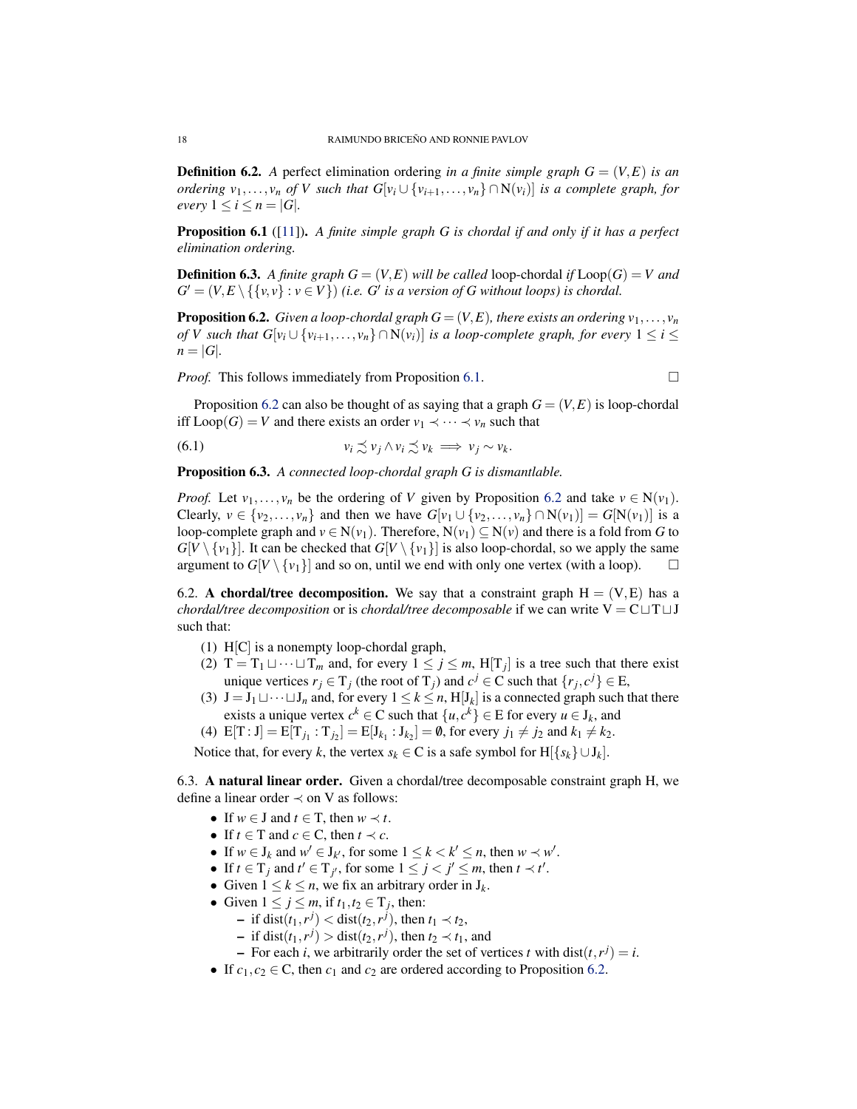<span id="page-17-4"></span>**Definition 6.2.** A perfect elimination ordering *in a finite simple graph*  $G = (V, E)$  *is an ordering*  $v_1, \ldots, v_n$  *of V* such that  $G[v_i \cup \{v_{i+1}, \ldots, v_n\} \cap N(v_i)]$  is a complete graph, for *every*  $1 \leq i \leq n = |G|$ *.* 

<span id="page-17-2"></span>Proposition 6.1 ([\[11\]](#page-29-15)). *A finite simple graph G is chordal if and only if it has a perfect elimination ordering.*

**Definition 6.3.** A finite graph  $G = (V, E)$  will be called loop-chordal if  $\text{Loop}(G) = V$  and  $G' = (V, E \setminus \{\{v, v\} : v \in V\})$  *(i.e. G' is a version of G without loops) is chordal.* 

<span id="page-17-3"></span>**Proposition 6.2.** *Given a loop-chordal graph*  $G = (V, E)$ *, there exists an ordering*  $v_1, \ldots, v_n$ *of V such that G*[ $v_i \cup \{v_{i+1}, \ldots, v_n\} \cap N(v_i)$ ] *is a loop-complete graph, for every*  $1 \leq i \leq j$  $n = |G|$ .

*Proof.* This follows immediately from Proposition [6.1.](#page-17-2)

Proposition [6.2](#page-17-3) can also be thought of as saying that a graph  $G = (V, E)$  is loop-chordal iff  $\text{Loop}(G) = V$  and there exists an order  $v_1 \prec \cdots \prec v_n$  such that

$$
(6.1) \t\t v_i \precsim v_j \wedge v_i \precsim v_k \implies v_j \sim v_k.
$$

Proposition 6.3. *A connected loop-chordal graph G is dismantlable.*

*Proof.* Let  $v_1, \ldots, v_n$  be the ordering of *V* given by Proposition [6.2](#page-17-3) and take  $v \in N(v_1)$ . Clearly,  $v \in \{v_2, \ldots, v_n\}$  and then we have  $G[v_1 \cup \{v_2, \ldots, v_n\} \cap N(v_1)] = G[N(v_1)]$  is a loop-complete graph and  $v \in N(v_1)$ . Therefore,  $N(v_1) \subseteq N(v)$  and there is a fold from *G* to  $G[V \setminus \{v_1\}]$ . It can be checked that  $G[V \setminus \{v_1\}]$  is also loop-chordal, so we apply the same argument to  $G[V \setminus \{v_1\}]$  and so on, until we end with only one vertex (with a loop).  $\Box$ 

<span id="page-17-0"></span>6.2. A chordal/tree decomposition. We say that a constraint graph  $H = (V, E)$  has a *chordal/tree decomposition* or is *chordal/tree decomposable* if we can write  $V = C \sqcup T \sqcup J$ such that:

- (1) H[C] is a nonempty loop-chordal graph,
- (2)  $T = T_1 \sqcup \cdots \sqcup T_m$  and, for every  $1 \leq j \leq m$ ,  $H[T_j]$  is a tree such that there exist unique vertices  $r_j \in T_j$  (the root of  $T_j$ ) and  $c^j \in C$  such that  $\{r_j, c^j\} \in E$ ,
- (3)  $J = J_1 \sqcup \cdots \sqcup J_n$  and, for every  $1 \le k \le n$ ,  $H[J_k]$  is a connected graph such that there exists a unique vertex  $c^k \in \mathbb{C}$  such that  $\{u, c^k\} \in \mathbb{E}$  for every  $u \in \mathcal{J}_k$ , and
- (4)  $E[T : J] = E[T_{j_1} : T_{j_2}] = E[J_{k_1} : J_{k_2}] = \emptyset$ , for every  $j_1 \neq j_2$  and  $k_1 \neq k_2$ .

Notice that, for every *k*, the vertex  $s_k \in \mathbb{C}$  is a safe symbol for  $H[\{s_k\} \cup J_k]$ .

<span id="page-17-1"></span>6.3. A natural linear order. Given a chordal/tree decomposable constraint graph H, we define a linear order  $\prec$  on V as follows:

- If  $w \in J$  and  $t \in T$ , then  $w \prec t$ .
- If  $t \in T$  and  $c \in C$ , then  $t \prec c$ .
- If  $w \in J_k$  and  $w' \in J_{k'}$ , for some  $1 \leq k < k' \leq n$ , then  $w \prec w'$ .
- If  $t \in T_j$  and  $t' \in T_{j'}$ , for some  $1 \le j < j' \le m$ , then  $t \prec t'$ .
- Given  $1 \leq k \leq n$ , we fix an arbitrary order in  $J_k$ .
- Given  $1 \le j \le m$ , if  $t_1, t_2 \in T_j$ , then:
	- $\blacksquare$  if dist(*t*<sub>1</sub>,*r*<sup>*j*</sup>) < dist(*t*<sub>2</sub>,*r*<sup>*j*</sup>), then *t*<sub>1</sub> ≺ *t*<sub>2</sub>,
	- $\blacksquare$  if dist( $t_1, r^j$ ) > dist( $t_2, r^j$ ), then  $t_2 \prec t_1$ , and
	- $\blacksquare$  For each *i*, we arbitrarily order the set of vertices *t* with dist $(t, r^j) = i$ .
- If  $c_1, c_2 \in \mathbb{C}$ , then  $c_1$  and  $c_2$  are ordered according to Proposition [6.2.](#page-17-3)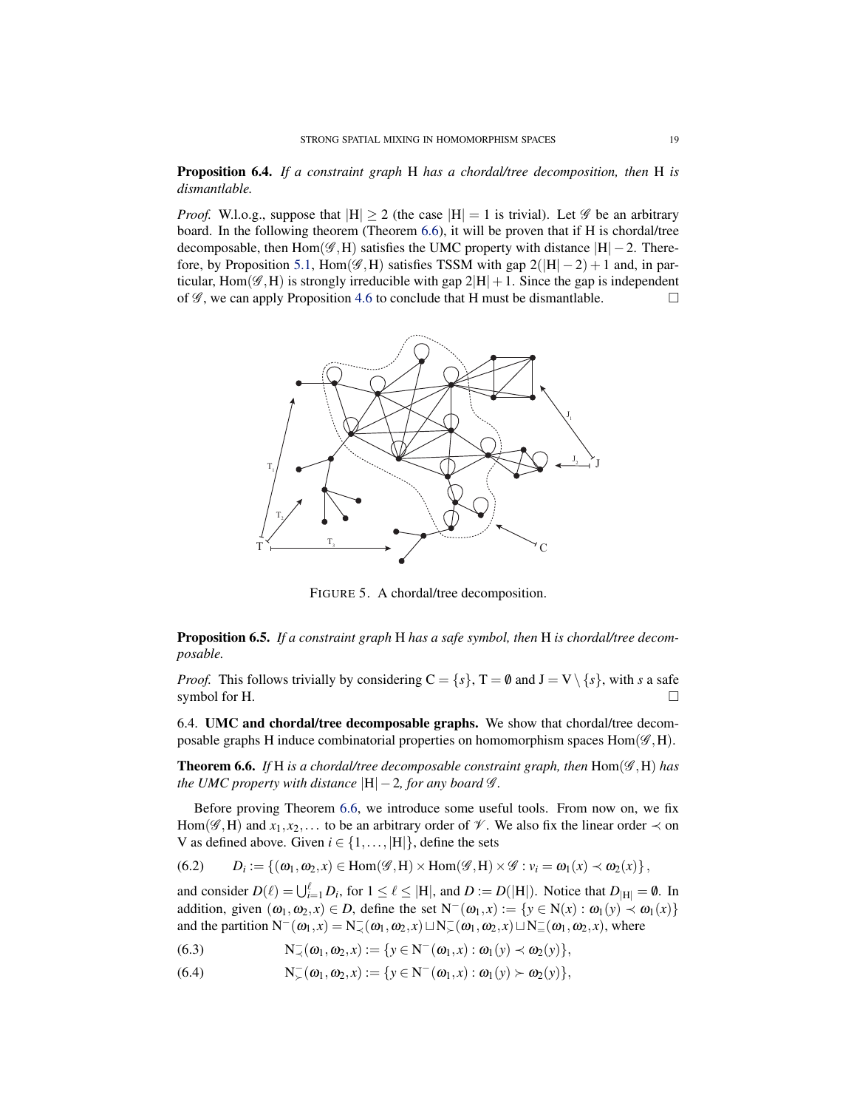Proposition 6.4. *If a constraint graph* H *has a chordal/tree decomposition, then* H *is dismantlable.*

*Proof.* W.l.o.g., suppose that  $|H| \ge 2$  (the case  $|H| = 1$  is trivial). Let  $\mathscr G$  be an arbitrary board. In the following theorem (Theorem [6.6\)](#page-18-1), it will be proven that if H is chordal/tree decomposable, then Hom( $\mathscr{G}, H$ ) satisfies the UMC property with distance  $|H| - 2$ . There-fore, by Proposition [5.1,](#page-14-2) Hom( $\mathscr{G}, H$ ) satisfies TSSM with gap  $2(|H|-2)+1$  and, in particular, Hom( $\mathscr{G}, H$ ) is strongly irreducible with gap  $2|H|+1$ . Since the gap is independent of  $\mathscr G$ , we can apply Proposition [4.6](#page-10-1) to conclude that H must be dismantlable.



FIGURE 5. A chordal/tree decomposition.

<span id="page-18-2"></span>Proposition 6.5. *If a constraint graph* H *has a safe symbol, then* H *is chordal/tree decomposable.*

*Proof.* This follows trivially by considering  $C = \{s\}$ ,  $T = \emptyset$  and  $J = V \setminus \{s\}$ , with *s* a safe symbol for H.  $\Box$ 

<span id="page-18-0"></span>6.4. UMC and chordal/tree decomposable graphs. We show that chordal/tree decomposable graphs H induce combinatorial properties on homomorphism spaces  $Hom(\mathscr{G},H)$ .

<span id="page-18-1"></span>Theorem 6.6. *If* H *is a chordal/tree decomposable constraint graph, then* Hom(G ,H) *has the UMC property with distance*  $|H| - 2$ *, for any board*  $\mathcal{G}$ *.* 

Before proving Theorem [6.6,](#page-18-1) we introduce some useful tools. From now on, we fix Hom( $\mathscr{G}, H$ ) and  $x_1, x_2, \ldots$  to be an arbitrary order of  $\mathscr{V}$ . We also fix the linear order  $\prec$  on V as defined above. Given  $i \in \{1, \ldots, |H|\}$ , define the sets

(6.2) 
$$
D_i := \{(\omega_1, \omega_2, x) \in \text{Hom}(\mathscr{G}, H) \times \text{Hom}(\mathscr{G}, H) \times \mathscr{G} : v_i = \omega_1(x) \times \omega_2(x)\},
$$

and consider  $D(\ell) = \bigcup_{i=1}^{\ell} D_i$ , for  $1 \leq \ell \leq |H|$ , and  $D := D(|H|)$ . Notice that  $D_{|H|} = \emptyset$ . In addition, given  $(\omega_1, \omega_2, x) \in D$ , define the set  $N^-(\omega_1, x) := \{y \in N(x) : \omega_1(y) \prec \omega_1(x)\}\$ and the partition  $N^-(\omega_1, x) = N^-_{\prec}(\omega_1, \omega_2, x) \sqcup N^-_{\succ}(\omega_1, \omega_2, x) \sqcup N^-_{\equiv}(\omega_1, \omega_2, x)$ , where

(6.3) 
$$
N_{\prec}(\omega_1,\omega_2,x) := \{y \in N^-(\omega_1,x) : \omega_1(y) \prec \omega_2(y)\},
$$

(6.4)  $N_{\succ}^-(\omega_1, \omega_2, x) := \{y \in N^-(\omega_1, x) : \omega_1(y) \succ \omega_2(y)\},\$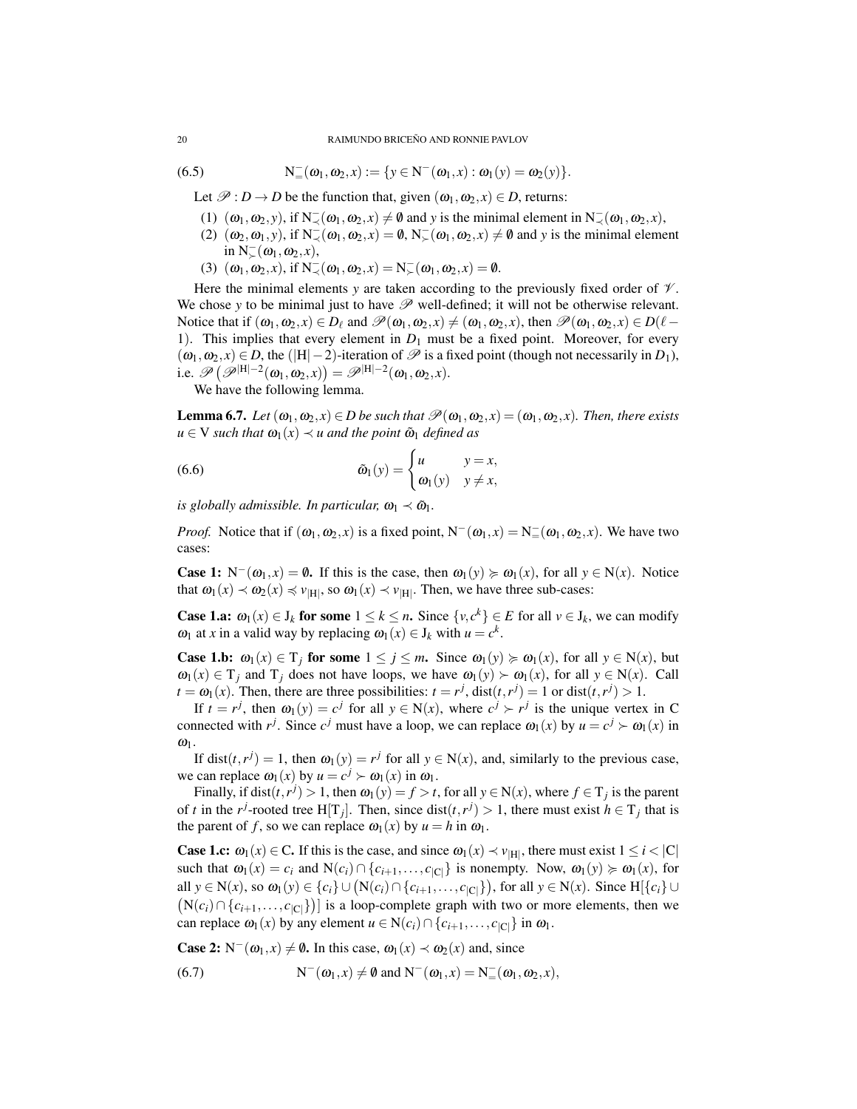#### 20 RAIMUNDO BRICEÑO AND RONNIE PAVLOV

(6.5) 
$$
N_{=}^-(\omega_1,\omega_2,x) := \{y \in N^-(\omega_1,x) : \omega_1(y) = \omega_2(y)\}.
$$

Let  $\mathcal{P}: D \to D$  be the function that, given  $(\omega_1, \omega_2, x) \in D$ , returns:

- (1)  $(\omega_1, \omega_2, y)$ , if  $N(\omega_1, \omega_2, x) \neq \emptyset$  and *y* is the minimal element in  $N(\omega_1, \omega_2, x)$ ,
- (2)  $(\omega_2, \omega_1, y)$ , if  $N(\omega_1, \omega_2, x) = \emptyset$ ,  $N(\omega_1, \omega_2, x) \neq \emptyset$  and *y* is the minimal element in  $N_{\succ}^-(\omega_1, \omega_2, x)$ ,
- (3)  $(\omega_1, \omega_2, x)$ , if  $N^-_{\prec}(\omega_1, \omega_2, x) = N^-_{\succ}(\omega_1, \omega_2, x) = \emptyset$ .

Here the minimal elements *y* are taken according to the previously fixed order of  $\mathcal V$ . We chose *y* to be minimal just to have  $\mathscr P$  well-defined; it will not be otherwise relevant. Notice that if  $(\omega_1, \omega_2, x) \in D_\ell$  and  $\mathscr{P}(\omega_1, \omega_2, x) \neq (\omega_1, \omega_2, x)$ , then  $\mathscr{P}(\omega_1, \omega_2, x) \in D(\ell - \ell)$ 1). This implies that every element in  $D_1$  must be a fixed point. Moreover, for every  $(\omega_1, \omega_2, x) \in D$ , the (|H|−2)-iteration of  $\mathscr P$  is a fixed point (though not necessarily in  $D_1$ ), i.e.  $\mathscr{P}\left(\mathscr{P}^{|H|-2}(\omega_1, \omega_2, x)\right) = \mathscr{P}^{|H|-2}(\omega_1, \omega_2, x)$ .

We have the following lemma.

<span id="page-19-0"></span>**Lemma 6.7.** *Let*  $(\omega_1, \omega_2, x) \in D$  *be such that*  $\mathcal{P}(\omega_1, \omega_2, x) = (\omega_1, \omega_2, x)$ *. Then, there exists*  $u \in V$  *such that*  $\omega_1(x) \prec u$  *and the point*  $\tilde{\omega}_1$  *defined as* 

(6.6) 
$$
\tilde{\omega}_1(y) = \begin{cases} u & y = x, \\ \omega_1(y) & y \neq x, \end{cases}
$$

*is globally admissible. In particular,*  $\omega_1 \prec \tilde{\omega}_1$ .

*Proof.* Notice that if  $(\omega_1, \omega_2, x)$  is a fixed point,  $N^-(\omega_1, x) = N^-(\omega_1, \omega_2, x)$ . We have two cases:

**Case 1:**  $N^-(\omega_1, x) = \emptyset$ . If this is the case, then  $\omega_1(y) \ge \omega_1(x)$ , for all  $y \in N(x)$ . Notice that  $\omega_1(x) \prec \omega_2(x) \preccurlyeq \nu_{|H|}$ , so  $\omega_1(x) \prec \nu_{|H|}$ . Then, we have three sub-cases:

**Case 1.a:**  $\omega_1(x) \in J_k$  for some  $1 \le k \le n$ . Since  $\{v, c^k\} \in E$  for all  $v \in J_k$ , we can modify  $ω_1$  at *x* in a valid way by replacing  $ω_1(x) ∈ J_k$  with  $u = c^k$ .

**Case 1.b:**  $\omega_1(x) \in T_j$  for some  $1 \leq j \leq m$ . Since  $\omega_1(y) \geq \omega_1(x)$ , for all  $y \in N(x)$ , but  $\omega_1(x) \in T_i$  and  $T_j$  does not have loops, we have  $\omega_1(y) \succ \omega_1(x)$ , for all  $y \in N(x)$ . Call  $t = \omega_1(x)$ . Then, there are three possibilities:  $t = r^j$ , dist $(t, r^j) = 1$  or dist $(t, r^j) > 1$ .

If  $t = r^j$ , then  $\omega_1(y) = c^j$  for all  $y \in N(x)$ , where  $c^j \succ r^j$  is the unique vertex in C connected with  $r^j$ . Since  $c^j$  must have a loop, we can replace  $\omega_1(x)$  by  $u = c^j \succ \omega_1(x)$  in  $\omega_1$ .

If dist(*t*,*r*<sup>*j*</sup>) = 1, then  $\omega_1(y) = r^j$  for all  $y \in N(x)$ , and, similarly to the previous case, we can replace  $\omega_1(x)$  by  $u = c^j \succ \omega_1(x)$  in  $\omega_1$ .

Finally, if dist $(t, r<sup>j</sup>) > 1$ , then  $\omega_1(y) = f > t$ , for all  $y \in N(x)$ , where  $f \in T_j$  is the parent of *t* in the *r*<sup>*j*</sup>-rooted tree H[T<sub>*j*</sub>]. Then, since dist(*t*,*r*<sup>*j*</sup>) > 1, there must exist  $h \in T_j$  that is the parent of *f*, so we can replace  $\omega_1(x)$  by  $u = h$  in  $\omega_1$ .

**Case 1.c:**  $\omega_1(x) \in C$ . If this is the case, and since  $\omega_1(x) \prec v_{|H|}$ , there must exist  $1 \leq i < |C|$ such that  $\omega_1(x) = c_i$  and  $N(c_i) \cap \{c_{i+1}, \ldots, c_{|C|}\}\$ is nonempty. Now,  $\omega_1(y) \succcurlyeq \omega_1(x)$ , for all *y* ∈ N(*x*), so  $\omega_1(y)$  ∈ { $c_i$ } ∪ (N( $c_i$ )∩ { $c_{i+1},...,c_{|C|}$ }), for all *y* ∈ N(*x*). Since H[{ $c_i$ } ∪  $(N(c_i) \cap \{c_{i+1},...,c_{|C|}\})$  is a loop-complete graph with two or more elements, then we can replace  $\omega_1(x)$  by any element  $u \in N(c_i) \cap \{c_{i+1}, \ldots, c_{|C|}\}\$ in  $\omega_1$ .

**Case 2:**  $N^-(\omega_1, x) \neq \emptyset$ . In this case,  $\omega_1(x) \prec \omega_2(x)$  and, since

(6.7) 
$$
N^{-}(\omega_1,x) \neq \emptyset \text{ and } N^{-}(\omega_1,x) = N_{-}^{-}(\omega_1,\omega_2,x),
$$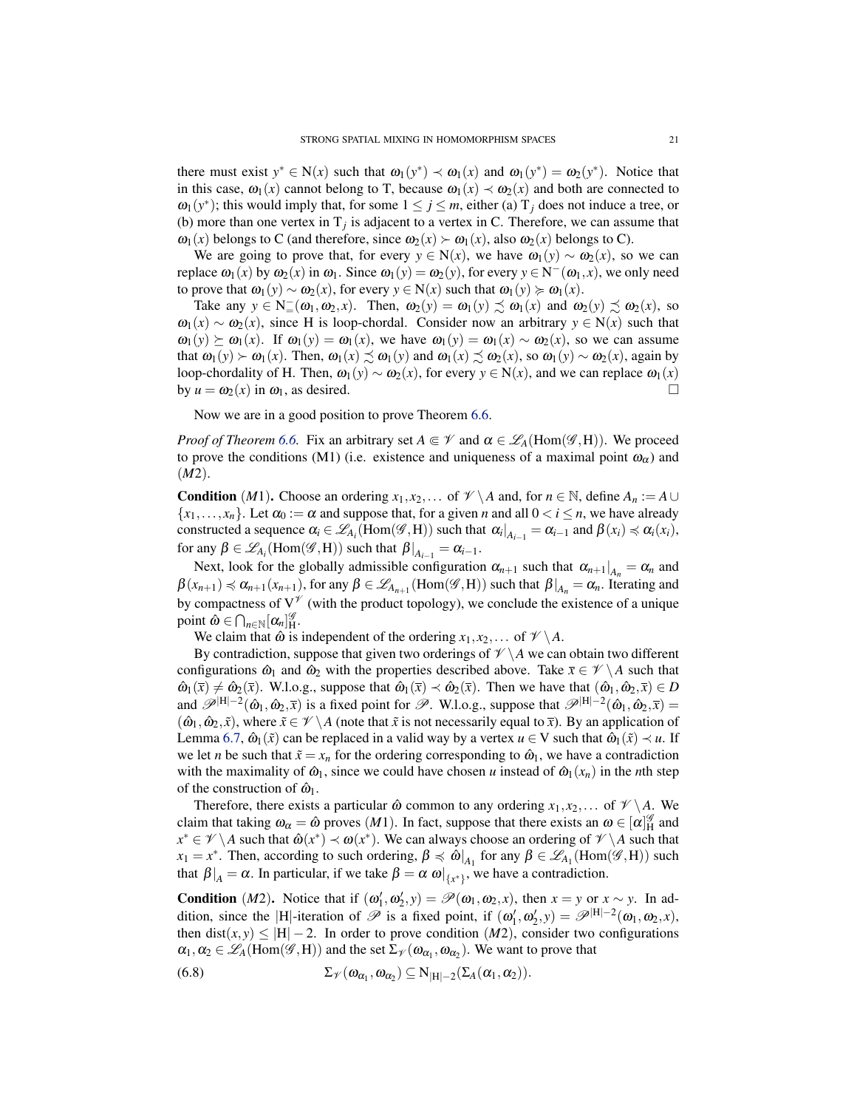there must exist  $y^* \in N(x)$  such that  $\omega_1(y^*) \prec \omega_1(x)$  and  $\omega_1(y^*) = \omega_2(y^*)$ . Notice that in this case,  $\omega_1(x)$  cannot belong to T, because  $\omega_1(x) \prec \omega_2(x)$  and both are connected to  $\omega_1(y^*)$ ; this would imply that, for some  $1 \le j \le m$ , either (a)  $T_j$  does not induce a tree, or (b) more than one vertex in  $T_j$  is adjacent to a vertex in C. Therefore, we can assume that  $\omega_1(x)$  belongs to C (and therefore, since  $\omega_2(x) \succ \omega_1(x)$ , also  $\omega_2(x)$  belongs to C).

We are going to prove that, for every  $y \in N(x)$ , we have  $\omega_1(y) \sim \omega_2(x)$ , so we can replace  $\omega_1(x)$  by  $\omega_2(x)$  in  $\omega_1$ . Since  $\omega_1(y) = \omega_2(y)$ , for every  $y \in N^-(\omega_1, x)$ , we only need to prove that  $\omega_1(y) \sim \omega_2(x)$ , for every  $y \in N(x)$  such that  $\omega_1(y) \succcurlyeq \omega_1(x)$ .

Take any  $y \in N^-_=(\omega_1, \omega_2, x)$ . Then,  $\omega_2(y) = \omega_1(y) \precsim \omega_1(x)$  and  $\omega_2(y) \precsim \omega_2(x)$ , so  $\omega_1(x) \sim \omega_2(x)$ , since H is loop-chordal. Consider now an arbitrary  $y \in N(x)$  such that  $\omega_1(y) \succeq \omega_1(x)$ . If  $\omega_1(y) = \omega_1(x)$ , we have  $\omega_1(y) = \omega_1(x) \sim \omega_2(x)$ , so we can assume that  $\omega_1(y) \succ \omega_1(x)$ . Then,  $\omega_1(x) \precsim \omega_1(y)$  and  $\omega_1(x) \precsim \omega_2(x)$ , so  $\omega_1(y) \sim \omega_2(x)$ , again by loop-chordality of H. Then,  $\omega_1(y) \sim \omega_2(x)$ , for every  $y \in N(x)$ , and we can replace  $\omega_1(x)$ by  $u = \omega_2(x)$  in  $\omega_1$ , as desired.

Now we are in a good position to prove Theorem [6.6.](#page-18-1)

*Proof of Theorem* [6.6.](#page-18-1) Fix an arbitrary set  $A \in \mathcal{V}$  and  $\alpha \in \mathcal{L}_A(\text{Hom}(\mathcal{G},H))$ . We proceed to prove the conditions (M1) (i.e. existence and uniqueness of a maximal point  $\omega_{\alpha}$ ) and (*M*2).

**Condition** (*M*1). Choose an ordering *x*<sub>1</sub>, *x*<sub>2</sub>,... of  $\mathcal{V} \setminus A$  and, for  $n \in \mathbb{N}$ , define  $A_n := A \cup A$  ${x_1, \ldots, x_n}$ . Let  $\alpha_0 := \alpha$  and suppose that, for a given *n* and all  $0 < i \le n$ , we have already constructed a sequence  $\alpha_i \in \mathcal{L}_{A_i}(\text{Hom}(\mathcal{G},H))$  such that  $\alpha_i|_{A_{i-1}} = \alpha_{i-1}$  and  $\beta(x_i) \preccurlyeq \alpha_i(x_i)$ , for any  $\beta \in \mathscr{L}_{A_i}(\text{Hom}(\mathscr{G},H))$  such that  $\beta|_{A_{i-1}} = \alpha_{i-1}$ .

Next, look for the globally admissible configuration  $\alpha_{n+1}$  such that  $\alpha_{n+1}|_{A_n} = \alpha_n$  and  $\beta(x_{n+1}) \preccurlyeq \alpha_{n+1}(x_{n+1})$ , for any  $\beta \in \mathscr{L}_{A_{n+1}}(\text{Hom}(\mathscr{G},H))$  such that  $\beta|_{A_n} = \alpha_n$ . Iterating and by compactness of  $V^{\gamma}$  (with the product topology), we conclude the existence of a unique point  $\hat{\omega} \in \bigcap_{n \in \mathbb{N}} [\alpha_n]_H^{\mathscr{G}}$ .

We claim that  $\hat{\omega}$  is independent of the ordering  $x_1, x_2, \dots$  of  $\mathcal{V} \setminus A$ .

By contradiction, suppose that given two orderings of  $\mathcal{V} \setminus A$  we can obtain two different configurations  $\hat{\omega}_1$  and  $\hat{\omega}_2$  with the properties described above. Take  $\bar{x} \in \mathcal{V} \setminus A$  such that  $\hat{\omega}_1(\bar{x}) \neq \hat{\omega}_2(\bar{x})$ . W.l.o.g., suppose that  $\hat{\omega}_1(\bar{x}) \prec \hat{\omega}_2(\bar{x})$ . Then we have that  $(\hat{\omega}_1, \hat{\omega}_2, \bar{x}) \in D$ and  $\mathscr{P}^{|H|-2}(\hat{\omega}_1, \hat{\omega}_2, \bar{x})$  is a fixed point for  $\mathscr{P}$ . W.l.o.g., suppose that  $\mathscr{P}^{|H|-2}(\hat{\omega}_1, \hat{\omega}_2, \bar{x})$  =  $(\hat{\omega}_1, \hat{\omega}_2, \tilde{x})$ , where  $\tilde{x} \in \mathcal{V} \setminus A$  (note that  $\tilde{x}$  is not necessarily equal to  $\bar{x}$ ). By an application of Lemma [6.7,](#page-19-0)  $\hat{\omega}_1(\tilde{x})$  can be replaced in a valid way by a vertex  $u \in V$  such that  $\hat{\omega}_1(\tilde{x}) \prec u$ . If we let *n* be such that  $\tilde{x} = x_n$  for the ordering corresponding to  $\hat{\omega}_1$ , we have a contradiction with the maximality of  $\hat{\omega}_1$ , since we could have chosen *u* instead of  $\hat{\omega}_1(x_n)$  in the *n*th step of the construction of  $\hat{\omega}_1$ .

Therefore, there exists a particular  $\hat{\omega}$  common to any ordering  $x_1, x_2, \dots$  of  $\mathcal{V} \setminus A$ . We claim that taking  $\omega_{\alpha} = \hat{\omega}$  proves  $(M1)$ . In fact, suppose that there exists an  $\omega \in [\alpha]_H^{\mathscr{G}}$  and  $x^* \in \mathscr{V} \setminus A$  such that  $\hat{\omega}(x^*) \prec \omega(x^*)$ . We can always choose an ordering of  $\mathscr{V} \setminus A$  such that  $x_1 = x^*$ . Then, according to such ordering,  $\beta \preccurlyeq \hat{\omega}|_{A_1}$  for any  $\beta \in \mathscr{L}_{A_1}(\text{Hom}(\mathscr{G},H))$  such that  $\beta|_A = \alpha$ . In particular, if we take  $\beta = \alpha \omega|_{\{x^*\}}$ , we have a contradiction.

**Condition** (*M2*). Notice that if  $(\omega'_1, \omega'_2, y) = \mathcal{P}(\omega_1, \omega_2, x)$ , then  $x = y$  or  $x \sim y$ . In addition, since the |H|-iteration of  $\mathscr P$  is a fixed point, if  $(\omega'_1, \omega'_2, y) = \mathscr P^{|H|-2}(\omega_1, \omega_2, x)$ , then dist(*x*, *y*)  $\leq$  |H| − 2. In order to prove condition (*M*2), consider two configurations  $\alpha_1, \alpha_2 \in \mathscr{L}_A(\text{Hom}(\mathscr{G},H))$  and the set  $\Sigma_{\mathscr{V}}(\omega_{\alpha_1}, \omega_{\alpha_2})$ . We want to prove that

(6.8) 
$$
\Sigma_{\mathscr{V}}(\omega_{\alpha_1}, \omega_{\alpha_2}) \subseteq N_{|H|-2}(\Sigma_A(\alpha_1, \alpha_2)).
$$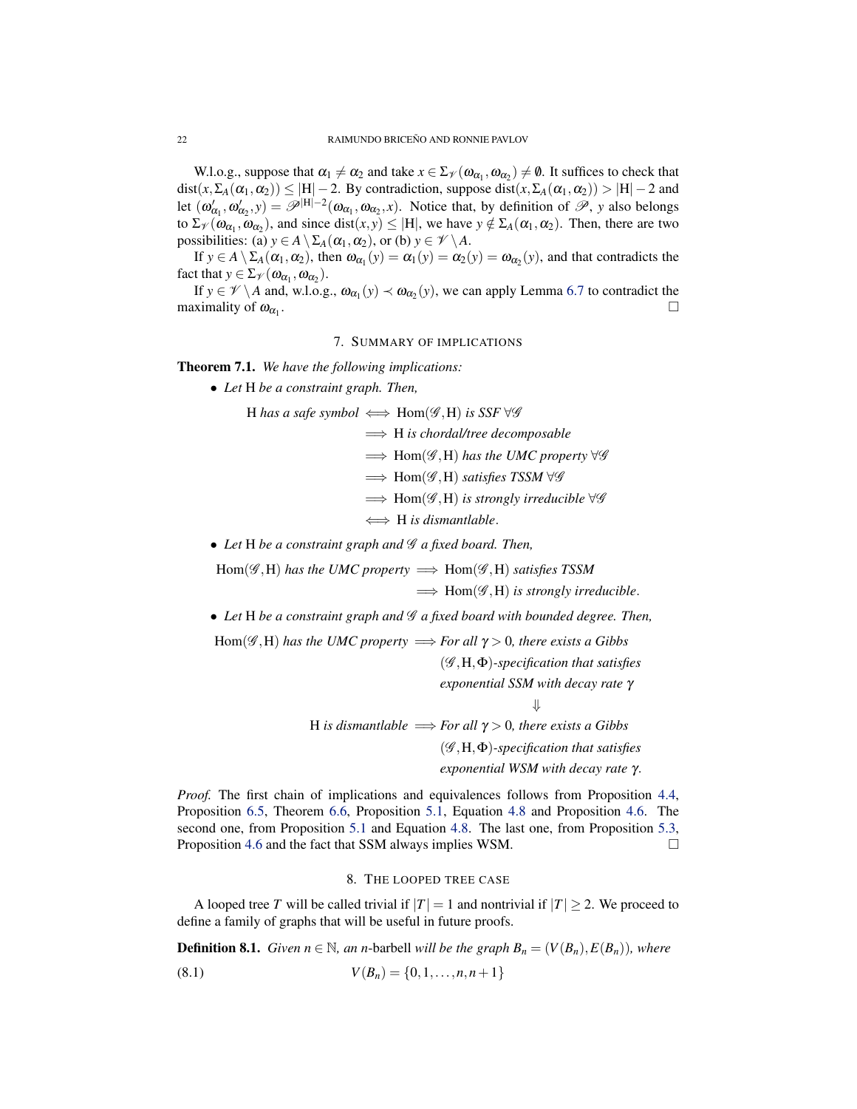W.l.o.g., suppose that  $\alpha_1 \neq \alpha_2$  and take  $x \in \Sigma_{\mathcal{V}}(\omega_{\alpha_1}, \omega_{\alpha_2}) \neq \emptyset$ . It suffices to check that dist( $x, \Sigma_A(\alpha_1, \alpha_2)$ )  $\leq$  |H| − 2. By contradiction, suppose dist( $x, \Sigma_A(\alpha_1, \alpha_2)$ ) > |H| − 2 and let  $(\omega'_{\alpha_1}, \omega'_{\alpha_2}, y) = \mathscr{P}^{|H|-2}(\omega_{\alpha_1}, \omega_{\alpha_2}, x)$ . Notice that, by definition of  $\mathscr{P}$ , *y* also belongs to  $\Sigma_{\mathcal{V}}(\omega_{\alpha_1}, \omega_{\alpha_2})$ , and since dist $(x, y) \leq |H|$ , we have  $y \notin \Sigma_A(\alpha_1, \alpha_2)$ . Then, there are two possibilities: (a)  $y \in A \setminus \Sigma_A(\alpha_1, \alpha_2)$ , or (b)  $y \in \mathcal{V} \setminus A$ .

If  $y \in A \setminus \Sigma_A(\alpha_1, \alpha_2)$ , then  $\omega_{\alpha_1}(y) = \alpha_1(y) = \alpha_2(y) = \omega_{\alpha_2}(y)$ , and that contradicts the fact that  $y \in \Sigma_{\mathcal{V}}(\omega_{\alpha_1}, \omega_{\alpha_2}).$ 

If  $y \in \mathscr{V} \setminus A$  and, w.l.o.g.,  $\omega_{\alpha_1}(y) \prec \omega_{\alpha_2}(y)$ , we can apply Lemma [6.7](#page-19-0) to contradict the maximality of  $\omega_{\alpha_1}$ . .

## 7. SUMMARY OF IMPLICATIONS

<span id="page-21-2"></span><span id="page-21-0"></span>Theorem 7.1. *We have the following implications:*

• *Let* H *be a constraint graph. Then,*

H has a safe symbol  $\iff$  Hom( $\mathscr{G},$ H) is SSF  $\forall \mathscr{G}$ 

=⇒ H *is chordal/tree decomposable*

- =⇒ Hom(G ,H) *has the UMC property* ∀G
- =⇒ Hom(G ,H) *satisfies TSSM* ∀G
- =⇒ Hom(G ,H) *is strongly irreducible* ∀G

⇐⇒ H *is dismantlable*.

• Let H be a constraint graph and  $\mathscr G$  a fixed board. Then,

 $Hom(\mathscr{G},H)$  *has the UMC property*  $\implies Hom(\mathscr{G},H)$  *satisfies TSSM* =⇒ Hom(G ,H) *is strongly irreducible*.

- Let H be a constraint graph and  $\mathcal G$  a fixed board with bounded degree. Then,
- Hom( $\mathscr{G}, H$ ) has the UMC property  $\Longrightarrow$  *For all*  $\gamma > 0$ , there exists a Gibbs (G ,H,Φ)*-specification that satisfies exponential SSM with decay rate* γ ⇓ H *is dismantlable*  $\implies$  *For all*  $\gamma > 0$ *, there exists a Gibbs* (G ,H,Φ)*-specification that satisfies exponential WSM with decay rate* γ.

*Proof.* The first chain of implications and equivalences follows from Proposition [4.4,](#page-10-2) Proposition [6.5,](#page-18-2) Theorem [6.6,](#page-18-1) Proposition [5.1,](#page-14-2) Equation [4.8](#page-10-3) and Proposition [4.6.](#page-10-1) The second one, from Proposition [5.1](#page-14-2) and Equation [4.8.](#page-10-3) The last one, from Proposition [5.3,](#page-16-2) Proposition [4.6](#page-10-1) and the fact that SSM always implies WSM.

## 8. THE LOOPED TREE CASE

<span id="page-21-1"></span>A looped tree *T* will be called trivial if  $|T| = 1$  and nontrivial if  $|T| \geq 2$ . We proceed to define a family of graphs that will be useful in future proofs.

**Definition 8.1.** *Given n*  $\in \mathbb{N}$ *, an n*-barbell *will be the graph*  $B_n = (V(B_n), E(B_n))$ *, where* (8.1)  $V(B_n) = \{0, 1, \ldots, n, n+1\}$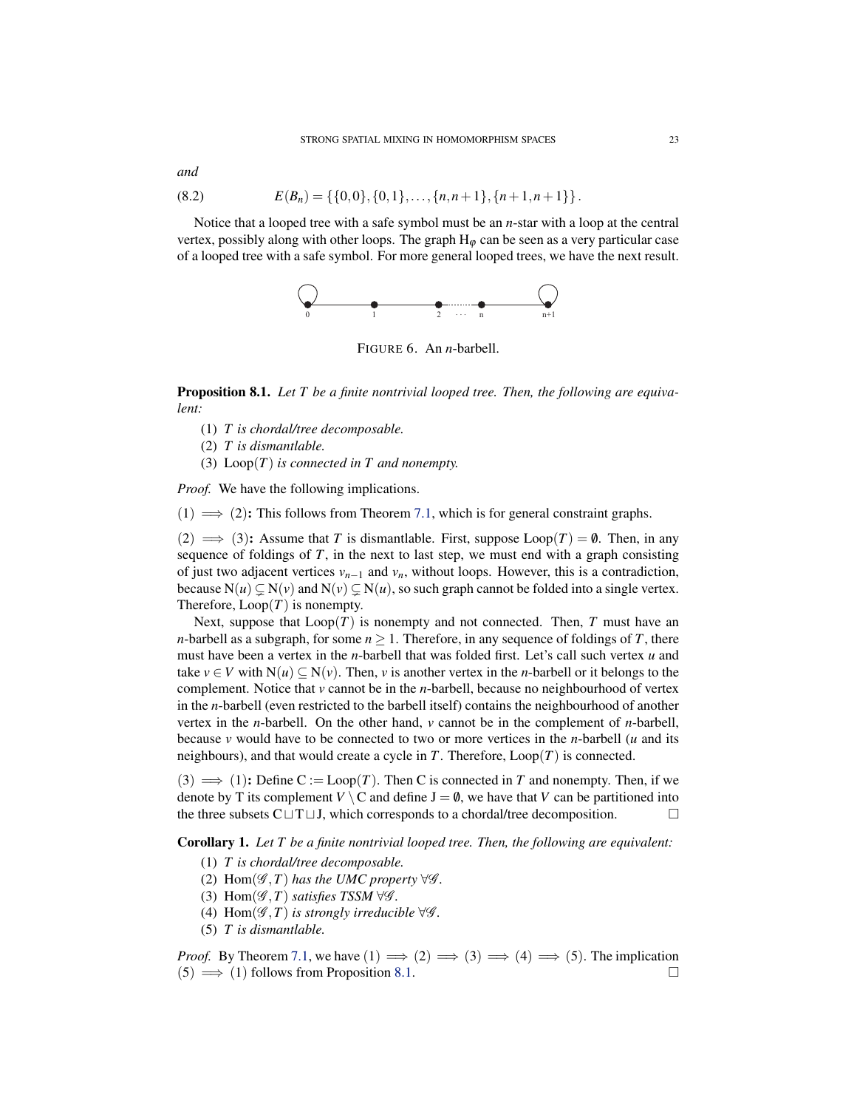(8.2) 
$$
E(B_n) = \{ \{0,0\}, \{0,1\}, \ldots, \{n,n+1\}, \{n+1,n+1\} \}.
$$

Notice that a looped tree with a safe symbol must be an *n*-star with a loop at the central vertex, possibly along with other loops. The graph  $H_{\phi}$  can be seen as a very particular case of a looped tree with a safe symbol. For more general looped trees, we have the next result.



FIGURE 6. An *n*-barbell.

<span id="page-22-0"></span>Proposition 8.1. *Let T be a finite nontrivial looped tree. Then, the following are equivalent:*

(1) *T is chordal/tree decomposable.*

(2) *T is dismantlable.*

(3) Loop(*T*) *is connected in T and nonempty.*

*Proof.* We have the following implications.

 $(1) \implies (2)$ : This follows from Theorem [7.1,](#page-21-2) which is for general constraint graphs.

 $(2) \implies (3)$ : Assume that *T* is dismantlable. First, suppose Loop $(T) = \emptyset$ . Then, in any sequence of foldings of *T*, in the next to last step, we must end with a graph consisting of just two adjacent vertices  $v_{n-1}$  and  $v_n$ , without loops. However, this is a contradiction, because  $N(u) \subsetneq N(v)$  and  $N(v) \subsetneq N(u)$ , so such graph cannot be folded into a single vertex. Therefore,  $Loop(T)$  is nonempty.

Next, suppose that  $Loop(T)$  is nonempty and not connected. Then, *T* must have an *n*-barbell as a subgraph, for some  $n \geq 1$ . Therefore, in any sequence of foldings of *T*, there must have been a vertex in the *n*-barbell that was folded first. Let's call such vertex *u* and take  $v \in V$  with  $N(u) \subseteq N(v)$ . Then, *v* is another vertex in the *n*-barbell or it belongs to the complement. Notice that *v* cannot be in the *n*-barbell, because no neighbourhood of vertex in the *n*-barbell (even restricted to the barbell itself) contains the neighbourhood of another vertex in the *n*-barbell. On the other hand, *v* cannot be in the complement of *n*-barbell, because  $\nu$  would have to be connected to two or more vertices in the *n*-barbell ( $\mu$  and its neighbours), and that would create a cycle in  $T$ . Therefore,  $Loop(T)$  is connected.

 $(3) \implies (1)$ : Define C := Loop(*T*). Then C is connected in *T* and nonempty. Then, if we denote by T its complement  $V \setminus C$  and define  $J = \emptyset$ , we have that *V* can be partitioned into the three subsets  $C \sqcup T \sqcup J$ , which corresponds to a chordal/tree decomposition.

<span id="page-22-1"></span>Corollary 1. *Let T be a finite nontrivial looped tree. Then, the following are equivalent:*

- (1) *T is chordal/tree decomposable.*
- (2)  $\text{Hom}(\mathscr{G},T)$  *has the UMC property*  $\forall \mathscr{G}$ *.*
- (3) Hom( $\mathscr{G}, T$ ) *satisfies TSSM*  $\forall \mathscr{G}$ *.*
- (4) Hom( $\mathscr{G}, T$ ) *is strongly irreducible*  $\forall \mathscr{G}$ *.*
- (5) *T is dismantlable.*

*Proof.* By Theorem [7.1,](#page-21-2) we have  $(1) \implies (2) \implies (3) \implies (4) \implies (5)$ . The implication  $(5) \implies (1)$  follows from Proposition [8.1.](#page-22-0)

*and*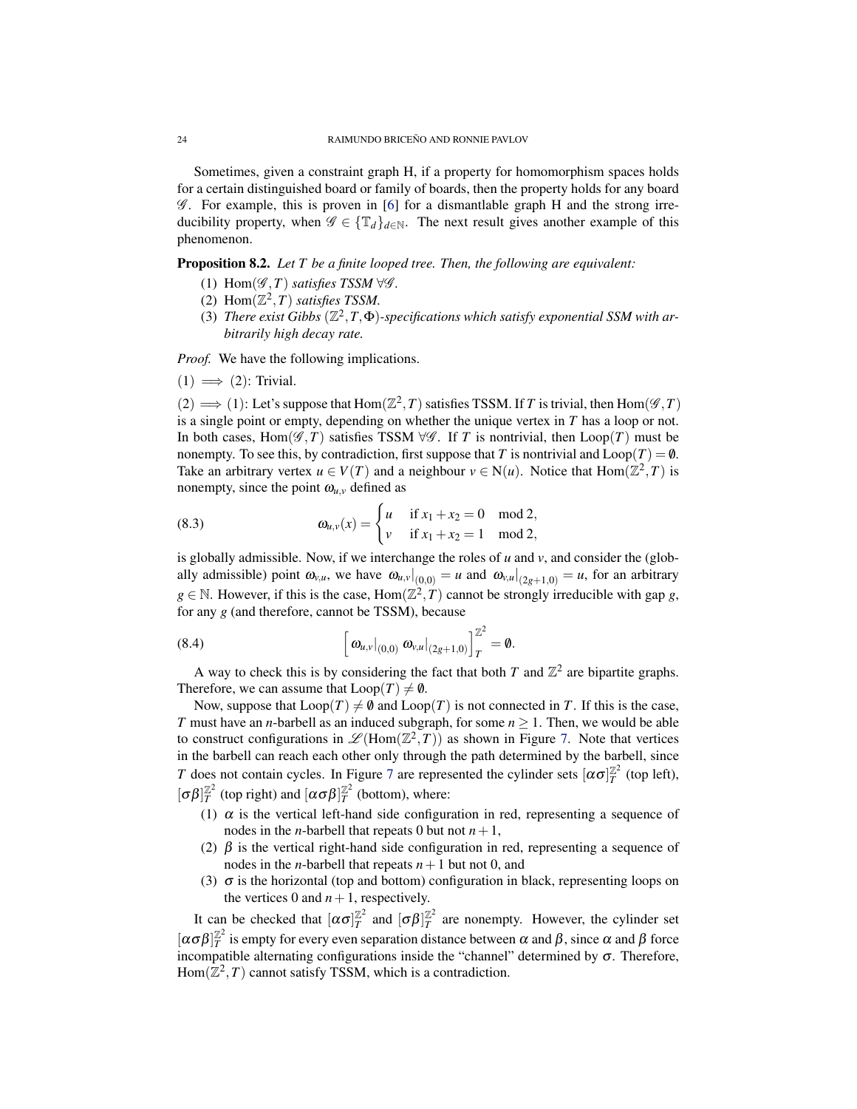Sometimes, given a constraint graph H, if a property for homomorphism spaces holds for a certain distinguished board or family of boards, then the property holds for any board  $\mathscr G$ . For example, this is proven in [\[6\]](#page-29-7) for a dismantlable graph H and the strong irreducibility property, when  $\mathscr{G} \in {\mathbb{T}_d}_{d \in \mathbb{N}}$ . The next result gives another example of this phenomenon.

<span id="page-23-0"></span>Proposition 8.2. *Let T be a finite looped tree. Then, the following are equivalent:*

- (1) Hom( $\mathscr{G}, T$ ) *satisfies TSSM*  $\forall \mathscr{G}$ *.*
- (2) Hom $(\mathbb{Z}^2, T)$  *satisfies TSSM.*
- (3) There exist Gibbs  $(\mathbb{Z}^2, T, \Phi)$ -specifications which satisfy exponential SSM with ar*bitrarily high decay rate.*

*Proof.* We have the following implications.

$$
(1) \implies (2)
$$
: Trivial.

 $(2) \implies (1)$ : Let's suppose that  $Hom(\mathbb{Z}^2, T)$  satisfies TSSM. If *T* is trivial, then  $Hom(\mathscr{G}, T)$ is a single point or empty, depending on whether the unique vertex in *T* has a loop or not. In both cases, Hom( $\mathscr{G}, T$ ) satisfies TSSM  $\forall \mathscr{G}$ . If *T* is nontrivial, then Loop(*T*) must be nonempty. To see this, by contradiction, first suppose that *T* is nontrivial and  $\text{Loop}(T) = \emptyset$ . Take an arbitrary vertex  $u \in V(T)$  and a neighbour  $v \in N(u)$ . Notice that  $Hom(\mathbb{Z}^2, T)$  is nonempty, since the point  $\omega_{u,v}$  defined as

(8.3) 
$$
\omega_{u,v}(x) = \begin{cases} u & \text{if } x_1 + x_2 = 0 \mod 2, \\ v & \text{if } x_1 + x_2 = 1 \mod 2, \end{cases}
$$

is globally admissible. Now, if we interchange the roles of  $u$  and  $v$ , and consider the (globally admissible) point  $\omega_{v,u}$ , we have  $\omega_{u,v}|_{(0,0)} = u$  and  $\omega_{v,u}|_{(2g+1,0)} = u$ , for an arbitrary  $g \in \mathbb{N}$ . However, if this is the case,  $\text{Hom}(\mathbb{Z}^2, T)$  cannot be strongly irreducible with gap *g*, for any *g* (and therefore, cannot be TSSM), because

(8.4) 
$$
\left[\left.\omega_{u,v}\right|_{(0,0)}\left.\omega_{v,u}\right|_{(2g+1,0)}\right]_{T}^{\mathbb{Z}^2}=\mathbf{0}.
$$

A way to check this is by considering the fact that both  $T$  and  $\mathbb{Z}^2$  are bipartite graphs. Therefore, we can assume that  $Loop(T) \neq \emptyset$ .

Now, suppose that  $\text{Loop}(T) \neq \emptyset$  and  $\text{Loop}(T)$  is not connected in *T*. If this is the case, *T* must have an *n*-barbell as an induced subgraph, for some  $n \geq 1$ . Then, we would be able to construct configurations in  $\mathscr{L}(\text{Hom}(\mathbb{Z}^2, T))$  as shown in Figure [7.](#page-24-1) Note that vertices in the barbell can reach each other only through the path determined by the barbell, since *T* does not contain cycles. In Figure [7](#page-24-1) are represented the cylinder sets  $[\alpha \sigma]_T^{\mathbb{Z}^2}$  (top left),  $[\sigma\beta]_T^{\mathbb{Z}^2}$  (top right) and  $[\alpha\sigma\beta]_T^{\mathbb{Z}^2}$  (bottom), where:

- (1)  $\alpha$  is the vertical left-hand side configuration in red, representing a sequence of nodes in the *n*-barbell that repeats 0 but not  $n+1$ ,
- (2)  $\beta$  is the vertical right-hand side configuration in red, representing a sequence of nodes in the *n*-barbell that repeats  $n+1$  but not 0, and
- (3)  $\sigma$  is the horizontal (top and bottom) configuration in black, representing loops on the vertices 0 and  $n+1$ , respectively.

It can be checked that  $[\alpha \sigma]_T^{\mathbb{Z}^2}$  and  $[\sigma \beta]_T^{\mathbb{Z}^2}$  are nonempty. However, the cylinder set  $[\alpha \sigma \beta]_T^{\mathbb{Z}^2}$  is empty for every even separation distance between  $\alpha$  and  $\beta$ , since  $\alpha$  and  $\beta$  force incompatible alternating configurations inside the "channel" determined by  $\sigma$ . Therefore,  $Hom(\mathbb{Z}^2, T)$  cannot satisfy TSSM, which is a contradiction.

<span id="page-23-1"></span>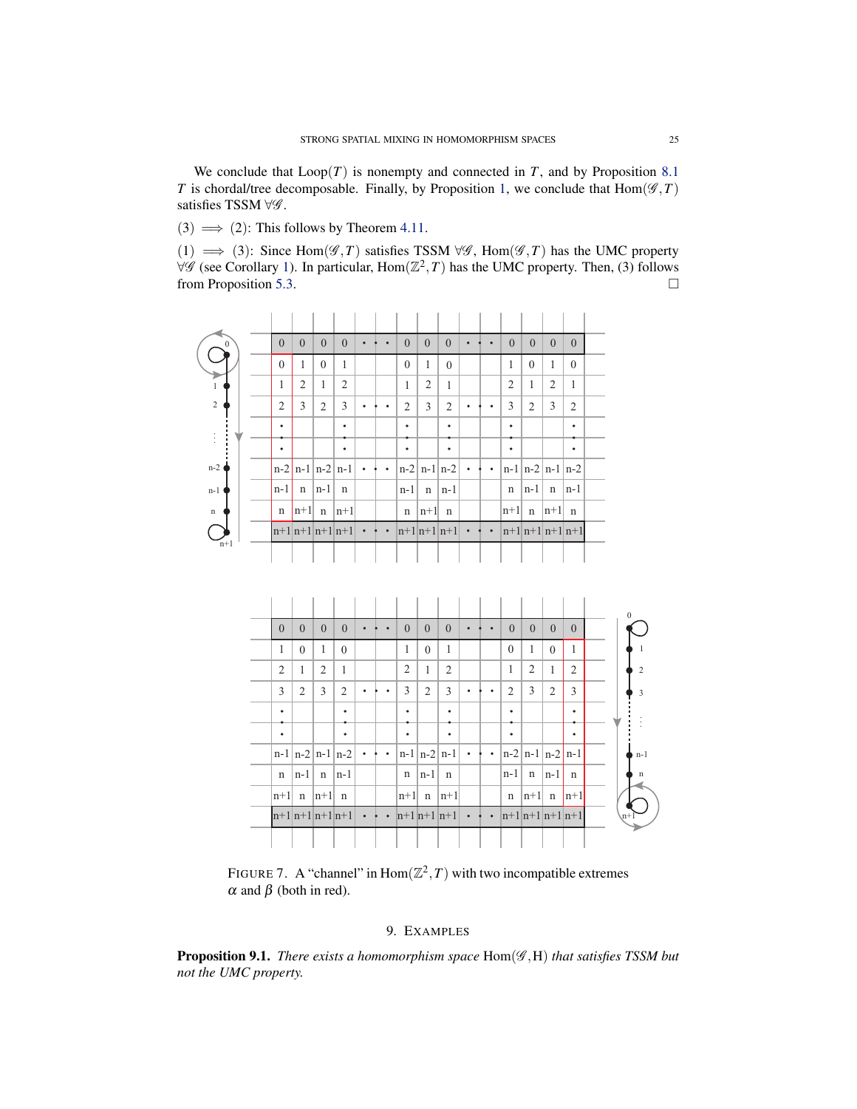We conclude that  $Loop(T)$  is nonempty and connected in *T*, and by Proposition [8.1](#page-22-0) *T* is chordal/tree decomposable. Finally, by Proposition [1,](#page-22-1) we conclude that  $Hom(\mathscr{G}, T)$ satisfies TSSM ∀ʻg.

(3)  $\implies$  (2): This follows by Theorem [4.11.](#page-14-3)

(1)  $\implies$  (3): Since Hom( $\mathscr{G}, T$ ) satisfies TSSM  $\forall \mathscr{G}$ , Hom( $\mathscr{G}, T$ ) has the UMC property  $∀$  (see Corollary [1\)](#page-22-1). In particular, Hom( $\mathbb{Z}^2$ , T) has the UMC property. Then, (3) follows from Proposition [5.3.](#page-16-2)

| $\Omega$    | $\Omega$              | $\theta$              | $\theta$ | $\Omega$            |           |           | $\Omega$       | $\theta$       | $\Omega$        |   |           | $\Omega$       | $\theta$           | $\Omega$    | $\Omega$          |  |
|-------------|-----------------------|-----------------------|----------|---------------------|-----------|-----------|----------------|----------------|-----------------|---|-----------|----------------|--------------------|-------------|-------------------|--|
|             | $\theta$              |                       | $\theta$ | 1                   |           |           | $\theta$       | 1              | $\theta$        |   |           | 1              | $\theta$           |             | $\theta$          |  |
|             | 1                     | 2                     | 1        | 2                   |           |           | 1              | $\overline{2}$ | $\mathbf{1}$    |   |           | $\overline{2}$ | 1                  | 2           | $\mathbf{1}$      |  |
| 2           | $\overline{2}$        | 3                     | 2        | 3                   |           |           | $\overline{2}$ | 3              | $\overline{2}$  |   |           | 3              | $\overline{c}$     | 3           | 2                 |  |
|             | ٠                     |                       |          | $\bullet$           |           |           | ٠              |                | ٠               |   |           | ٠              |                    |             | ٠                 |  |
|             | ٠                     |                       |          | ٠                   |           |           | $\bullet$      |                | ٠               |   |           | ٠              |                    |             | ٠                 |  |
| $n-2$       | $n-2$ n-1   n-2   n-1 |                       |          |                     | $\bullet$ | $\bullet$ |                |                | $n-2 n-1 n-2 $  | ٠ |           |                | $ n-1 n-2 n-1 n-2$ |             |                   |  |
| $n-1$       | $n-1$                 | $\mathbf n$           | $n-1$    | $\mathbf n$         |           |           | $n-1$          | $\mathbf n$    | $\ln-1$         |   |           | $\mathbf n$    | $n-1$              | $\mathbf n$ | $\ln-1$           |  |
| $\mathbf n$ | $\mathbf n$           | $\left  n+1\right $ n |          | $ n+1 $             |           |           | n              | $n+1$          | $\mathbf n$     |   |           | $n+1$ n        |                    | $ n+1 $     | $\mathbf n$       |  |
|             |                       |                       |          | $\ln+1\ln+1\ln+1$ . |           | $\bullet$ |                |                | $ n+1 n+1 n+1 $ |   | $\bullet$ |                |                    |             | $\ln+1\ln+1\ln+1$ |  |
| $n+1$       |                       |                       |          |                     |           |           |                |                |                 |   |           |                |                    |             |                   |  |



<span id="page-24-1"></span>FIGURE 7. A "channel" in  $\text{Hom}(\mathbb{Z}^2, T)$  with two incompatible extremes  $\alpha$  and  $\beta$  (both in red).

## 9. EXAMPLES

<span id="page-24-0"></span>Proposition 9.1. *There exists a homomorphism space* Hom(G ,H) *that satisfies TSSM but not the UMC property.*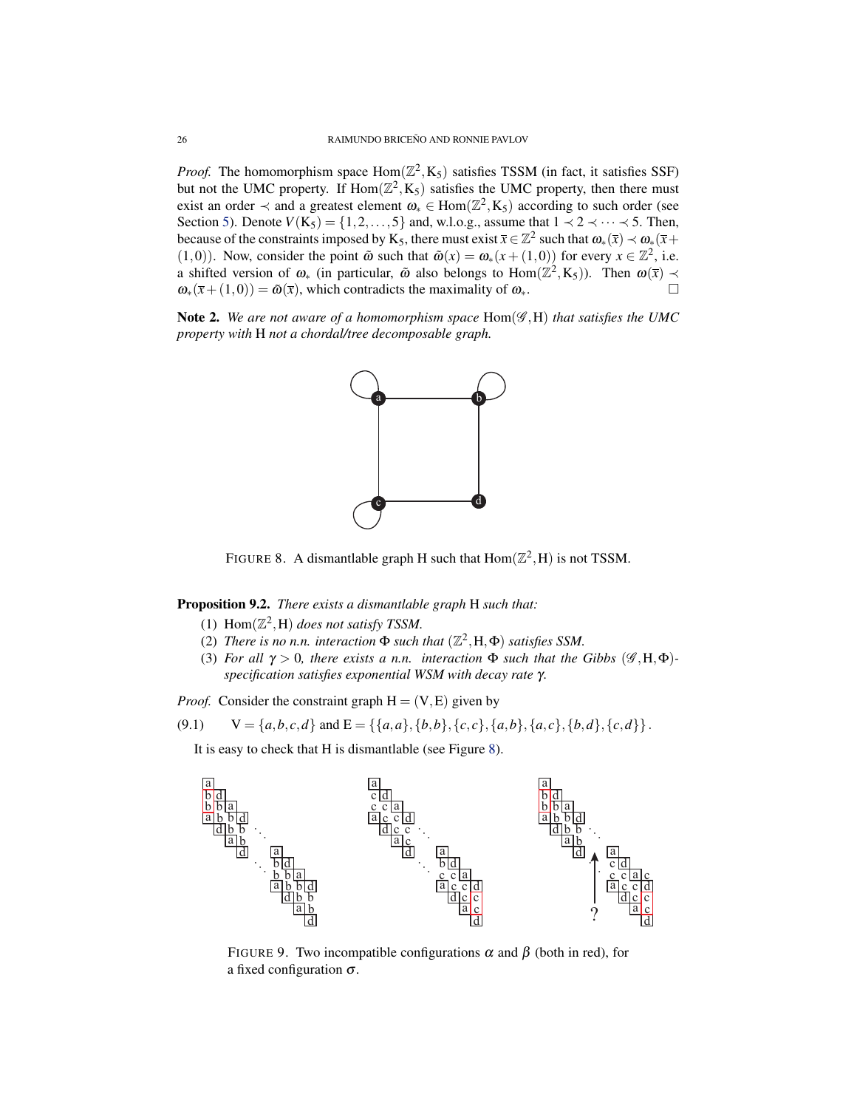*Proof.* The homomorphism space  $Hom(\mathbb{Z}^2, K_5)$  satisfies TSSM (in fact, it satisfies SSF) but not the UMC property. If  $Hom(\mathbb{Z}^2, K_5)$  satisfies the UMC property, then there must exist an order  $\prec$  and a greatest element  $\omega_* \in \text{Hom}(\mathbb{Z}^2, K_5)$  according to such order (see Section [5\)](#page-14-0). Denote  $V(K_5) = \{1, 2, ..., 5\}$  and, w.l.o.g., assume that  $1 \prec 2 \prec \cdots \prec 5$ . Then, because of the constraints imposed by K<sub>5</sub>, there must exist  $\bar{x} \in \mathbb{Z}^2$  such that  $\omega_*(\bar{x}) \prec \omega_*(\bar{x} +$ (1,0)). Now, consider the point  $\tilde{\omega}$  such that  $\tilde{\omega}(x) = \omega_*(x + (1,0))$  for every  $x \in \mathbb{Z}^2$ , i.e. a shifted version of  $\omega_*$  (in particular,  $\tilde{\omega}$  also belongs to  $Hom(\mathbb{Z}^2, K_5)$ ). Then  $\omega(\bar{x}) \prec$  $\omega_*(\bar{x} + (1,0)) = \tilde{\omega}(\bar{x})$ , which contradicts the maximality of  $\omega_*$ .

Note 2. *We are not aware of a homomorphism space* Hom(G ,H) *that satisfies the UMC property with* H *not a chordal/tree decomposable graph.*



<span id="page-25-0"></span>FIGURE 8. A dismantlable graph H such that  $Hom(\mathbb{Z}^2, H)$  is not TSSM.

Proposition 9.2. *There exists a dismantlable graph* H *such that:*

- (1)  $Hom(\mathbb{Z}^2, H)$  *does not satisfy TSSM.*
- (2) *There is no n.n. interaction*  $\Phi$  *such that*  $(\mathbb{Z}^2, H, \Phi)$  *satisfies SSM.*
- (3) *For all*  $\gamma > 0$ *, there exists a n.n. interaction*  $\Phi$  *such that the Gibbs* ( $\mathscr{G}, H, \Phi$ )*specification satisfies exponential WSM with decay rate* γ*.*

*Proof.* Consider the constraint graph  $H = (V, E)$  given by

$$
(9.1) \qquad V = \{a,b,c,d\} \text{ and } E = \{\{a,a\},\{b,b\},\{c,c\},\{a,b\},\{a,c\},\{b,d\},\{c,d\}\}.
$$

It is easy to check that H is dismantlable (see Figure [8\)](#page-25-0).



<span id="page-25-1"></span>FIGURE 9. Two incompatible configurations  $\alpha$  and  $\beta$  (both in red), for a fixed configuration  $\sigma$ .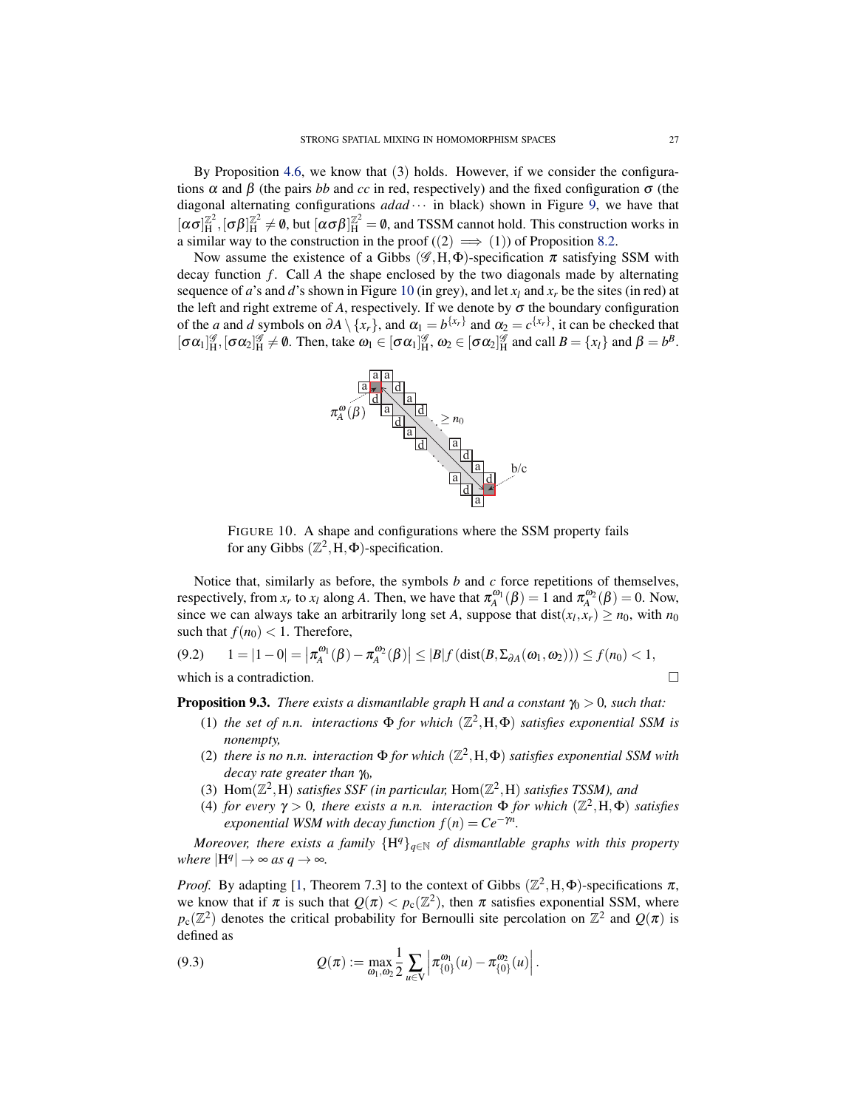<span id="page-26-1"></span>By Proposition [4.6,](#page-10-1) we know that  $(3)$  holds. However, if we consider the configurations  $\alpha$  and  $\beta$  (the pairs *bb* and *cc* in red, respectively) and the fixed configuration  $\sigma$  (the diagonal alternating configurations *adad* ··· in black) shown in Figure [9,](#page-25-1) we have that  $[\alpha\sigma]_{\rm H}^{\mathbb{Z}^2}$  $\mathbb{Z}^2$ ,  $[σβ]^{Z^2}_H$  $\frac{\mathbb{Z}^2}{H} \neq \emptyset$ , but  $[\alpha \sigma \beta]_H^{\mathbb{Z}^2} = \emptyset$ , and TSSM cannot hold. This construction works in a similar way to the construction in the proof  $((2) \implies (1))$  of Proposition [8.2.](#page-23-0)

Now assume the existence of a Gibbs  $(\mathscr{G},H,\Phi)$ -specification  $\pi$  satisfying SSM with decay function *f* . Call *A* the shape enclosed by the two diagonals made by alternating sequence of *a*'s and *d*'s shown in Figure [10](#page-26-0) (in grey), and let  $x_l$  and  $x_r$  be the sites (in red) at the left and right extreme of  $A$ , respectively. If we denote by  $\sigma$  the boundary configuration of the *a* and *d* symbols on  $\partial A \setminus \{x_r\}$ , and  $\alpha_1 = b^{\{x_r\}}$  and  $\alpha_2 = c^{\{x_r\}}$ , it can be checked that  $[\sigma \alpha_1]_H^{\mathscr{G}}, [\sigma \alpha_2]_H^{\mathscr{G}} \neq \emptyset$ . Then, take  $\omega_1 \in [\sigma \alpha_1]_H^{\mathscr{G}}, \omega_2 \in [\sigma \alpha_2]_H^{\mathscr{G}}$  and call  $B = \{x_l\}$  and  $\beta = b^B$ .



<span id="page-26-0"></span>FIGURE 10. A shape and configurations where the SSM property fails for any Gibbs  $(\mathbb{Z}^2, H, \Phi)$ -specification.

Notice that, similarly as before, the symbols *b* and *c* force repetitions of themselves, respectively, from  $x_r$  to  $x_l$  along *A*. Then, we have that  $\pi_A^{\omega_1}(\beta) = 1$  and  $\pi_A^{\omega_2}(\beta) = 0$ . Now, since we can always take an arbitrarily long set *A*, suppose that  $dist(x_l, x_r) \ge n_0$ , with  $n_0$ such that  $f(n_0) < 1$ . Therefore,

 $(9.2)$   $1 = |1 - 0| = |\pi_A^{\omega_1}(\beta) - \pi_A^{\omega_2}(\beta)| \le |B| f(\text{dist}(B, \Sigma_{\partial A}(\omega_1, \omega_2))) \le f(n_0) < 1,$ which is a contradiction.  $\Box$ 

**Proposition 9.3.** *There exists a dismantlable graph* H *and a constant*  $\gamma_0 > 0$ *, such that:* 

- (1) *the set of n.n. interactions*  $\Phi$  *for which*  $(\mathbb{Z}^2, H, \Phi)$  *satisfies exponential SSM is nonempty,*
- (2) there is no n.n. interaction  $\Phi$  *for which*  $(\mathbb{Z}^2, H, \Phi)$  *satisfies exponential SSM with decay rate greater than* γ<sub>0</sub>*,*
- (3)  $Hom(\mathbb{Z}^2, H)$  *satisfies SSF (in particular, Hom* $(\mathbb{Z}^2, H)$  *satisfies TSSM), and*
- (4) *for every*  $\gamma > 0$ , *there exists a n.n. interaction*  $\Phi$  *for which*  $(\mathbb{Z}^2, H, \Phi)$  *satisfies exponential WSM with decay function*  $f(n) = Ce^{-\gamma n}$ .

*Moreover, there exists a family*  ${H^q}_{q \in \mathbb{N}}$  *of dismantlable graphs with this property where*  $|H^q| \to \infty$  *as*  $q \to \infty$ *.* 

*Proof.* By adapting [\[1,](#page-29-10) Theorem 7.3] to the context of Gibbs  $(\mathbb{Z}^2, H, \Phi)$ -specifications  $\pi$ , we know that if  $\pi$  is such that  $Q(\pi) < p_c(\mathbb{Z}^2)$ , then  $\pi$  satisfies exponential SSM, where  $p_c(\mathbb{Z}^2)$  denotes the critical probability for Bernoulli site percolation on  $\mathbb{Z}^2$  and  $Q(\pi)$  is defined as

(9.3) 
$$
Q(\pi) := \max_{\omega_1, \omega_2} \frac{1}{2} \sum_{u \in V} \left| \pi_{\{0\}}^{\omega_1}(u) - \pi_{\{0\}}^{\omega_2}(u) \right|.
$$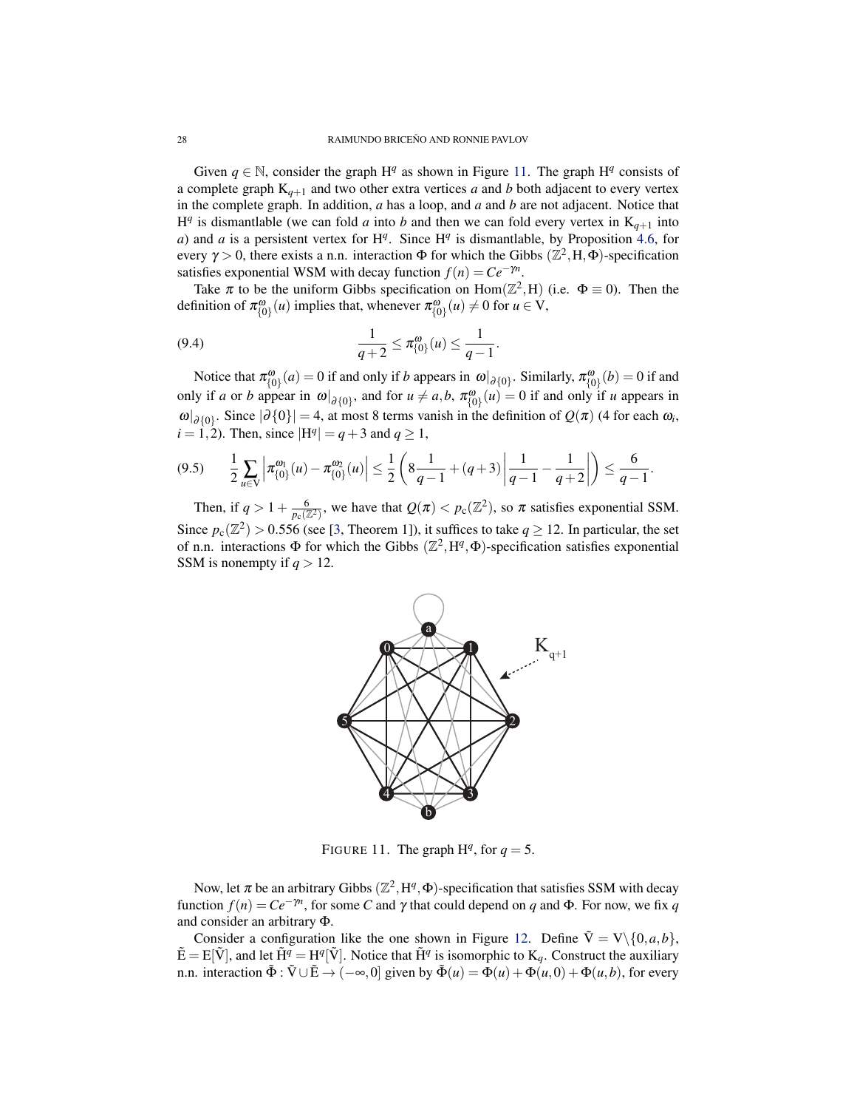<span id="page-27-1"></span>Given  $q \in \mathbb{N}$ , consider the graph  $H^q$  as shown in Figure [11.](#page-27-0) The graph  $H^q$  consists of a complete graph  $K_{q+1}$  and two other extra vertices *a* and *b* both adjacent to every vertex in the complete graph. In addition, *a* has a loop, and *a* and *b* are not adjacent. Notice that  $H<sup>q</sup>$  is dismantlable (we can fold *a* into *b* and then we can fold every vertex in  $K<sub>q+1</sub>$  into *a*) and *a* is a persistent vertex for  $H<sup>q</sup>$ . Since  $H<sup>q</sup>$  is dismantlable, by Proposition [4.6,](#page-10-1) for every  $\gamma > 0$ , there exists a n.n. interaction  $\Phi$  for which the Gibbs  $(\mathbb{Z}^2, H, \Phi)$ -specification satisfies exponential WSM with decay function  $f(n) = Ce^{-\gamma n}$ .

Take  $\pi$  to be the uniform Gibbs specification on Hom( $\mathbb{Z}^2$ , H) (i.e.  $\Phi \equiv 0$ ). Then the definition of  $\pi^{\omega}_{\{0\}}(u)$  implies that, whenever  $\pi^{\omega}_{\{0\}}(u) \neq 0$  for  $u \in V$ ,

(9.4) 
$$
\frac{1}{q+2} \leq \pi_{\{0\}}^{\omega}(u) \leq \frac{1}{q-1}.
$$

Notice that  $\pi_{\{0\}}^{\omega}(a) = 0$  if and only if *b* appears in  $\omega|_{\partial\{0\}}$ . Similarly,  $\pi_{\{0\}}^{\omega}(b) = 0$  if and only if *a* or *b* appear in  $\omega|_{\partial\{0\}}$ , and for  $u \neq a$ ,  $b$ ,  $\pi^{\omega}_{\{0\}}(u) = 0$  if and only if *u* appears in  $\omega|_{\partial\{0\}}$ . Since  $|\partial\{0\}| = 4$ , at most 8 terms vanish in the definition of  $Q(\pi)$  (4 for each  $\omega_i$ ,  $i = 1, 2$ ). Then, since  $|H^q| = q + 3$  and  $q \ge 1$ ,

$$
(9.5) \qquad \frac{1}{2} \sum_{u \in V} \left| \pi^{0}(\mathbf{u}) - \pi^{0}(\mathbf{u}) \right| \leq \frac{1}{2} \left( 8 \frac{1}{q-1} + (q+3) \left| \frac{1}{q-1} - \frac{1}{q+2} \right| \right) \leq \frac{6}{q-1}.
$$

Then, if  $q > 1 + \frac{6}{p_c(\mathbb{Z}^2)}$ , we have that  $Q(\pi) < p_c(\mathbb{Z}^2)$ , so  $\pi$  satisfies exponential SSM. Since  $p_c(\mathbb{Z}^2) > 0.556$  (see [\[3,](#page-29-16) Theorem 1]), it suffices to take  $q \ge 12$ . In particular, the set of n.n. interactions  $\Phi$  for which the Gibbs  $(\mathbb{Z}^2, H^q, \Phi)$ -specification satisfies exponential SSM is nonempty if  $q > 12$ .



<span id="page-27-0"></span>FIGURE 11. The graph  $H<sup>q</sup>$ , for  $q = 5$ .

Now, let  $\pi$  be an arbitrary Gibbs ( $\mathbb{Z}^2$ ,  $H^q$ ,  $\Phi$ )-specification that satisfies SSM with decay function  $f(n) = Ce^{-\gamma n}$ , for some *C* and  $\gamma$  that could depend on *q* and  $\Phi$ . For now, we fix *q* and consider an arbitrary Φ.

Consider a configuration like the one shown in Figure [12.](#page-28-1) Define  $\tilde{V} = V \setminus \{0, a, b\}$ ,  $\tilde{E} = E[\tilde{V}]$ , and let  $\tilde{H}^q = H^q[\tilde{V}]$ . Notice that  $\tilde{H}^q$  is isomorphic to  $K_q$ . Construct the auxiliary n.n. interaction  $\tilde{\Phi}$  :  $\tilde{V} \cup \tilde{E} \rightarrow (-\infty, 0]$  given by  $\tilde{\Phi}(u) = \Phi(u) + \Phi(u, 0) + \Phi(u, b)$ , for every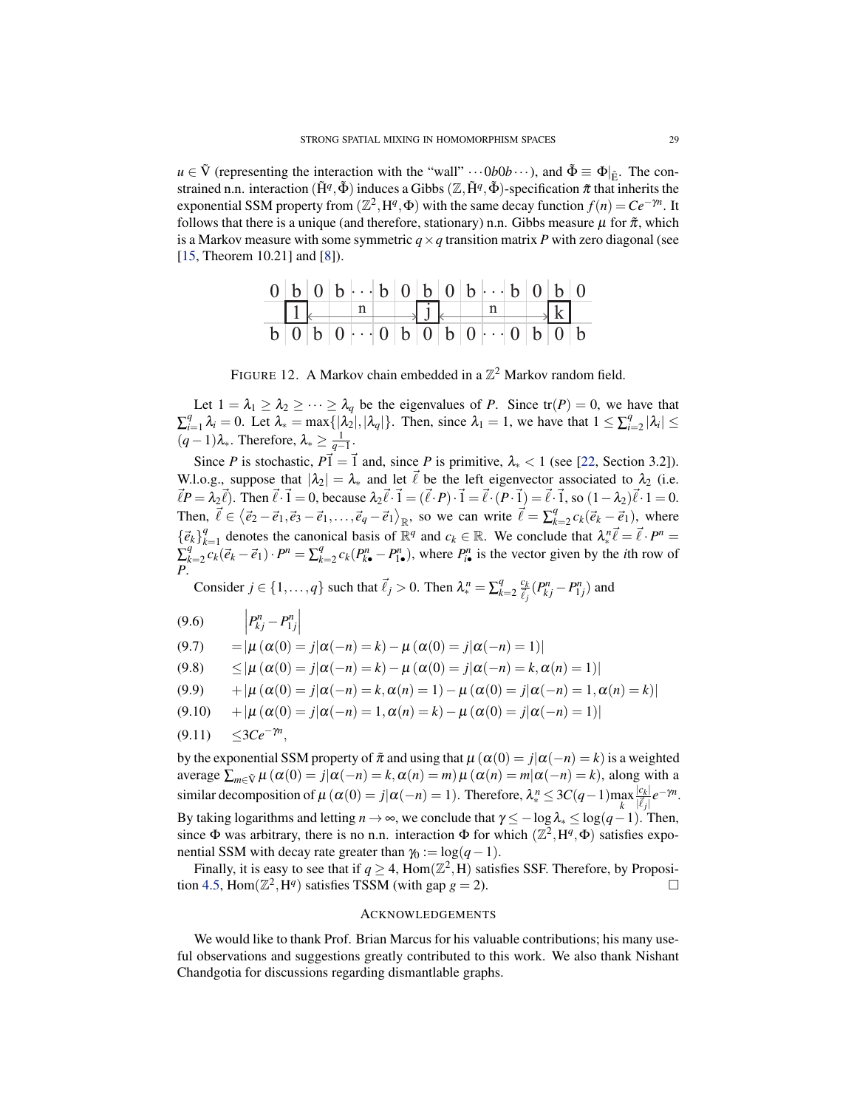<span id="page-28-2"></span> $u \in \tilde{V}$  (representing the interaction with the "wall"  $\cdots 0b0b \cdots$ ), and  $\tilde{\Phi} \equiv \Phi|_{\tilde{F}}$ . The constrained n.n. interaction  $(\tilde{H}^q, \tilde{\Phi})$  induces a Gibbs  $(\mathbb{Z}, \tilde{H}^q, \tilde{\Phi})$ -specification  $\tilde{\pi}$  that inherits the exponential SSM property from  $(\mathbb{Z}^2, H^q, \Phi)$  with the same decay function  $f(n) = Ce^{-\gamma n}$ . It follows that there is a unique (and therefore, stationary) n.n. Gibbs measure  $\mu$  for  $\tilde{\pi}$ , which is a Markov measure with some symmetric  $q \times q$  transition matrix *P* with zero diagonal (see [\[15,](#page-29-17) Theorem 10.21] and [\[8\]](#page-29-18)).

|  |  | $0   b   0   b   \cdot \cdot \cdot   b   0   b   0   b   \cdot \cdot \cdot   b   0   b   0$ |  |  |  |  |  |
|--|--|---------------------------------------------------------------------------------------------|--|--|--|--|--|
|  |  |                                                                                             |  |  |  |  |  |
|  |  | $b   0   b   0   \cdot \cdot \cdot   0   b   0   b   0   \cdot \cdot \cdot   0   b   0   b$ |  |  |  |  |  |

<span id="page-28-1"></span>FIGURE 12. A Markov chain embedded in a  $\mathbb{Z}^2$  Markov random field.

Let  $1 = \lambda_1 \geq \lambda_2 \geq \cdots \geq \lambda_q$  be the eigenvalues of *P*. Since  $tr(P) = 0$ , we have that  $\sum_{i=1}^{q}$  $\hat{\lambda}_i = 0$ . Let  $\lambda_* = \max\{|\lambda_2|, |\lambda_q|\}$ . Then, since  $\lambda_1 = 1$ , we have that  $1 \le \sum_{i=1}^q \lambda_i$  $_{i=2}^{q}$   $|\lambda_i| \leq$  $(q-1)\lambda_{*}$ . Therefore,  $\lambda_{*} \geq \frac{1}{q-1}$ .

Since *P* is stochastic,  $P\vec{1} = \vec{1}$  and, since *P* is primitive,  $\lambda_* < 1$  (see [\[22,](#page-30-6) Section 3.2]). W.l.o.g., suppose that  $|\lambda_2| = \lambda_*$  and let  $\vec{\ell}$  be the left eigenvector associated to  $\lambda_2$  (i.e.  $\vec{\ell}P = \lambda_2 \vec{\ell}$ ). Then  $\vec{\ell} \cdot \vec{1} = 0$ , because  $\lambda_2 \vec{\ell} \cdot \vec{1} = (\vec{\ell} \cdot P) \cdot \vec{1} = \vec{\ell} \cdot (P \cdot \vec{1}) = \vec{\ell} \cdot \vec{1}$ , so  $(1 - \lambda_2)\vec{\ell} \cdot 1 = 0$ . Then,  $\vec{\ell} \in \langle \vec{e}_2 - \vec{e}_1, \vec{e}_3 - \vec{e}_1, \dots, \vec{e}_q - \vec{e}_1 \rangle_{\mathbb{R}}$ , so we can write  $\vec{\ell} = \sum_k^q$  $e_{k=2}^{q} c_k (\vec{e}_k - \vec{e}_1)$ , where  $\{\vec{e}_k\}_k^q$ *a* denotes the canonical basis of  $\mathbb{R}^q$  and  $c_k \in \mathbb{R}$ . We conclude that  $\lambda_*^n \vec{\ell} = \vec{\ell} \cdot P^n =$  $\sum_{k}^{q}$  $\sum_{k=2}^{q} c_k (\vec{e}_k - \vec{e}_1) \cdot P^n = \sum_{k=1}^{q}$  $R_{k=2}^{q}$  *c<sub>k</sub>*( $P_{k\bullet}^{n}$  −  $P_{1\bullet}^{n}$ ), where  $P_{i\bullet}^{n}$  is the vector given by the *i*th row of *P*.

Consider  $j \in \{1, ..., q\}$  such that  $\vec{\ell}_j > 0$ . Then  $\lambda_*^n = \sum_k^q$  $\frac{q}{k=2}$   $\frac{c_k}{\vec{l}}$  $\frac{c_k}{\vec{\ell}_j}(P_{kj}^n-P_{1j}^n)$  and

- (9.6)  $\left| P_{kj}^{n} P_{1j}^{n} \right|$
- (9.7)  $=|\mu(\alpha(0) = j|\alpha(-n) = k) \mu(\alpha(0) = j|\alpha(-n) = 1)|$

(9.8)  $\leq |\mu(\alpha(0) = j|\alpha(-n) = k) - \mu(\alpha(0) = j|\alpha(-n) = k, \alpha(n) = 1)|$ 

(9.9)  $+|\mu(\alpha(0) = i|\alpha(-n) = k, \alpha(n) = 1) - \mu(\alpha(0) = i|\alpha(-n) = 1, \alpha(n) = k)|$ 

$$
(9.10) \t+|\mu(\alpha(0) = j|\alpha(-n) = 1, \alpha(n) = k) - \mu(\alpha(0) = j|\alpha(-n) = 1)|
$$

 $(9.11)$  ≤3*Ce<sup>-γn</sup>*,

by the exponential SSM property of  $\tilde{\pi}$  and using that  $\mu(\alpha(0) = j | \alpha(-n) = k)$  is a weighted average  $\sum_{m \in \tilde{V}} \mu(\alpha(0) = j | \alpha(-n) = k, \alpha(n) = m) \mu(\alpha(n) = m | \alpha(-n) = k)$ , along with a similar decomposition of  $\mu (\alpha(0) = j | \alpha(-n) = 1)$ . Therefore,  $\lambda_*^n \leq 3C(q-1) \max_k$  $|c_k|$  $\frac{|c_k|}{|\vec{\ell}_j|}e^{-\gamma n}.$ By taking logarithms and letting  $n \to \infty$ , we conclude that  $\gamma \le -\log \lambda_* \le \log(q-1)$ . Then, since  $\Phi$  was arbitrary, there is no n.n. interaction  $\Phi$  for which  $(\mathbb{Z}^2, H^q, \Phi)$  satisfies exponential SSM with decay rate greater than  $\gamma_0 := \log(q-1)$ .

Finally, it is easy to see that if  $q \ge 4$ ,  $\text{Hom}(\mathbb{Z}^2, H)$  satisfies SSF. Therefore, by Proposi-tion [4.5,](#page-10-4)  $\text{Hom}(\mathbb{Z}^2, \text{H}^q)$  satisfies TSSM (with gap  $g = 2$ ).

### <span id="page-28-0"></span>ACKNOWLEDGEMENTS

We would like to thank Prof. Brian Marcus for his valuable contributions; his many useful observations and suggestions greatly contributed to this work. We also thank Nishant Chandgotia for discussions regarding dismantlable graphs.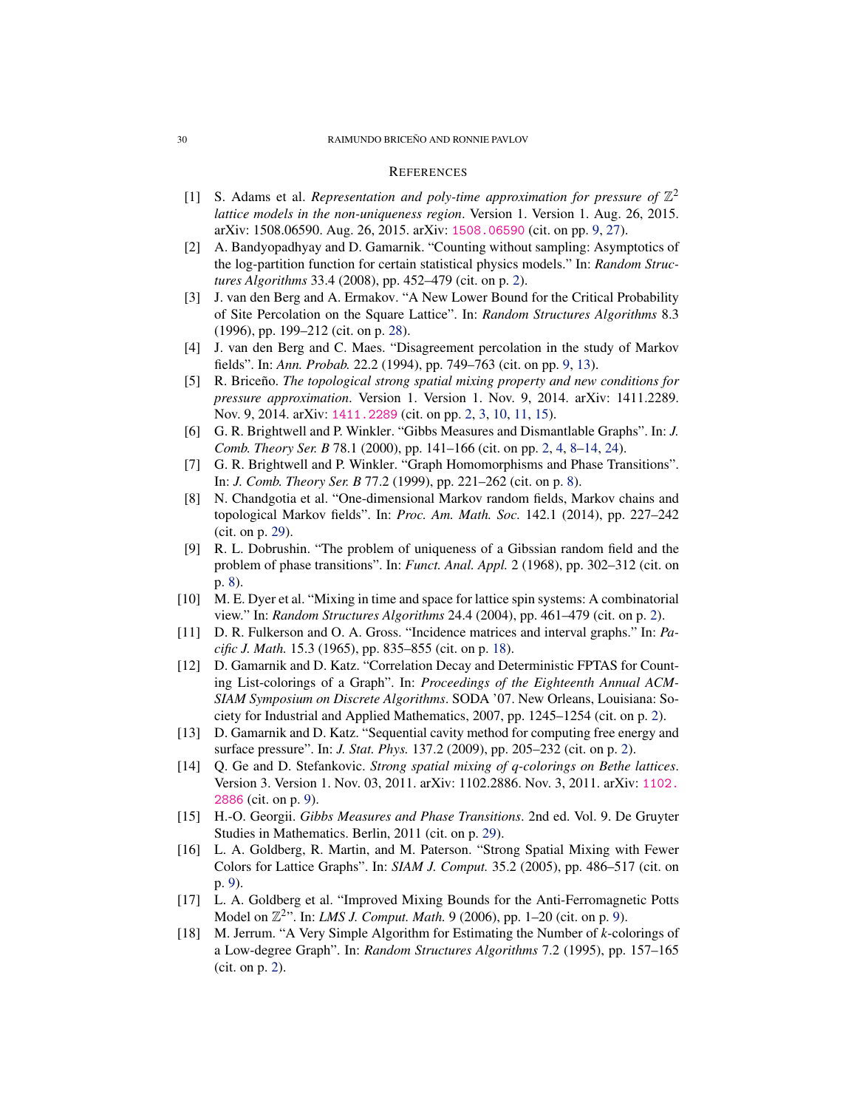### <span id="page-29-0"></span>**REFERENCES**

- <span id="page-29-10"></span>[1] S. Adams et al. *Representation and poly-time approximation for pressure of*  $\mathbb{Z}^2$ *lattice models in the non-uniqueness region*. Version 1. Version 1. Aug. 26, 2015. arXiv: 1508.06590. Aug. 26, 2015. arXiv: [1508.06590](http://arxiv.org/abs/1508.06590) (cit. on pp. [9,](#page-8-2) [27\)](#page-26-1).
- <span id="page-29-3"></span>[2] A. Bandyopadhyay and D. Gamarnik. "Counting without sampling: Asymptotics of the log-partition function for certain statistical physics models." In: *Random Structures Algorithms* 33.4 (2008), pp. 452–479 (cit. on p. [2\)](#page-1-1).
- <span id="page-29-16"></span>[3] J. van den Berg and A. Ermakov. "A New Lower Bound for the Critical Probability of Site Percolation on the Square Lattice". In: *Random Structures Algorithms* 8.3 (1996), pp. 199–212 (cit. on p. [28\)](#page-27-1).
- <span id="page-29-11"></span>[4] J. van den Berg and C. Maes. "Disagreement percolation in the study of Markov fields". In: *Ann. Probab.* 22.2 (1994), pp. 749–763 (cit. on pp. [9,](#page-8-2) [13\)](#page-12-2).
- <span id="page-29-2"></span>[5] R. Briceno. *The topological strong spatial mixing property and new conditions for pressure approximation*. Version 1. Version 1. Nov. 9, 2014. arXiv: 1411.2289. Nov. 9, 2014. arXiv: [1411.2289](http://arxiv.org/abs/1411.2289) (cit. on pp. [2,](#page-1-1) [3,](#page-2-2) [10,](#page-9-2) [11,](#page-10-5) [15\)](#page-14-4).
- <span id="page-29-7"></span>[6] G. R. Brightwell and P. Winkler. "Gibbs Measures and Dismantlable Graphs". In: *J. Comb. Theory Ser. B* 78.1 (2000), pp. 141–166 (cit. on pp. [2,](#page-1-1) [4,](#page-3-2) [8](#page-7-2)[–14,](#page-13-0) [24\)](#page-23-1).
- <span id="page-29-9"></span>[7] G. R. Brightwell and P. Winkler. "Graph Homomorphisms and Phase Transitions". In: *J. Comb. Theory Ser. B* 77.2 (1999), pp. 221–262 (cit. on p. [8\)](#page-7-2).
- <span id="page-29-18"></span>[8] N. Chandgotia et al. "One-dimensional Markov random fields, Markov chains and topological Markov fields". In: *Proc. Am. Math. Soc.* 142.1 (2014), pp. 227–242 (cit. on p. [29\)](#page-28-2).
- <span id="page-29-8"></span>[9] R. L. Dobrushin. "The problem of uniqueness of a Gibssian random field and the problem of phase transitions". In: *Funct. Anal. Appl.* 2 (1968), pp. 302–312 (cit. on p. [8\)](#page-7-2).
- <span id="page-29-6"></span>[10] M. E. Dyer et al. "Mixing in time and space for lattice spin systems: A combinatorial view." In: *Random Structures Algorithms* 24.4 (2004), pp. 461–479 (cit. on p. [2\)](#page-1-1).
- <span id="page-29-15"></span>[11] D. R. Fulkerson and O. A. Gross. "Incidence matrices and interval graphs." In: *Pacific J. Math.* 15.3 (1965), pp. 835–855 (cit. on p. [18\)](#page-17-4).
- <span id="page-29-4"></span>[12] D. Gamarnik and D. Katz. "Correlation Decay and Deterministic FPTAS for Counting List-colorings of a Graph". In: *Proceedings of the Eighteenth Annual ACM-SIAM Symposium on Discrete Algorithms*. SODA '07. New Orleans, Louisiana: Society for Industrial and Applied Mathematics, 2007, pp. 1245–1254 (cit. on p. [2\)](#page-1-1).
- <span id="page-29-1"></span>[13] D. Gamarnik and D. Katz. "Sequential cavity method for computing free energy and surface pressure". In: *J. Stat. Phys.* 137.2 (2009), pp. 205–232 (cit. on p. [2\)](#page-1-1).
- <span id="page-29-13"></span>[14] Q. Ge and D. Stefankovic. *Strong spatial mixing of q-colorings on Bethe lattices*. Version 3. Version 1. Nov. 03, 2011. arXiv: 1102.2886. Nov. 3, 2011. arXiv: [1102.](http://arxiv.org/abs/1102.2886) [2886](http://arxiv.org/abs/1102.2886) (cit. on p. [9\)](#page-8-2).
- <span id="page-29-17"></span>[15] H.-O. Georgii. *Gibbs Measures and Phase Transitions*. 2nd ed. Vol. 9. De Gruyter Studies in Mathematics. Berlin, 2011 (cit. on p. [29\)](#page-28-2).
- <span id="page-29-14"></span>[16] L. A. Goldberg, R. Martin, and M. Paterson. "Strong Spatial Mixing with Fewer Colors for Lattice Graphs". In: *SIAM J. Comput.* 35.2 (2005), pp. 486–517 (cit. on p. [9\)](#page-8-2).
- <span id="page-29-12"></span>[17] L. A. Goldberg et al. "Improved Mixing Bounds for the Anti-Ferromagnetic Potts Model on  $\mathbb{Z}^{2n}$ . In: *LMS J. Comput. Math.* 9 (2006), pp. 1–20 (cit. on p. [9\)](#page-8-2).
- <span id="page-29-5"></span>[18] M. Jerrum. "A Very Simple Algorithm for Estimating the Number of *k*-colorings of a Low-degree Graph". In: *Random Structures Algorithms* 7.2 (1995), pp. 157–165 (cit. on p. [2\)](#page-1-1).